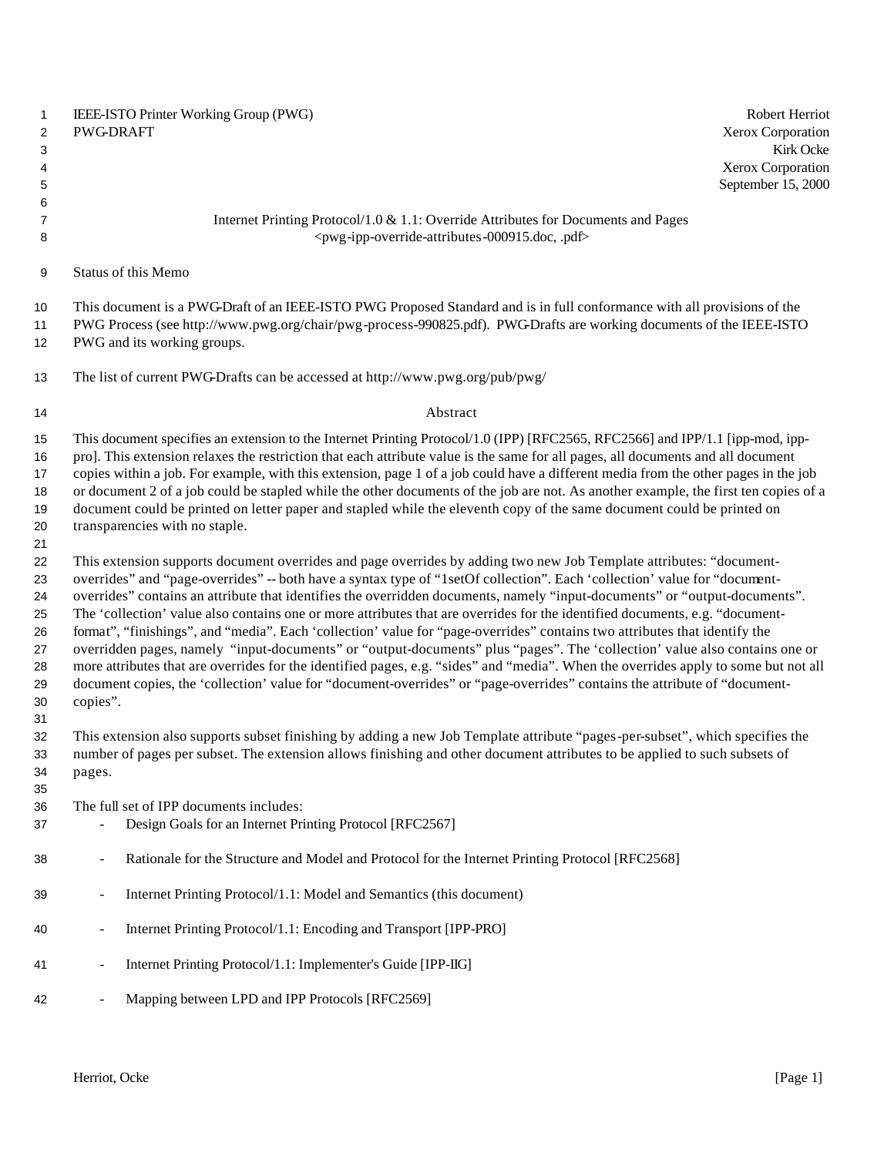| $\mathbf{1}$<br>$\overline{c}$<br>3<br>4<br>5            | IEEE-ISTO Printer Working Group (PWG)<br>Robert Herriot<br>Xerox Corporation<br>PWG-DRAFT<br>Xerox Corporation<br>September 15, 2000                                                                                                                                                                                                                                                                                                                                                                                                                                                                                                                                                                                                                                                                                                                                                                                                                                                                                                                       | Kirk Ocke |
|----------------------------------------------------------|------------------------------------------------------------------------------------------------------------------------------------------------------------------------------------------------------------------------------------------------------------------------------------------------------------------------------------------------------------------------------------------------------------------------------------------------------------------------------------------------------------------------------------------------------------------------------------------------------------------------------------------------------------------------------------------------------------------------------------------------------------------------------------------------------------------------------------------------------------------------------------------------------------------------------------------------------------------------------------------------------------------------------------------------------------|-----------|
| 6<br>$\overline{7}$<br>8                                 | Internet Printing Protocol/1.0 & 1.1: Override Attributes for Documents and Pages<br><pwg-ipp-override-attributes-000915.doc, .pdf=""></pwg-ipp-override-attributes-000915.doc,>                                                                                                                                                                                                                                                                                                                                                                                                                                                                                                                                                                                                                                                                                                                                                                                                                                                                           |           |
| 9                                                        | Status of this Memo                                                                                                                                                                                                                                                                                                                                                                                                                                                                                                                                                                                                                                                                                                                                                                                                                                                                                                                                                                                                                                        |           |
| 10<br>11<br>12                                           | This document is a PWG-Draft of an IEEE-ISTO PWG Proposed Standard and is in full conformance with all provisions of the<br>PWG Process (see http://www.pwg.org/chair/pwg-process-990825.pdf). PWG-Drafts are working documents of the IEEE-ISTO<br>PWG and its working groups.                                                                                                                                                                                                                                                                                                                                                                                                                                                                                                                                                                                                                                                                                                                                                                            |           |
| 13                                                       | The list of current PWG-Drafts can be accessed at http://www.pwg.org/pub/pwg/                                                                                                                                                                                                                                                                                                                                                                                                                                                                                                                                                                                                                                                                                                                                                                                                                                                                                                                                                                              |           |
| 14                                                       | Abstract                                                                                                                                                                                                                                                                                                                                                                                                                                                                                                                                                                                                                                                                                                                                                                                                                                                                                                                                                                                                                                                   |           |
| 15<br>16<br>17<br>18<br>19<br>20<br>21                   | This document specifies an extension to the Internet Printing Protocol/1.0 (IPP) [RFC2565, RFC2566] and IPP/1.1 [ipp-mod, ipp-<br>pro]. This extension relaxes the restriction that each attribute value is the same for all pages, all documents and all document<br>copies within a job. For example, with this extension, page 1 of a job could have a different media from the other pages in the job<br>or document 2 of a job could be stapled while the other documents of the job are not. As another example, the first ten copies of a<br>document could be printed on letter paper and stapled while the eleventh copy of the same document could be printed on<br>transparencies with no staple.                                                                                                                                                                                                                                                                                                                                               |           |
| 22<br>23<br>24<br>25<br>26<br>27<br>28<br>29<br>30<br>31 | This extension supports document overrides and page overrides by adding two new Job Template attributes: "document-<br>overrides" and "page-overrides" -- both have a syntax type of "1setOf collection". Each 'collection' value for "document-<br>overrides" contains an attribute that identifies the overridden documents, namely "input-documents" or "output-documents".<br>The 'collection' value also contains one or more attributes that are overrides for the identified documents, e.g. "document-<br>format", "finishings", and "media". Each 'collection' value for "page-overrides" contains two attributes that identify the<br>overridden pages, namely "input-documents" or "output-documents" plus "pages". The 'collection' value also contains one or<br>more attributes that are overrides for the identified pages, e.g. "sides" and "media". When the overrides apply to some but not all<br>document copies, the 'collection' value for "document-overrides" or "page-overrides" contains the attribute of "document-<br>copies". |           |
| 32<br>33<br>34<br>35                                     | This extension also supports subset finishing by adding a new Job Template attribute "pages-per-subset", which specifies the<br>number of pages per subset. The extension allows finishing and other document attributes to be applied to such subsets of<br>pages.                                                                                                                                                                                                                                                                                                                                                                                                                                                                                                                                                                                                                                                                                                                                                                                        |           |
| 36<br>37                                                 | The full set of IPP documents includes:<br>Design Goals for an Internet Printing Protocol [RFC2567]                                                                                                                                                                                                                                                                                                                                                                                                                                                                                                                                                                                                                                                                                                                                                                                                                                                                                                                                                        |           |
| 38                                                       | Rationale for the Structure and Model and Protocol for the Internet Printing Protocol [RFC2568]<br>$\overline{\phantom{0}}$                                                                                                                                                                                                                                                                                                                                                                                                                                                                                                                                                                                                                                                                                                                                                                                                                                                                                                                                |           |
| 39                                                       | Internet Printing Protocol/1.1: Model and Semantics (this document)<br>$\qquad \qquad \blacksquare$                                                                                                                                                                                                                                                                                                                                                                                                                                                                                                                                                                                                                                                                                                                                                                                                                                                                                                                                                        |           |
| 40                                                       | Internet Printing Protocol/1.1: Encoding and Transport [IPP-PRO]<br>$\qquad \qquad \blacksquare$                                                                                                                                                                                                                                                                                                                                                                                                                                                                                                                                                                                                                                                                                                                                                                                                                                                                                                                                                           |           |
| 41                                                       | Internet Printing Protocol/1.1: Implementer's Guide [IPP-IIG]<br>$\overline{a}$                                                                                                                                                                                                                                                                                                                                                                                                                                                                                                                                                                                                                                                                                                                                                                                                                                                                                                                                                                            |           |
| 42                                                       | Mapping between LPD and IPP Protocols [RFC2569]<br>$\qquad \qquad \blacksquare$                                                                                                                                                                                                                                                                                                                                                                                                                                                                                                                                                                                                                                                                                                                                                                                                                                                                                                                                                                            |           |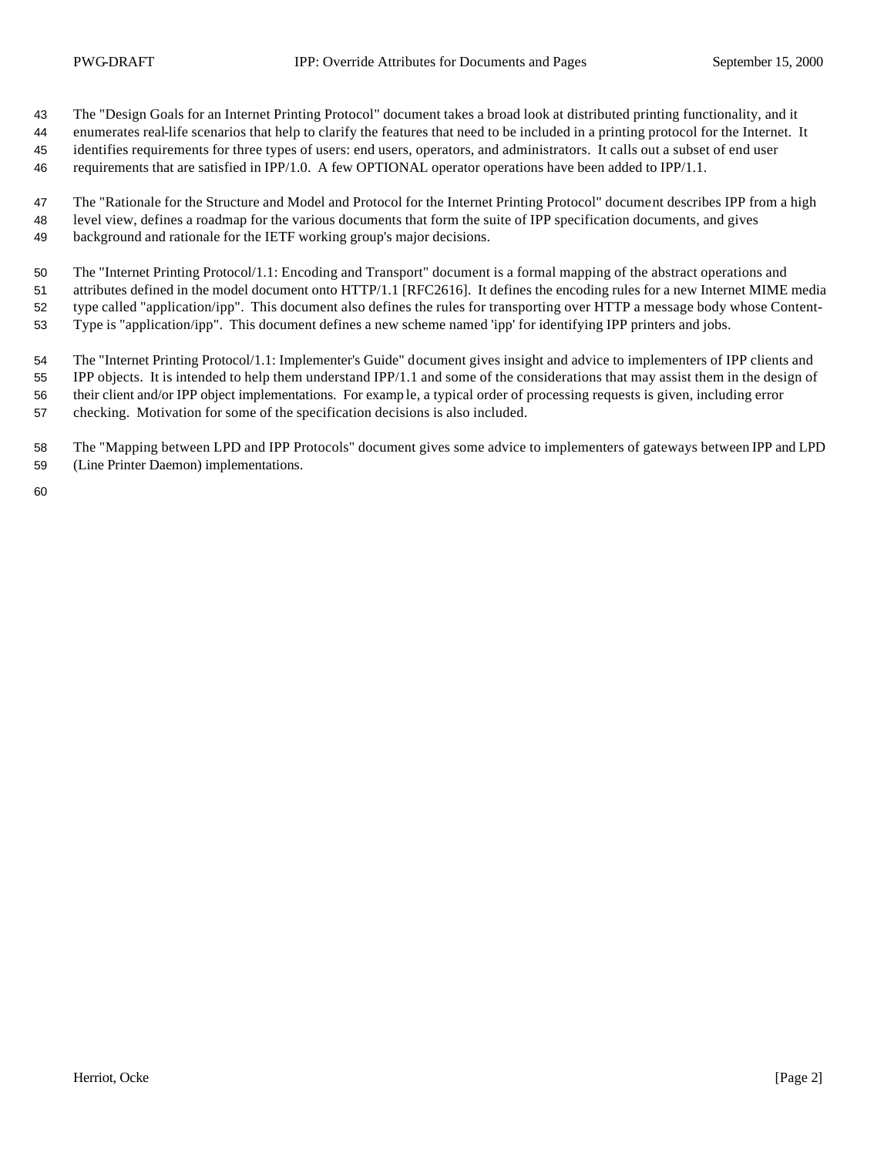The "Design Goals for an Internet Printing Protocol" document takes a broad look at distributed printing functionality, and it

 enumerates real-life scenarios that help to clarify the features that need to be included in a printing protocol for the Internet. It identifies requirements for three types of users: end users, operators, and administrators. It calls out a subset of end user requirements that are satisfied in IPP/1.0. A few OPTIONAL operator operations have been added to IPP/1.1.

 The "Rationale for the Structure and Model and Protocol for the Internet Printing Protocol" document describes IPP from a high level view, defines a roadmap for the various documents that form the suite of IPP specification documents, and gives background and rationale for the IETF working group's major decisions.

The "Internet Printing Protocol/1.1: Encoding and Transport" document is a formal mapping of the abstract operations and

attributes defined in the model document onto HTTP/1.1 [RFC2616]. It defines the encoding rules for a new Internet MIME media

type called "application/ipp". This document also defines the rules for transporting over HTTP a message body whose Content-

Type is "application/ipp". This document defines a new scheme named 'ipp' for identifying IPP printers and jobs.

 The "Internet Printing Protocol/1.1: Implementer's Guide" document gives insight and advice to implementers of IPP clients and IPP objects. It is intended to help them understand IPP/1.1 and some of the considerations that may assist them in the design of their client and/or IPP object implementations. For examp le, a typical order of processing requests is given, including error

checking. Motivation for some of the specification decisions is also included.

 The "Mapping between LPD and IPP Protocols" document gives some advice to implementers of gateways between IPP and LPD (Line Printer Daemon) implementations.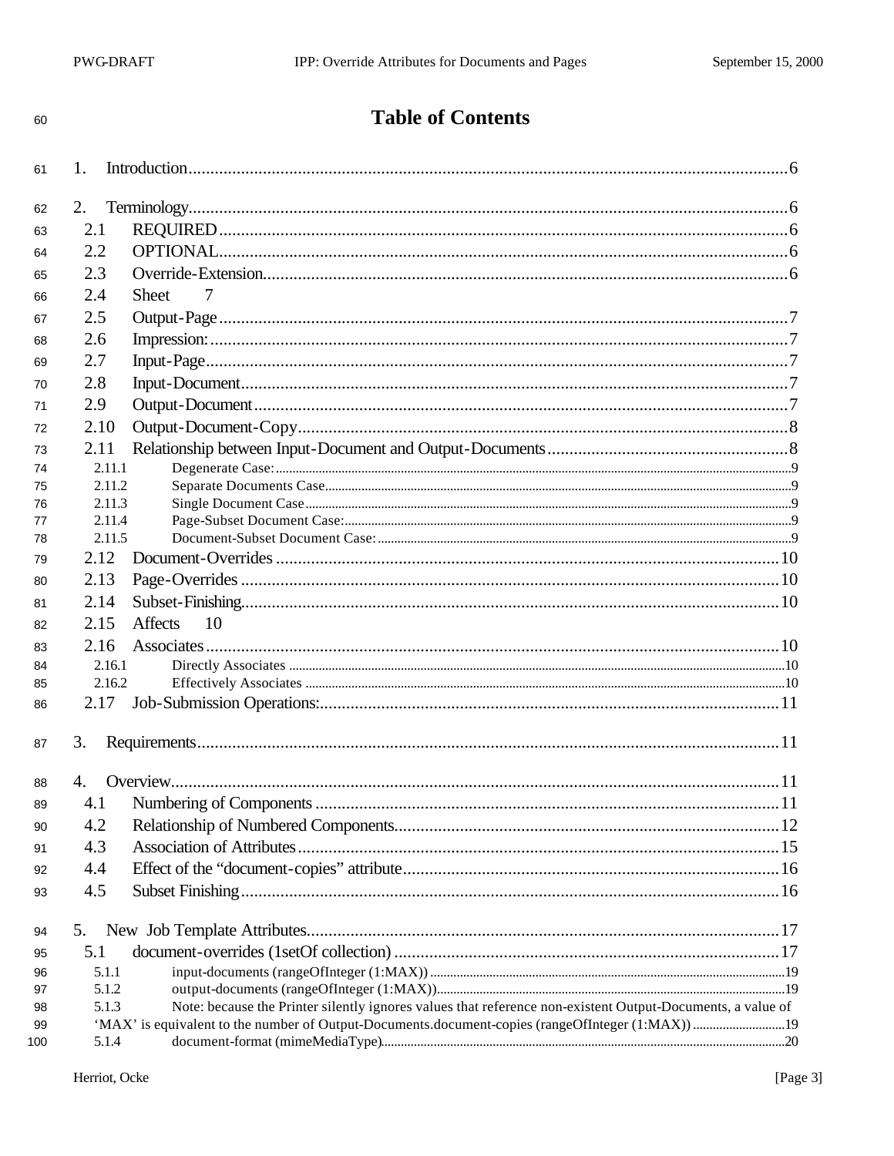# **Table of Contents**

| 61        | 1.             |                                                                                                            |  |
|-----------|----------------|------------------------------------------------------------------------------------------------------------|--|
| 62        | 2.             |                                                                                                            |  |
| 63        | 2.1            |                                                                                                            |  |
| 64        | 2.2            |                                                                                                            |  |
| 65        | 2.3            |                                                                                                            |  |
| 66        | 2.4            | 7<br><b>Sheet</b>                                                                                          |  |
|           | 2.5            |                                                                                                            |  |
| 67        |                |                                                                                                            |  |
| 68        | 2.6            |                                                                                                            |  |
| 69        | 2.7            |                                                                                                            |  |
| 70        | 2.8            |                                                                                                            |  |
| 71        | 2.9            |                                                                                                            |  |
| 72        | 2.10           |                                                                                                            |  |
| 73        | 2.11           |                                                                                                            |  |
| 74        | 2.11.1         |                                                                                                            |  |
| 75        | 2.11.2         |                                                                                                            |  |
| 76        | 2.11.3         |                                                                                                            |  |
| 77        | 2.11.4         |                                                                                                            |  |
| 78        | 2.11.5<br>2.12 |                                                                                                            |  |
| 79        |                |                                                                                                            |  |
| 80        | 2.13           |                                                                                                            |  |
| 81        | 2.14           |                                                                                                            |  |
| 82        | 2.15           | <b>Affects</b><br>10                                                                                       |  |
| 83        | 2.16           |                                                                                                            |  |
| 84        | 2.16.1         |                                                                                                            |  |
| 85        | 2.16.2         |                                                                                                            |  |
| 86        | 2.17           |                                                                                                            |  |
| 87        | 3.             |                                                                                                            |  |
| 88        | $\mathbf{A}$   |                                                                                                            |  |
| 89        | 4.1            |                                                                                                            |  |
| 90        | 4.2            |                                                                                                            |  |
|           | 4.3            |                                                                                                            |  |
| 91        | 4.4            |                                                                                                            |  |
| 92        |                |                                                                                                            |  |
| 93        | 4.5            |                                                                                                            |  |
| 94        | 5.             |                                                                                                            |  |
| 95        | 5.1            |                                                                                                            |  |
| 96        | 5.1.1          |                                                                                                            |  |
| 97        | 5.1.2          |                                                                                                            |  |
| 98        | 5.1.3          | Note: because the Printer silently ignores values that reference non-existent Output-Documents, a value of |  |
| 99<br>100 | 5.1.4          |                                                                                                            |  |
|           |                |                                                                                                            |  |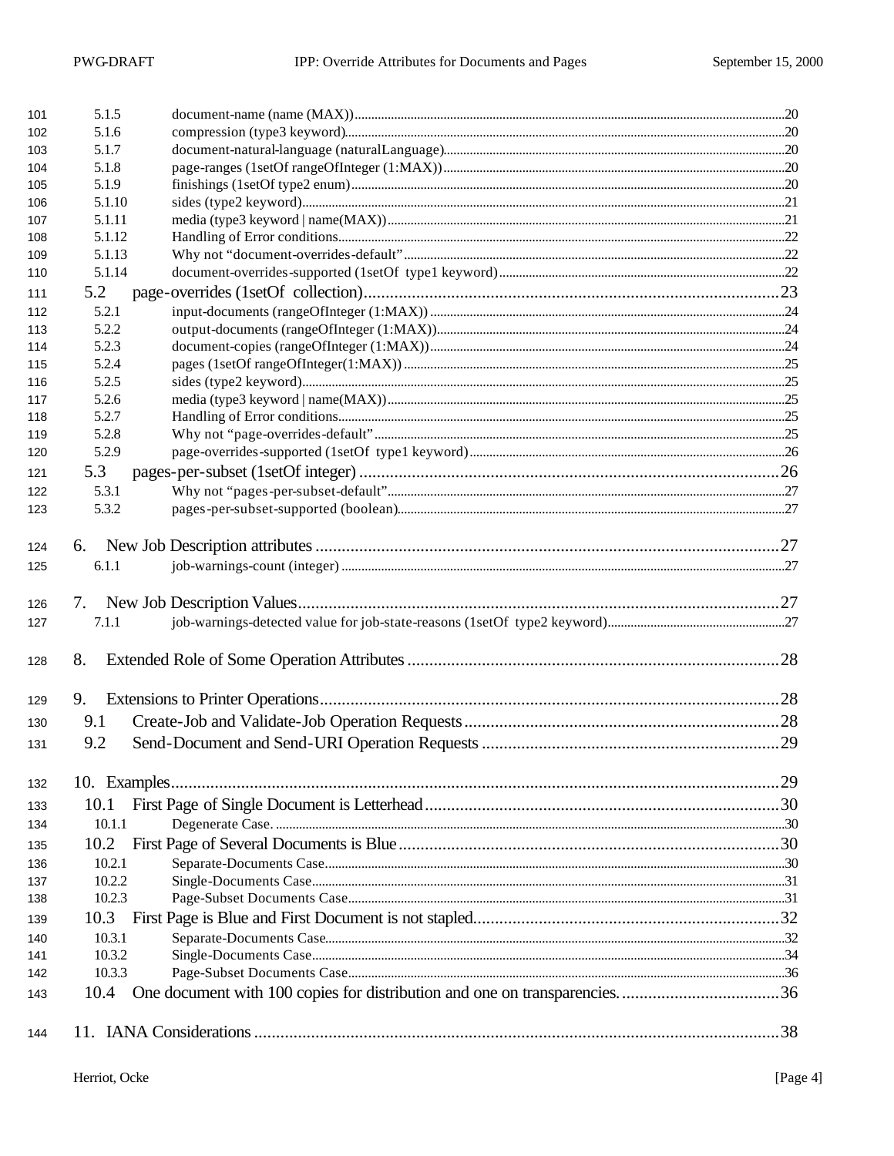| 101        | 5.1.5  |  |
|------------|--------|--|
| 102        | 5.1.6  |  |
| 103        | 5.1.7  |  |
| 104        | 5.1.8  |  |
| 105        | 5.1.9  |  |
| 106        | 5.1.10 |  |
| 107        | 5.1.11 |  |
| 108        | 5.1.12 |  |
| 109        | 5.1.13 |  |
| 110        | 5.1.14 |  |
| 111        | 5.2    |  |
| 112        | 5.2.1  |  |
| 113        | 5.2.2  |  |
| 114        | 5.2.3  |  |
| 115        | 5.2.4  |  |
| 116        | 5.2.5  |  |
| 117        | 5.2.6  |  |
| 118        | 5.2.7  |  |
| 119        | 5.2.8  |  |
| 120        | 5.2.9  |  |
| 121        | 5.3    |  |
| 122        | 5.3.1  |  |
| 123        | 5.3.2  |  |
| 124        |        |  |
| 125        | 6.1.1  |  |
|            |        |  |
| 126        | 7.     |  |
| 127        | 7.1.1  |  |
| 128        | 8.     |  |
| 129        | 9.     |  |
|            | 9.1    |  |
| 130        |        |  |
| 131        | 9.2    |  |
| 132        |        |  |
| 133        | 10.1   |  |
| 134        | 10.1.1 |  |
| 135        | 10.2   |  |
| 136        | 10.2.1 |  |
| 137        | 10.2.2 |  |
| 138        | 10.2.3 |  |
| 139        | 10.3   |  |
|            | 10.3.1 |  |
| 140<br>141 | 10.3.2 |  |
| 142        | 10.3.3 |  |
| 143        | 10.4   |  |
|            |        |  |
| 144        |        |  |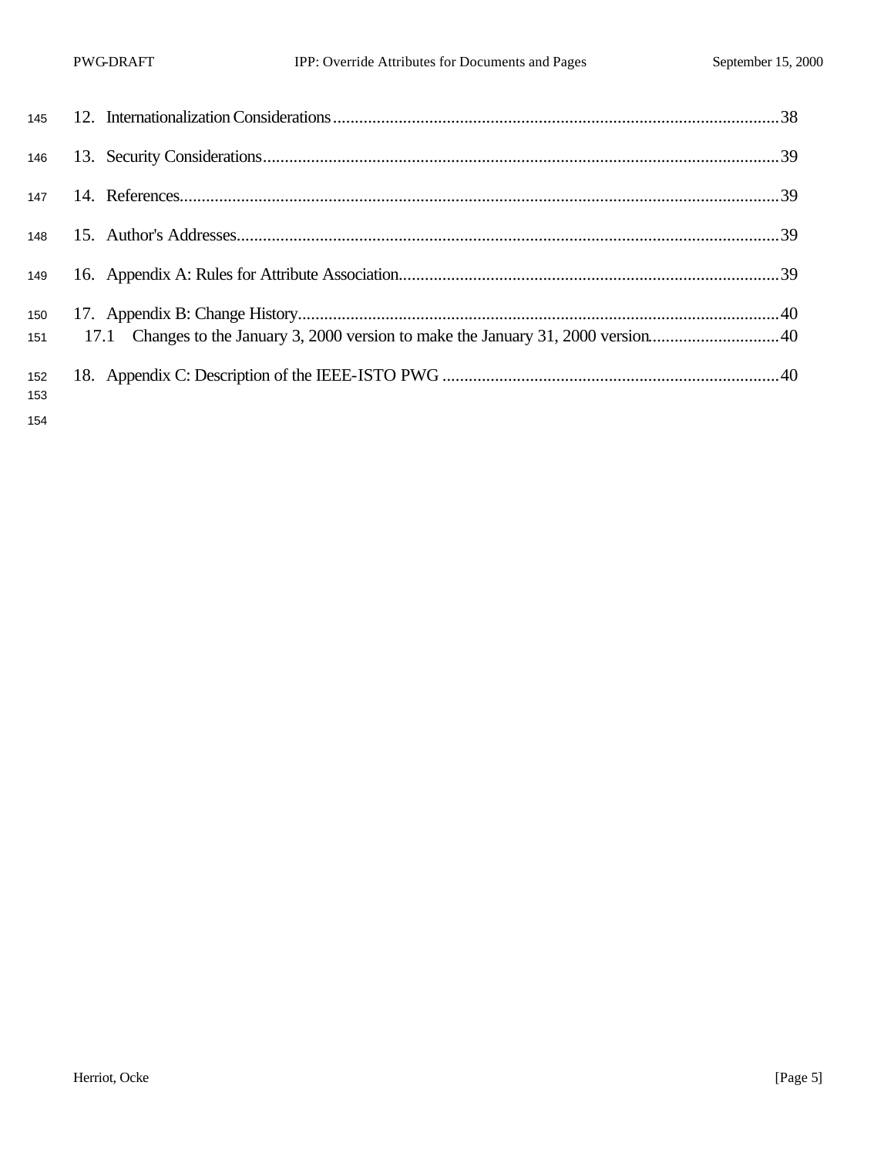| 146        |  |  |
|------------|--|--|
| 147        |  |  |
|            |  |  |
| 149        |  |  |
| 150<br>151 |  |  |
| 152<br>153 |  |  |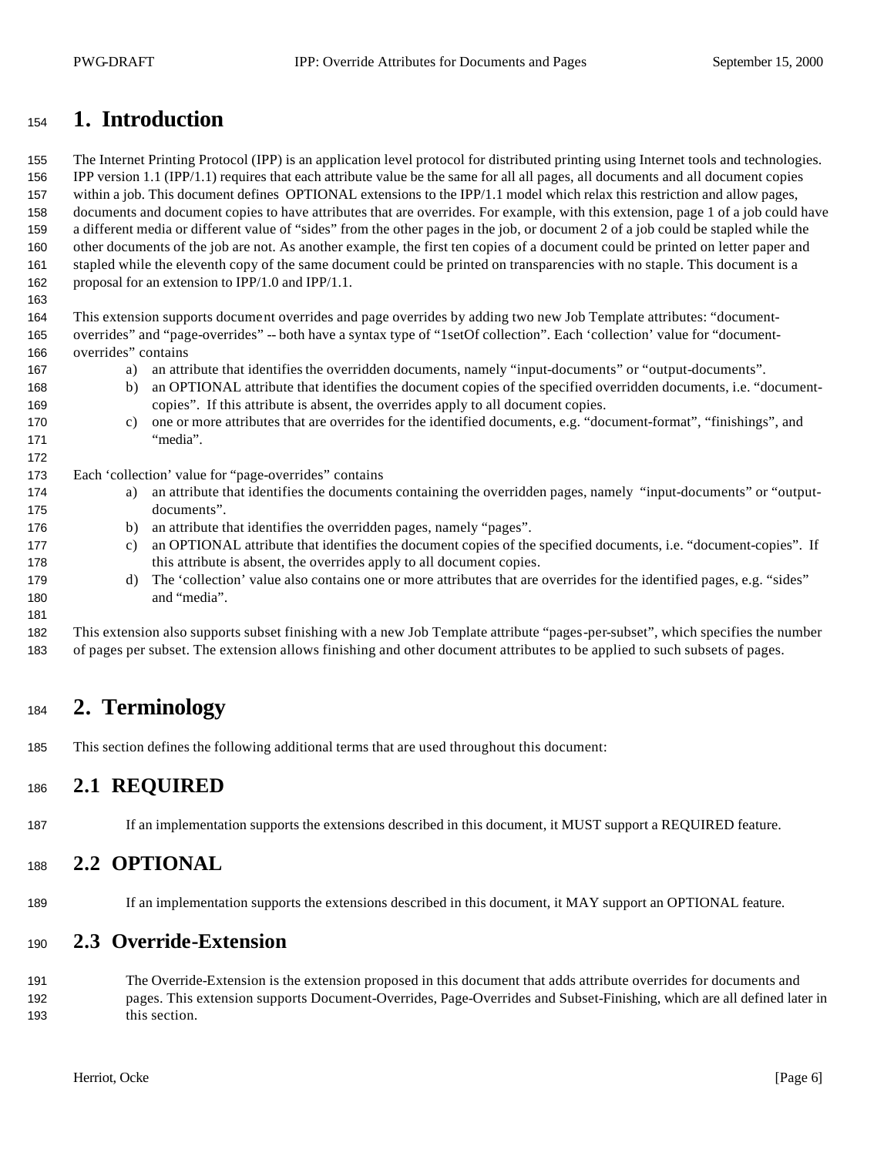# **1. Introduction**

 The Internet Printing Protocol (IPP) is an application level protocol for distributed printing using Internet tools and technologies. IPP version 1.1 (IPP/1.1) requires that each attribute value be the same for all all pages, all documents and all document copies within a job. This document defines OPTIONAL extensions to the IPP/1.1 model which relax this restriction and allow pages, documents and document copies to have attributes that are overrides. For example, with this extension, page 1 of a job could have a different media or different value of "sides" from the other pages in the job, or document 2 of a job could be stapled while the other documents of the job are not. As another example, the first ten copies of a document could be printed on letter paper and stapled while the eleventh copy of the same document could be printed on transparencies with no staple. This document is a proposal for an extension to IPP/1.0 and IPP/1.1.

 This extension supports document overrides and page overrides by adding two new Job Template attributes: "document- overrides" and "page-overrides" -- both have a syntax type of "1setOf collection". Each 'collection' value for "document-overrides" contains

- a) an attribute that identifies the overridden documents, namely "input-documents" or "output-documents".
- b) an OPTIONAL attribute that identifies the document copies of the specified overridden documents, i.e. "document-copies". If this attribute is absent, the overrides apply to all document copies.
- c) one or more attributes that are overrides for the identified documents, e.g. "document-format", "finishings", and 171 "media".

Each 'collection' value for "page-overrides" contains

- a) an attribute that identifies the documents containing the overridden pages, namely "input-documents" or "output-documents".
- b) an attribute that identifies the overridden pages, namely "pages".
- c) an OPTIONAL attribute that identifies the document copies of the specified documents, i.e. "document-copies". If 178 this attribute is absent, the overrides apply to all document copies.
- d) The 'collection' value also contains one or more attributes that are overrides for the identified pages, e.g. "sides" and "media".

 This extension also supports subset finishing with a new Job Template attribute "pages-per-subset", which specifies the number of pages per subset. The extension allows finishing and other document attributes to be applied to such subsets of pages.

# **2. Terminology**

This section defines the following additional terms that are used throughout this document:

## **2.1 REQUIRED**

If an implementation supports the extensions described in this document, it MUST support a REQUIRED feature.

### **2.2 OPTIONAL**

If an implementation supports the extensions described in this document, it MAY support an OPTIONAL feature.

### **2.3 Override-Extension**

 The Override-Extension is the extension proposed in this document that adds attribute overrides for documents and pages. This extension supports Document-Overrides, Page-Overrides and Subset-Finishing, which are all defined later in this section.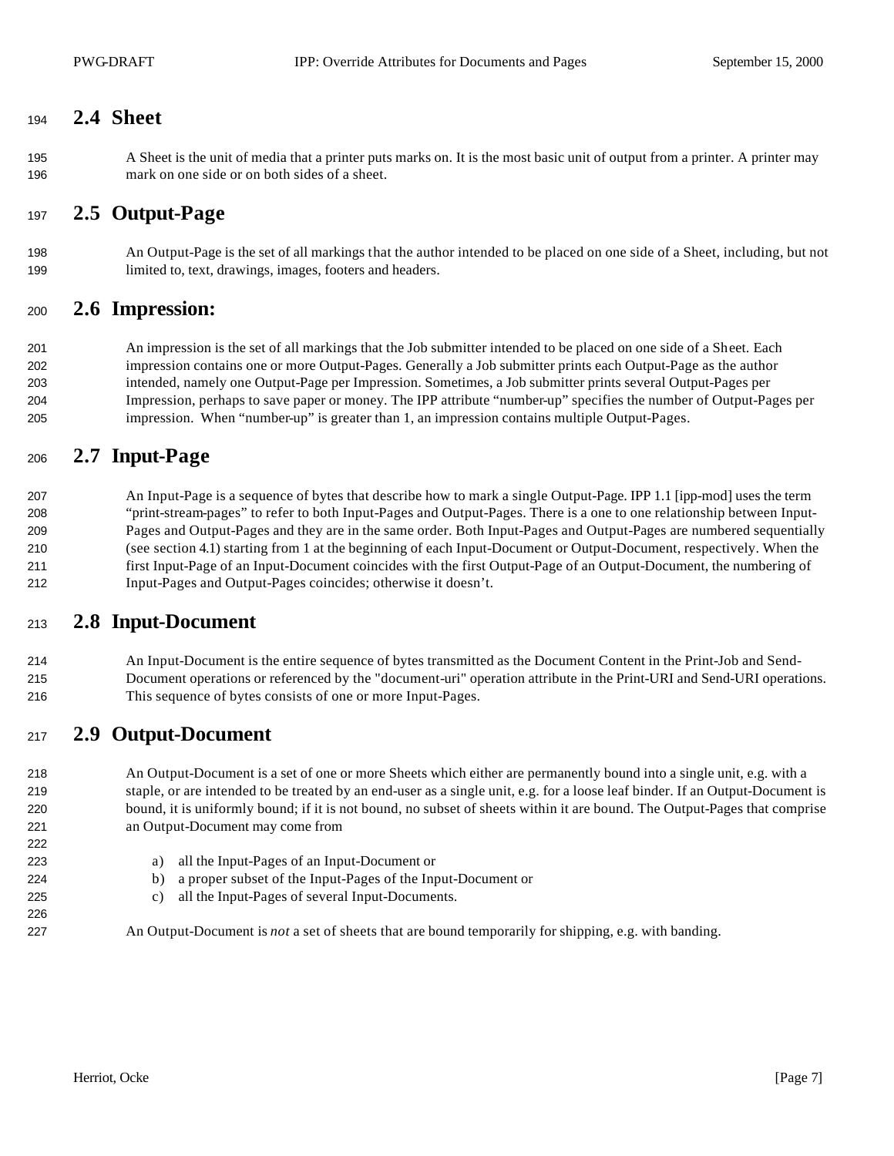## **2.4 Sheet**

 A Sheet is the unit of media that a printer puts marks on. It is the most basic unit of output from a printer. A printer may mark on one side or on both sides of a sheet.

### **2.5 Output-Page**

 An Output-Page is the set of all markings that the author intended to be placed on one side of a Sheet, including, but not limited to, text, drawings, images, footers and headers.

#### **2.6 Impression:**

 An impression is the set of all markings that the Job submitter intended to be placed on one side of a Sheet. Each impression contains one or more Output-Pages. Generally a Job submitter prints each Output-Page as the author intended, namely one Output-Page per Impression. Sometimes, a Job submitter prints several Output-Pages per Impression, perhaps to save paper or money. The IPP attribute "number-up" specifies the number of Output-Pages per impression. When "number-up" is greater than 1, an impression contains multiple Output-Pages.

# **2.7 Input-Page**

 An Input-Page is a sequence of bytes that describe how to mark a single Output-Page. IPP 1.1 [ipp-mod] uses the term "print-stream-pages" to refer to both Input-Pages and Output-Pages. There is a one to one relationship between Input- Pages and Output-Pages and they are in the same order. Both Input-Pages and Output-Pages are numbered sequentially (see section 4.1) starting from 1 at the beginning of each Input-Document or Output-Document, respectively. When the first Input-Page of an Input-Document coincides with the first Output-Page of an Output-Document, the numbering of Input-Pages and Output-Pages coincides; otherwise it doesn't.

### **2.8 Input-Document**

 An Input-Document is the entire sequence of bytes transmitted as the Document Content in the Print-Job and Send- Document operations or referenced by the "document-uri" operation attribute in the Print-URI and Send-URI operations. This sequence of bytes consists of one or more Input-Pages.

## **2.9 Output-Document**

 An Output-Document is a set of one or more Sheets which either are permanently bound into a single unit, e.g. with a staple, or are intended to be treated by an end-user as a single unit, e.g. for a loose leaf binder. If an Output-Document is bound, it is uniformly bound; if it is not bound, no subset of sheets within it are bound. The Output-Pages that comprise an Output-Document may come from

- a) all the Input-Pages of an Input-Document or
- b) a proper subset of the Input-Pages of the Input-Document or
- c) all the Input-Pages of several Input-Documents.

An Output-Document is *not* a set of sheets that are bound temporarily for shipping, e.g. with banding.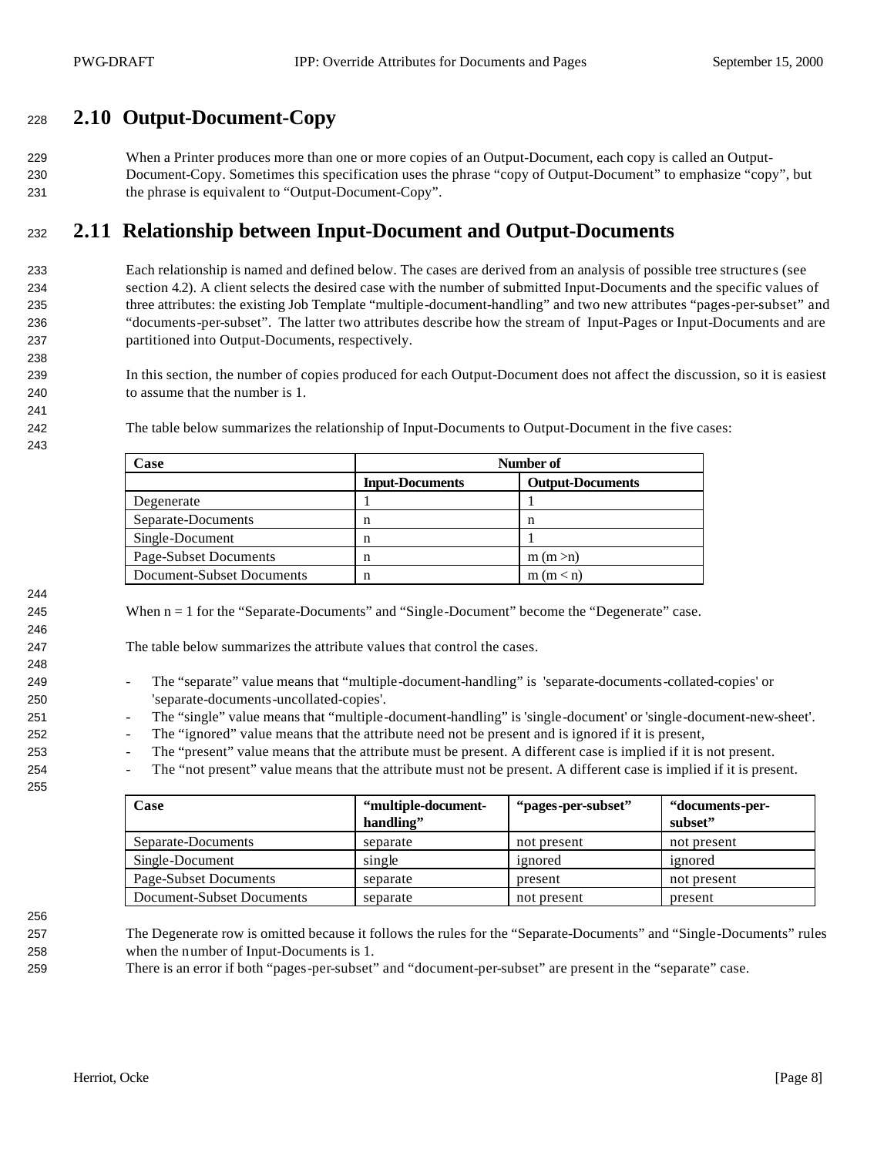# **2.10 Output-Document-Copy**

 When a Printer produces more than one or more copies of an Output-Document, each copy is called an Output- Document-Copy. Sometimes this specification uses the phrase "copy of Output-Document" to emphasize "copy", but the phrase is equivalent to "Output-Document-Copy".

# **2.11 Relationship between Input-Document and Output-Documents**

 Each relationship is named and defined below. The cases are derived from an analysis of possible tree structures (see section 4.2). A client selects the desired case with the number of submitted Input-Documents and the specific values of three attributes: the existing Job Template "multiple-document-handling" and two new attributes "pages-per-subset" and "documents-per-subset". The latter two attributes describe how the stream of Input-Pages or Input-Documents and are partitioned into Output-Documents, respectively.

- In this section, the number of copies produced for each Output-Document does not affect the discussion, so it is easiest to assume that the number is 1.
- 

The table below summarizes the relationship of Input-Documents to Output-Document in the five cases:

| Case                             | Number of              |                         |  |
|----------------------------------|------------------------|-------------------------|--|
|                                  | <b>Input-Documents</b> | <b>Output-Documents</b> |  |
| Degenerate                       |                        |                         |  |
| Separate-Documents               | n                      | n                       |  |
| Single-Document                  | n                      |                         |  |
| Page-Subset Documents            | n                      | m(m> n)                 |  |
| <b>Document-Subset Documents</b> | n                      | m(m < n)                |  |

245 When  $n = 1$  for the "Separate-Documents" and "Single-Document" become the "Degenerate" case.

The table below summarizes the attribute values that control the cases.

- 249 The "separate" value means that "multiple-document-handling" is 'separate-documents-collated-copies' or 'separate-documents-uncollated-copies'.
- The "single" value means that "multiple-document-handling" is 'single-document' or 'single-document-new-sheet'.
- The "ignored" value means that the attribute need not be present and is ignored if it is present,
- The "present" value means that the attribute must be present. A different case is implied if it is not present.
- The "not present" value means that the attribute must not be present. A different case is implied if it is present.

| Case                      | "multiple-document-<br>handling" | "pages-per-subset" | "documents-per-<br>subset" |
|---------------------------|----------------------------------|--------------------|----------------------------|
| Separate-Documents        | separate                         | not present        | not present                |
| Single-Document           | single                           | ignored            | ignored                    |
| Page-Subset Documents     | separate                         | present            | not present                |
| Document-Subset Documents | separate                         | not present        | present                    |

 The Degenerate row is omitted because it follows the rules for the "Separate-Documents" and "Single-Documents" rules when the number of Input-Documents is 1.

There is an error if both "pages-per-subset" and "document-per-subset" are present in the "separate" case.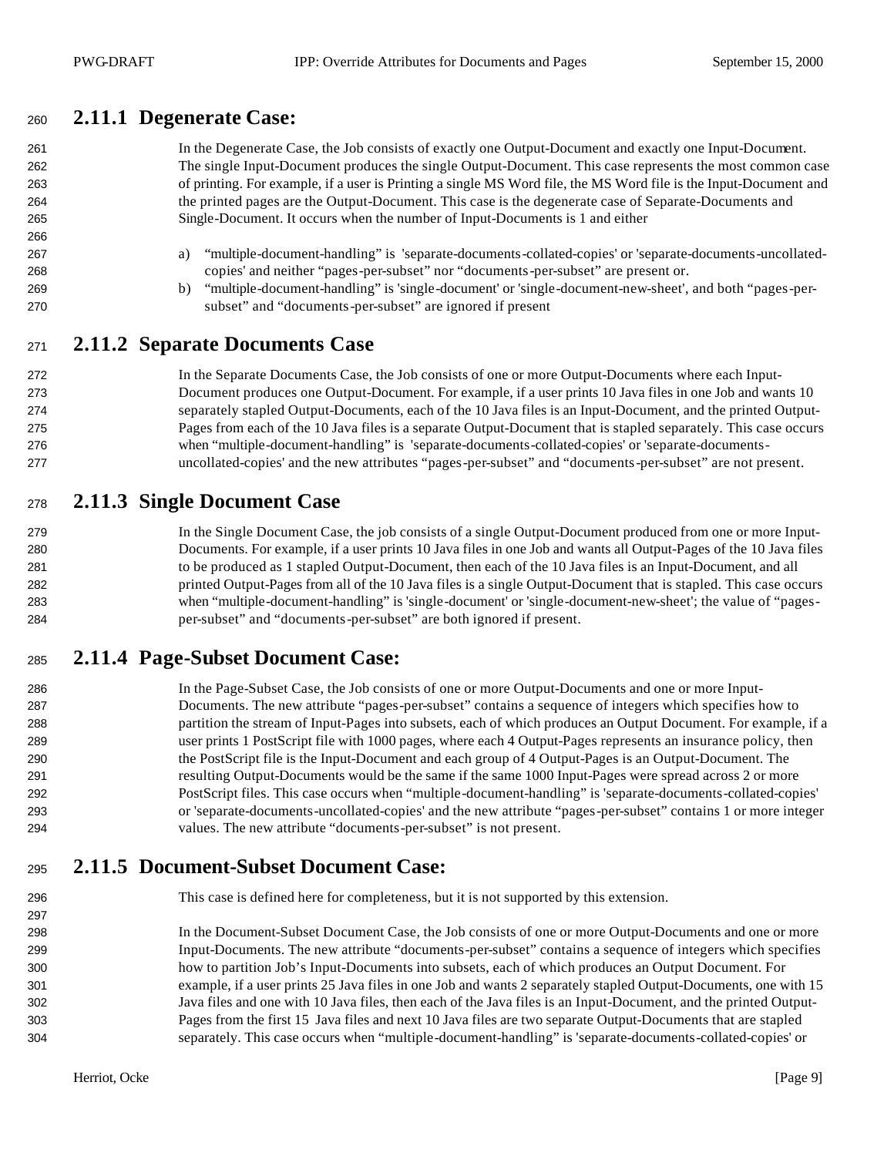## **2.11.1 Degenerate Case:**

| 261 | In the Degenerate Case, the Job consists of exactly one Output-Document and exactly one Input-Document.           |
|-----|-------------------------------------------------------------------------------------------------------------------|
| 262 | The single Input-Document produces the single Output-Document. This case represents the most common case          |
| 263 | of printing. For example, if a user is Printing a single MS Word file, the MS Word file is the Input-Document and |
| 264 | the printed pages are the Output-Document. This case is the degenerate case of Separate-Documents and             |
| 265 | Single-Document. It occurs when the number of Input-Documents is 1 and either                                     |
| 266 |                                                                                                                   |
| 267 | "multiple-document-handling" is 'separate-documents-collated-copies' or 'separate-documents-uncollated-<br>a)     |
| 268 | copies' and neither "pages-per-subset" nor "documents-per-subset" are present or.                                 |
| 269 | "multiple-document-handling" is 'single-document' or 'single-document-new-sheet', and both "pages-per-<br>b)      |
| 270 | subset" and "documents-per-subset" are ignored if present                                                         |
| 271 | 2.11.2 Separate Documents Case                                                                                    |
| 272 | In the Separate Documents Case, the Job consists of one or more Output-Documents where each Input-                |
| 273 | Document produces one Output-Document. For example, if a user prints 10 Java files in one Job and wants 10        |
| 274 | separately stapled Output-Documents, each of the 10 Java files is an Input-Document, and the printed Output-      |
| 275 | Pages from each of the 10 Java files is a separate Output-Document that is stapled separately. This case occurs   |

## **2.11.3 Single Document Case**

#### 279 In the Single Document Case, the job consists of a single Output-Document produced from one or more Input- Documents. For example, if a user prints 10 Java files in one Job and wants all Output-Pages of the 10 Java files to be produced as 1 stapled Output-Document, then each of the 10 Java files is an Input-Document, and all printed Output-Pages from all of the 10 Java files is a single Output-Document that is stapled. This case occurs when "multiple-document-handling" is 'single-document' or 'single-document-new-sheet'; the value of "pages-per-subset" and "documents-per-subset" are both ignored if present.

 when "multiple-document-handling" is 'separate-documents-collated-copies' or 'separate-documents-uncollated-copies' and the new attributes "pages-per-subset" and "documents-per-subset" are not present.

### **2.11.4 Page-Subset Document Case:**

 In the Page-Subset Case, the Job consists of one or more Output-Documents and one or more Input- Documents. The new attribute "pages-per-subset" contains a sequence of integers which specifies how to partition the stream of Input-Pages into subsets, each of which produces an Output Document. For example, if a user prints 1 PostScript file with 1000 pages, where each 4 Output-Pages represents an insurance policy, then the PostScript file is the Input-Document and each group of 4 Output-Pages is an Output-Document. The resulting Output-Documents would be the same if the same 1000 Input-Pages were spread across 2 or more PostScript files. This case occurs when "multiple-document-handling" is 'separate-documents-collated-copies' or 'separate-documents-uncollated-copies' and the new attribute "pages-per-subset" contains 1 or more integer values. The new attribute "documents-per-subset" is not present.

### **2.11.5 Document-Subset Document Case:**

This case is defined here for completeness, but it is not supported by this extension.

 In the Document-Subset Document Case, the Job consists of one or more Output-Documents and one or more Input-Documents. The new attribute "documents-per-subset" contains a sequence of integers which specifies how to partition Job's Input-Documents into subsets, each of which produces an Output Document. For example, if a user prints 25 Java files in one Job and wants 2 separately stapled Output-Documents, one with 15 Java files and one with 10 Java files, then each of the Java files is an Input-Document, and the printed Output- Pages from the first 15 Java files and next 10 Java files are two separate Output-Documents that are stapled separately. This case occurs when "multiple-document-handling" is 'separate-documents-collated-copies' or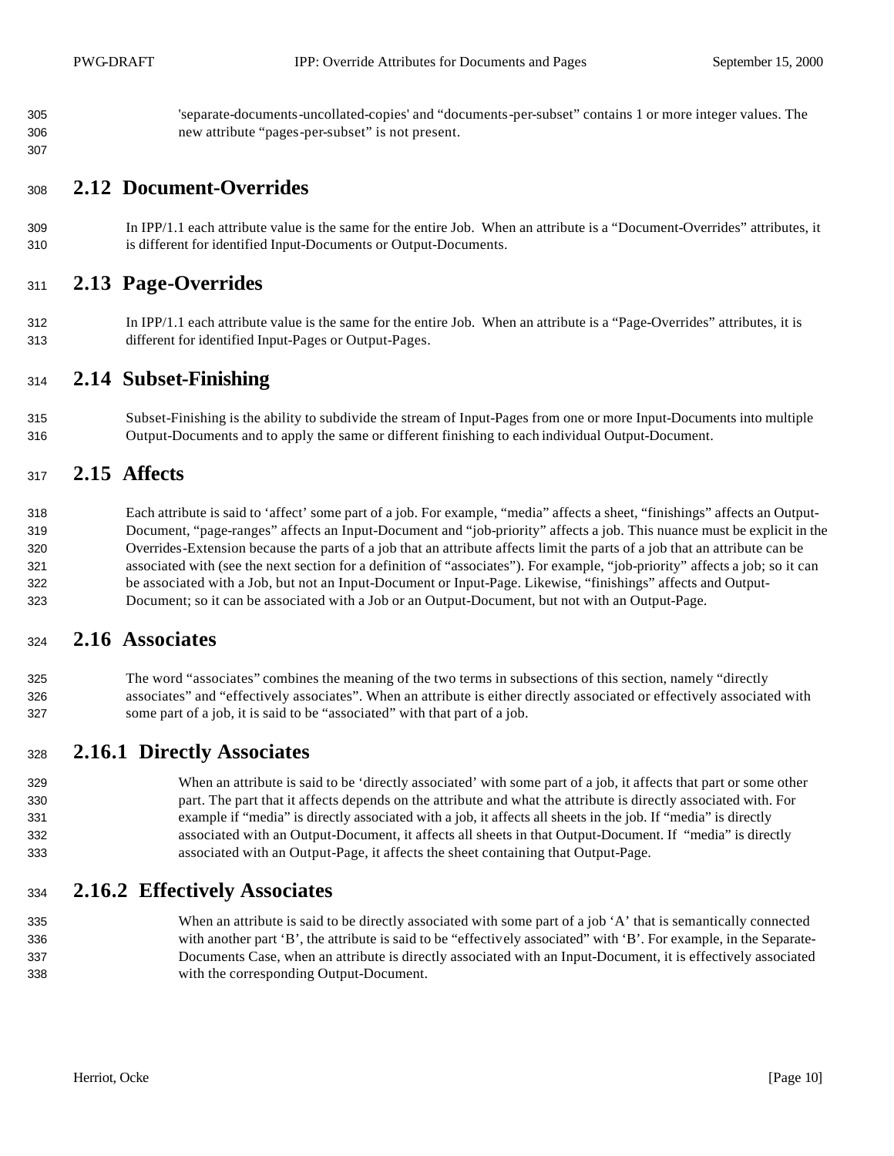'separate-documents-uncollated-copies' and "documents-per-subset" contains 1 or more integer values. The new attribute "pages-per-subset" is not present.

#### **2.12 Document-Overrides**

 In IPP/1.1 each attribute value is the same for the entire Job. When an attribute is a "Document-Overrides" attributes, it is different for identified Input-Documents or Output-Documents.

### **2.13 Page-Overrides**

 In IPP/1.1 each attribute value is the same for the entire Job. When an attribute is a "Page-Overrides" attributes, it is different for identified Input-Pages or Output-Pages.

#### **2.14 Subset-Finishing**

 Subset-Finishing is the ability to subdivide the stream of Input-Pages from one or more Input-Documents into multiple Output-Documents and to apply the same or different finishing to each individual Output-Document.

#### **2.15 Affects**

 Each attribute is said to 'affect' some part of a job. For example, "media" affects a sheet, "finishings" affects an Output- Document, "page-ranges" affects an Input-Document and "job-priority" affects a job. This nuance must be explicit in the Overrides-Extension because the parts of a job that an attribute affects limit the parts of a job that an attribute can be associated with (see the next section for a definition of "associates"). For example, "job-priority" affects a job; so it can be associated with a Job, but not an Input-Document or Input-Page. Likewise, "finishings" affects and Output-Document; so it can be associated with a Job or an Output-Document, but not with an Output-Page.

### **2.16 Associates**

 The word "associates" combines the meaning of the two terms in subsections of this section, namely "directly associates" and "effectively associates". When an attribute is either directly associated or effectively associated with some part of a job, it is said to be "associated" with that part of a job.

### **2.16.1 Directly Associates**

 When an attribute is said to be 'directly associated' with some part of a job, it affects that part or some other part. The part that it affects depends on the attribute and what the attribute is directly associated with. For example if "media" is directly associated with a job, it affects all sheets in the job. If "media" is directly associated with an Output-Document, it affects all sheets in that Output-Document. If "media" is directly associated with an Output-Page, it affects the sheet containing that Output-Page.

### **2.16.2 Effectively Associates**

335 When an attribute is said to be directly associated with some part of a job 'A' that is semantically connected with another part 'B', the attribute is said to be "effectively associated" with 'B'. For example, in the Separate- Documents Case, when an attribute is directly associated with an Input-Document, it is effectively associated with the corresponding Output-Document.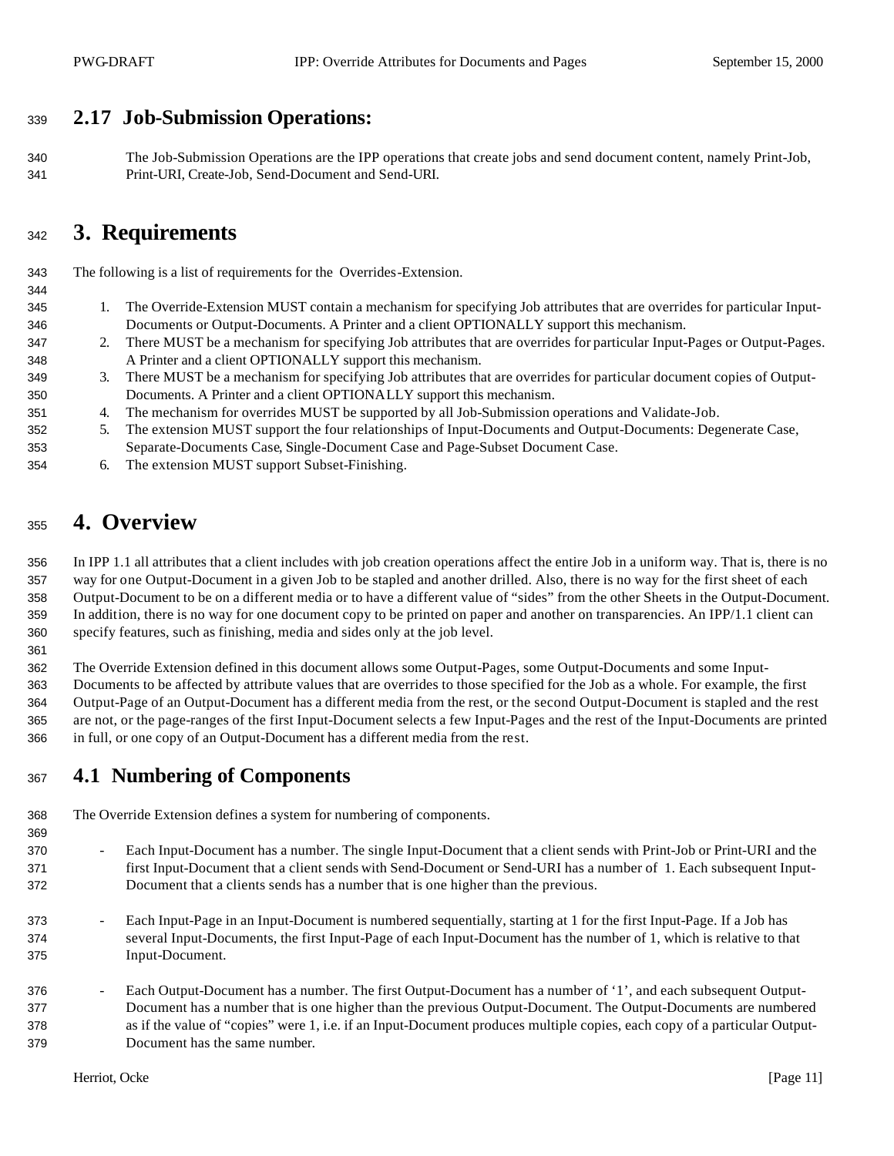# **2.17 Job-Submission Operations:**

 The Job-Submission Operations are the IPP operations that create jobs and send document content, namely Print-Job, Print-URI, Create-Job, Send-Document and Send-URI.

# **3. Requirements**

The following is a list of requirements for the Overrides-Extension.

- 1. The Override-Extension MUST contain a mechanism for specifying Job attributes that are overrides for particular Input-Documents or Output-Documents. A Printer and a client OPTIONALLY support this mechanism.
- 2. There MUST be a mechanism for specifying Job attributes that are overrides for particular Input-Pages or Output-Pages. A Printer and a client OPTIONALLY support this mechanism.
- 3. There MUST be a mechanism for specifying Job attributes that are overrides for particular document copies of Output-Documents. A Printer and a client OPTIONALLY support this mechanism.
- 4. The mechanism for overrides MUST be supported by all Job-Submission operations and Validate-Job.
- 5. The extension MUST support the four relationships of Input-Documents and Output-Documents: Degenerate Case, Separate-Documents Case, Single-Document Case and Page-Subset Document Case.
- 6. The extension MUST support Subset-Finishing.

# **4. Overview**

 In IPP 1.1 all attributes that a client includes with job creation operations affect the entire Job in a uniform way. That is, there is no way for one Output-Document in a given Job to be stapled and another drilled. Also, there is no way for the first sheet of each Output-Document to be on a different media or to have a different value of "sides" from the other Sheets in the Output-Document. In addition, there is no way for one document copy to be printed on paper and another on transparencies. An IPP/1.1 client can specify features, such as finishing, media and sides only at the job level.

The Override Extension defined in this document allows some Output-Pages, some Output-Documents and some Input-

 Documents to be affected by attribute values that are overrides to those specified for the Job as a whole. For example, the first Output-Page of an Output-Document has a different media from the rest, or the second Output-Document is stapled and the rest are not, or the page-ranges of the first Input-Document selects a few Input-Pages and the rest of the Input-Documents are printed in full, or one copy of an Output-Document has a different media from the rest.

# **4.1 Numbering of Components**

The Override Extension defines a system for numbering of components.

- Each Input-Document has a number. The single Input-Document that a client sends with Print-Job or Print-URI and the first Input-Document that a client sends with Send-Document or Send-URI has a number of 1. Each subsequent Input-Document that a clients sends has a number that is one higher than the previous.
- Each Input-Page in an Input-Document is numbered sequentially, starting at 1 for the first Input-Page. If a Job has several Input-Documents, the first Input-Page of each Input-Document has the number of 1, which is relative to that Input-Document.
- Each Output-Document has a number. The first Output-Document has a number of '1', and each subsequent Output- Document has a number that is one higher than the previous Output-Document. The Output-Documents are numbered as if the value of "copies" were 1, i.e. if an Input-Document produces multiple copies, each copy of a particular Output-Document has the same number.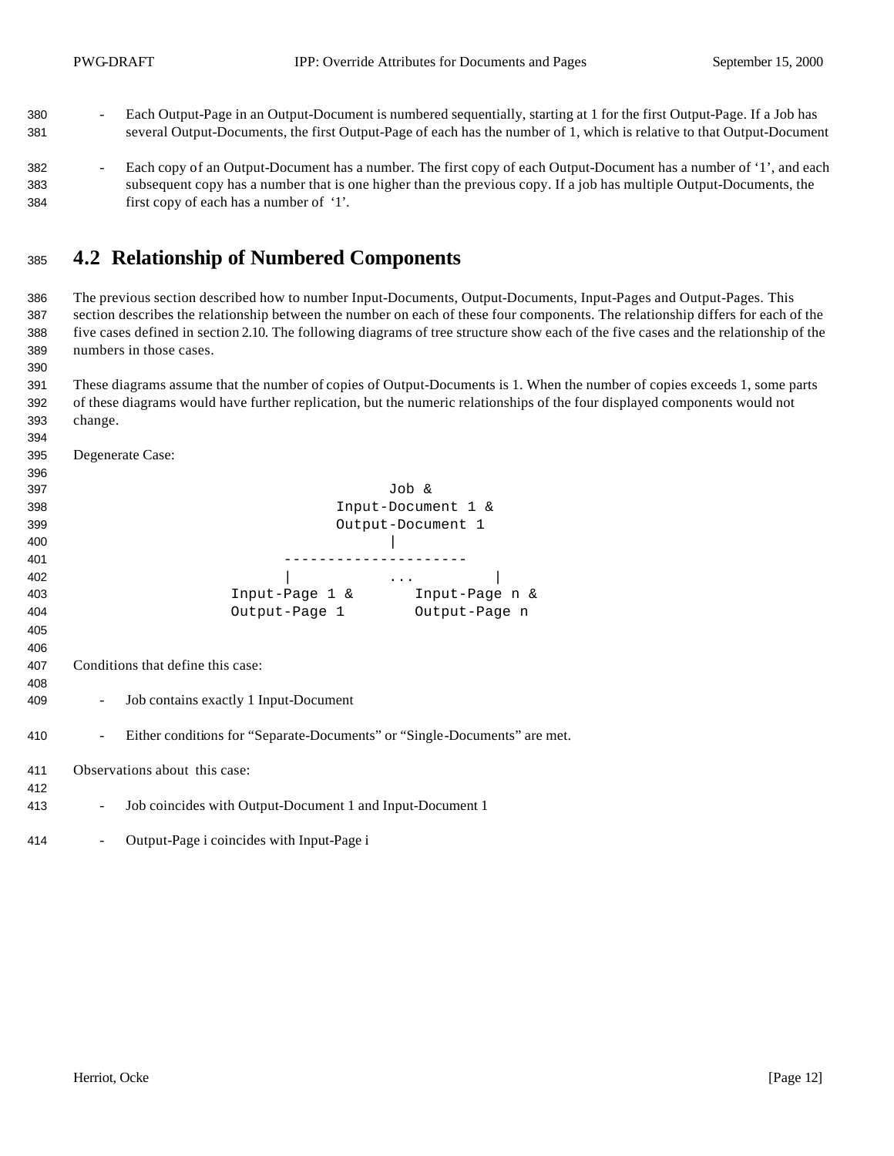- Each Output-Page in an Output-Document is numbered sequentially, starting at 1 for the first Output-Page. If a Job has several Output-Documents, the first Output-Page of each has the number of 1, which is relative to that Output-Document
- 382 Each copy of an Output-Document has a number. The first copy of each Output-Document has a number of '1', and each subsequent copy has a number that is one higher than the previous copy. If a job has multiple Output-Documents, the first copy of each has a number of '1'.

## **4.2 Relationship of Numbered Components**

 The previous section described how to number Input-Documents, Output-Documents, Input-Pages and Output-Pages. This section describes the relationship between the number on each of these four components. The relationship differs for each of the five cases defined in section 2.10. The following diagrams of tree structure show each of the five cases and the relationship of the numbers in those cases.

 These diagrams assume that the number of copies of Output-Documents is 1. When the number of copies exceeds 1, some parts of these diagrams would have further replication, but the numeric relationships of the four displayed components would not change.

| 395 | Degenerate Case:                                                          |
|-----|---------------------------------------------------------------------------|
| 396 |                                                                           |
| 397 | Job &                                                                     |
| 398 | Input-Document 1 &                                                        |
| 399 | Output-Document 1                                                         |
| 400 |                                                                           |
| 401 |                                                                           |
| 402 | $\sim$ $\sim$ $\sim$ $\sim$ $\sim$                                        |
| 403 | Input-Page 1 & Input-Page n &                                             |
| 404 | Output-Page 1<br>Output-Page n                                            |
| 405 |                                                                           |
| 406 |                                                                           |
| 407 | Conditions that define this case:                                         |
| 408 |                                                                           |
| 409 | Job contains exactly 1 Input-Document                                     |
| 410 | Either conditions for "Separate-Documents" or "Single-Documents" are met. |
| 411 | Observations about this case:                                             |
| 412 |                                                                           |
| 413 | Job coincides with Output-Document 1 and Input-Document 1                 |
| 414 | Output-Page i coincides with Input-Page i                                 |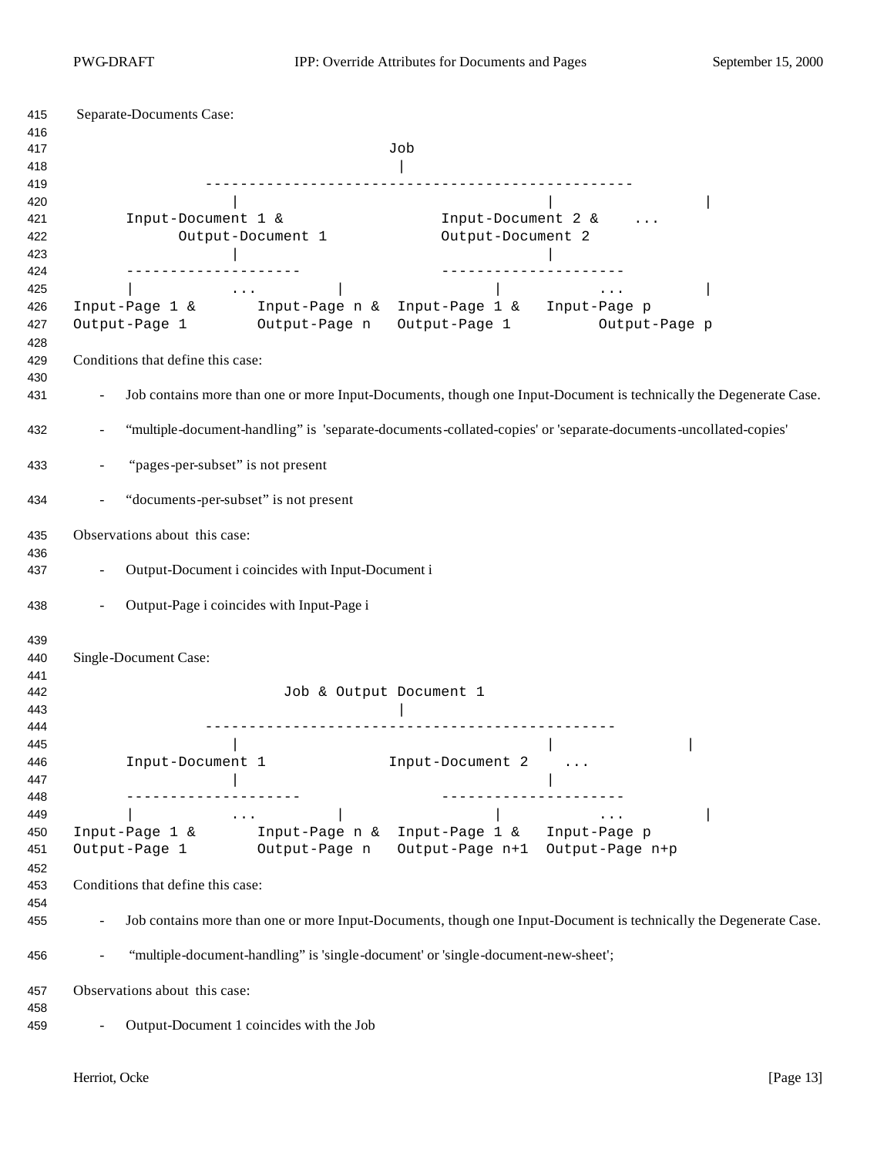| Separate-Documents Case:                                                                                                                                   |                                                                                                                   |  |  |  |  |
|------------------------------------------------------------------------------------------------------------------------------------------------------------|-------------------------------------------------------------------------------------------------------------------|--|--|--|--|
|                                                                                                                                                            | Job                                                                                                               |  |  |  |  |
| Input-Document 1 &<br>Output-Document 1                                                                                                                    | Input-Document 2 &<br>Output-Document 2                                                                           |  |  |  |  |
| _________________<br>$\sim$ $\sim$ $\sim$ $\sim$<br>Input-Page 1 & Input-Page n & Input-Page 1 & Input-Page p<br>Output-Page 1 Output-Page n Output-Page 1 | ______________________<br>$\sim$ $\sim$ $\sim$<br>Output-Page p                                                   |  |  |  |  |
| Conditions that define this case:                                                                                                                          |                                                                                                                   |  |  |  |  |
|                                                                                                                                                            | Job contains more than one or more Input-Documents, though one Input-Document is technically the Degenerate Case. |  |  |  |  |
|                                                                                                                                                            | "multiple-document-handling" is 'separate-documents-collated-copies' or 'separate-documents-uncollated-copies'    |  |  |  |  |
| "pages-per-subset" is not present                                                                                                                          |                                                                                                                   |  |  |  |  |
| "documents-per-subset" is not present                                                                                                                      |                                                                                                                   |  |  |  |  |
| Observations about this case:                                                                                                                              |                                                                                                                   |  |  |  |  |
|                                                                                                                                                            |                                                                                                                   |  |  |  |  |
|                                                                                                                                                            | Output-Document i coincides with Input-Document i                                                                 |  |  |  |  |
| Output-Page i coincides with Input-Page i                                                                                                                  |                                                                                                                   |  |  |  |  |
| Single-Document Case:                                                                                                                                      |                                                                                                                   |  |  |  |  |
|                                                                                                                                                            | Job & Output Document 1                                                                                           |  |  |  |  |
| Input-Document 1                                                                                                                                           | Input-Document 2                                                                                                  |  |  |  |  |
| ------------------<br>$\mathcal{L}_{\text{max}}$ and $\mathcal{L}_{\text{max}}$ . The contract of $\mathcal{L}_{\text{max}}$                               |                                                                                                                   |  |  |  |  |
| Input-Page 1 & Input-Page n & Input-Page 1 & Input-Page $p$<br>Output-Page 1 Output-Page n                                                                 | Output-Page n+1 Output-Page n+p                                                                                   |  |  |  |  |
| Conditions that define this case:                                                                                                                          |                                                                                                                   |  |  |  |  |
|                                                                                                                                                            | Job contains more than one or more Input-Documents, though one Input-Document is technically the Degenerate Case. |  |  |  |  |
| "multiple-document-handling" is 'single-document' or 'single-document-new-sheet';                                                                          |                                                                                                                   |  |  |  |  |
| Observations about this case:                                                                                                                              |                                                                                                                   |  |  |  |  |
|                                                                                                                                                            |                                                                                                                   |  |  |  |  |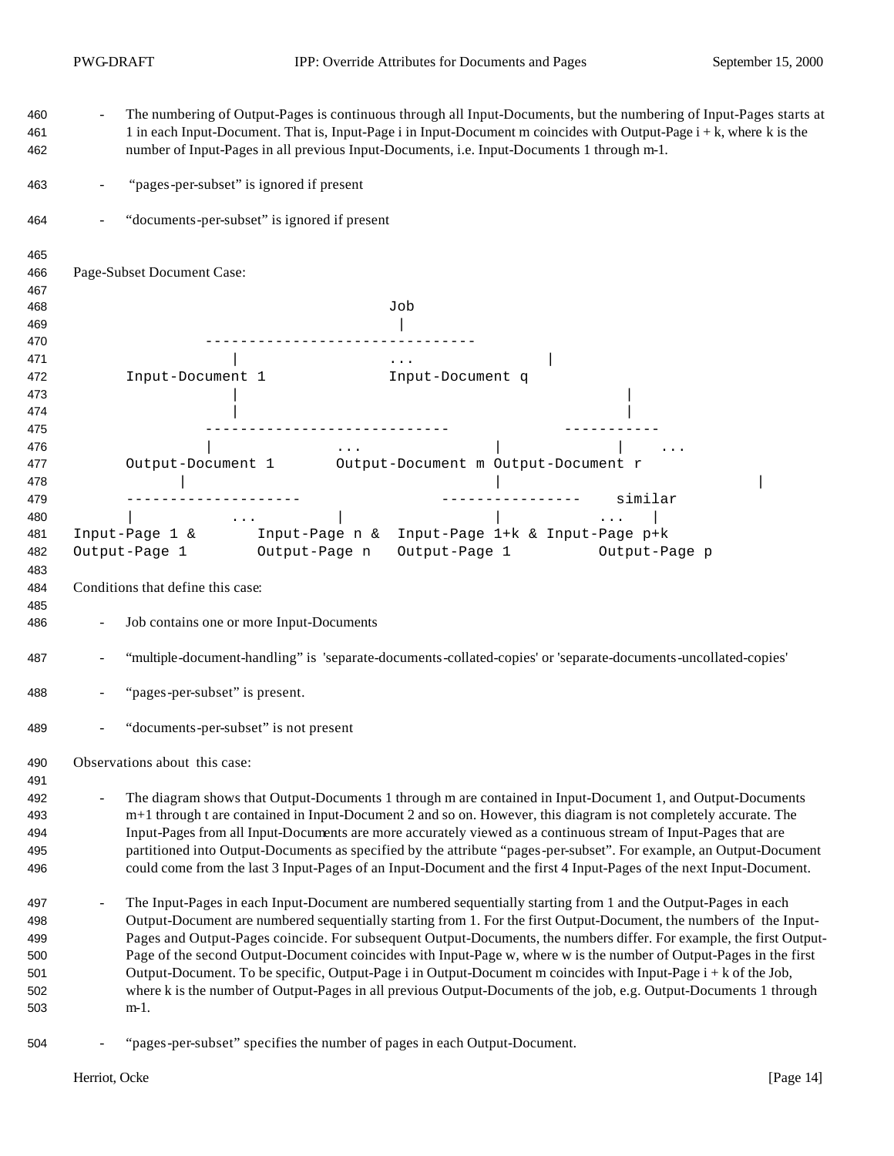| 460<br>461<br>462 | The numbering of Output-Pages is continuous through all Input-Documents, but the numbering of Input-Pages starts at<br>1 in each Input-Document. That is, Input-Page i in Input-Document m coincides with Output-Page i + k, where k is the<br>number of Input-Pages in all previous Input-Documents, i.e. Input-Documents 1 through m-1.                                                                                                                   |  |  |  |
|-------------------|-------------------------------------------------------------------------------------------------------------------------------------------------------------------------------------------------------------------------------------------------------------------------------------------------------------------------------------------------------------------------------------------------------------------------------------------------------------|--|--|--|
| 463               | "pages-per-subset" is ignored if present                                                                                                                                                                                                                                                                                                                                                                                                                    |  |  |  |
| 464               | "documents-per-subset" is ignored if present                                                                                                                                                                                                                                                                                                                                                                                                                |  |  |  |
| 465               |                                                                                                                                                                                                                                                                                                                                                                                                                                                             |  |  |  |
| 466               | Page-Subset Document Case:                                                                                                                                                                                                                                                                                                                                                                                                                                  |  |  |  |
| 467               |                                                                                                                                                                                                                                                                                                                                                                                                                                                             |  |  |  |
| 468               | Job                                                                                                                                                                                                                                                                                                                                                                                                                                                         |  |  |  |
| 469               |                                                                                                                                                                                                                                                                                                                                                                                                                                                             |  |  |  |
| 470               |                                                                                                                                                                                                                                                                                                                                                                                                                                                             |  |  |  |
| 471<br>472        | $\sim$ $\sim$ $\sim$                                                                                                                                                                                                                                                                                                                                                                                                                                        |  |  |  |
| 473               |                                                                                                                                                                                                                                                                                                                                                                                                                                                             |  |  |  |
| 474               |                                                                                                                                                                                                                                                                                                                                                                                                                                                             |  |  |  |
| 475               | ________________________________                                                                                                                                                                                                                                                                                                                                                                                                                            |  |  |  |
| 476               | $\mathbf{1} \bullet \mathbf{1} \bullet \mathbf{1}$ and $\mathbf{1} \bullet \mathbf{1} \bullet \mathbf{1}$                                                                                                                                                                                                                                                                                                                                                   |  |  |  |
| 477               | Output-Document 1 Output-Document m Output-Document r                                                                                                                                                                                                                                                                                                                                                                                                       |  |  |  |
| 478               |                                                                                                                                                                                                                                                                                                                                                                                                                                                             |  |  |  |
| 479               | ---------------- similar                                                                                                                                                                                                                                                                                                                                                                                                                                    |  |  |  |
| 480               | $\mathcal{L}(\mathcal{L}(\mathcal{L}(\mathcal{L}(\mathcal{L}(\mathcal{L}(\mathcal{L}(\mathcal{L}(\mathcal{L}(\mathcal{L}(\mathcal{L}(\mathcal{L}(\mathcal{L}(\mathcal{L}(\mathcal{L}(\mathcal{L}(\mathcal{L}(\mathcal{L}(\mathcal{L}(\mathcal{L}(\mathcal{L}(\mathcal{L}(\mathcal{L}(\mathcal{L}(\mathcal{L}(\mathcal{L}(\mathcal{L}(\mathcal{L}(\mathcal{L}(\mathcal{L}(\mathcal{L}(\mathcal{L}(\mathcal{L}(\mathcal{L}(\mathcal{L}(\mathcal{L}(\mathcal{$ |  |  |  |
| 481               | Input-Page 1 & Input-Page n & Input-Page 1+ $k$ & Input-Page p+ $k$                                                                                                                                                                                                                                                                                                                                                                                         |  |  |  |
| 482               | Output-Page 1 Output-Page n<br>Output-Page 1 Output-Page p                                                                                                                                                                                                                                                                                                                                                                                                  |  |  |  |
| 483               |                                                                                                                                                                                                                                                                                                                                                                                                                                                             |  |  |  |
| 484               | Conditions that define this case:                                                                                                                                                                                                                                                                                                                                                                                                                           |  |  |  |
| 485<br>486        | Job contains one or more Input-Documents                                                                                                                                                                                                                                                                                                                                                                                                                    |  |  |  |
| 487               | "multiple-document-handling" is 'separate-documents-collated-copies' or 'separate-documents-uncollated-copies'                                                                                                                                                                                                                                                                                                                                              |  |  |  |
| 488               | "pages-per-subset" is present.                                                                                                                                                                                                                                                                                                                                                                                                                              |  |  |  |
|                   |                                                                                                                                                                                                                                                                                                                                                                                                                                                             |  |  |  |
| 489               | "documents-per-subset" is not present                                                                                                                                                                                                                                                                                                                                                                                                                       |  |  |  |
| 490               | Observations about this case:                                                                                                                                                                                                                                                                                                                                                                                                                               |  |  |  |
| 491               |                                                                                                                                                                                                                                                                                                                                                                                                                                                             |  |  |  |
| 492               | The diagram shows that Output-Documents 1 through m are contained in Input-Document 1, and Output-Documents                                                                                                                                                                                                                                                                                                                                                 |  |  |  |
| 493               | m+1 through t are contained in Input-Document 2 and so on. However, this diagram is not completely accurate. The                                                                                                                                                                                                                                                                                                                                            |  |  |  |
| 494               | Input-Pages from all Input-Documents are more accurately viewed as a continuous stream of Input-Pages that are                                                                                                                                                                                                                                                                                                                                              |  |  |  |
| 495               | partitioned into Output-Documents as specified by the attribute "pages-per-subset". For example, an Output-Document<br>could come from the last 3 Input-Pages of an Input-Document and the first 4 Input-Pages of the next Input-Document.                                                                                                                                                                                                                  |  |  |  |
| 496               |                                                                                                                                                                                                                                                                                                                                                                                                                                                             |  |  |  |
| 497               | The Input-Pages in each Input-Document are numbered sequentially starting from 1 and the Output-Pages in each                                                                                                                                                                                                                                                                                                                                               |  |  |  |
| 498               | Output-Document are numbered sequentially starting from 1. For the first Output-Document, the numbers of the Input-                                                                                                                                                                                                                                                                                                                                         |  |  |  |
| 499               | Pages and Output-Pages coincide. For subsequent Output-Documents, the numbers differ. For example, the first Output-                                                                                                                                                                                                                                                                                                                                        |  |  |  |
| 500               | Page of the second Output-Document coincides with Input-Page w, where w is the number of Output-Pages in the first                                                                                                                                                                                                                                                                                                                                          |  |  |  |
| 501               | Output-Document. To be specific, Output-Page i in Output-Document m coincides with Input-Page i + k of the Job,                                                                                                                                                                                                                                                                                                                                             |  |  |  |
| 502               | where k is the number of Output-Pages in all previous Output-Documents of the job, e.g. Output-Documents 1 through                                                                                                                                                                                                                                                                                                                                          |  |  |  |
| 503               | $m-1$ .                                                                                                                                                                                                                                                                                                                                                                                                                                                     |  |  |  |
| 504               | "pages-per-subset" specifies the number of pages in each Output-Document.                                                                                                                                                                                                                                                                                                                                                                                   |  |  |  |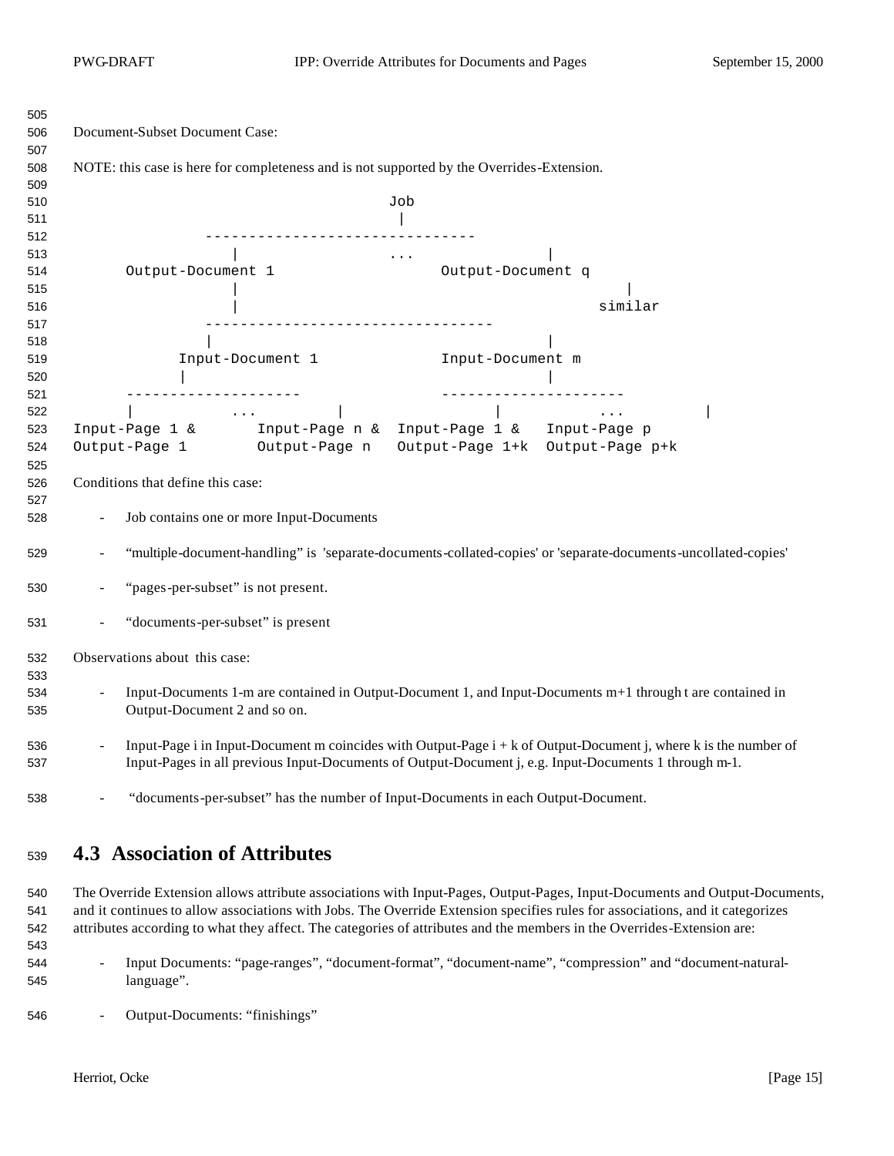| 505 |                                                                                                                                      |  |  |  |  |  |
|-----|--------------------------------------------------------------------------------------------------------------------------------------|--|--|--|--|--|
| 506 | Document-Subset Document Case:                                                                                                       |  |  |  |  |  |
| 507 |                                                                                                                                      |  |  |  |  |  |
| 508 | NOTE: this case is here for completeness and is not supported by the Overrides-Extension.                                            |  |  |  |  |  |
| 509 |                                                                                                                                      |  |  |  |  |  |
| 510 | Job                                                                                                                                  |  |  |  |  |  |
| 511 |                                                                                                                                      |  |  |  |  |  |
| 512 |                                                                                                                                      |  |  |  |  |  |
| 513 | $\cdots$                                                                                                                             |  |  |  |  |  |
| 514 | Output-Document 1<br>Output-Document q                                                                                               |  |  |  |  |  |
| 515 |                                                                                                                                      |  |  |  |  |  |
| 516 | similar                                                                                                                              |  |  |  |  |  |
| 517 | ----------------------------------                                                                                                   |  |  |  |  |  |
| 518 |                                                                                                                                      |  |  |  |  |  |
| 519 | Input-Document 1<br>Input-Document m                                                                                                 |  |  |  |  |  |
| 520 |                                                                                                                                      |  |  |  |  |  |
| 521 |                                                                                                                                      |  |  |  |  |  |
| 522 |                                                                                                                                      |  |  |  |  |  |
| 523 | Input-Page 1 & Input-Page n & Input-Page 1 & Input-Page p                                                                            |  |  |  |  |  |
| 524 | Output-Page 1 Output-Page n<br>Output-Page 1+k Output-Page p+k                                                                       |  |  |  |  |  |
| 525 |                                                                                                                                      |  |  |  |  |  |
| 526 | Conditions that define this case:                                                                                                    |  |  |  |  |  |
| 527 |                                                                                                                                      |  |  |  |  |  |
| 528 | Job contains one or more Input-Documents                                                                                             |  |  |  |  |  |
| 529 | "multiple-document-handling" is 'separate-documents-collated-copies' or 'separate-documents-uncollated-copies'                       |  |  |  |  |  |
| 530 | "pages-per-subset" is not present.                                                                                                   |  |  |  |  |  |
| 531 | "documents-per-subset" is present                                                                                                    |  |  |  |  |  |
| 532 | Observations about this case:                                                                                                        |  |  |  |  |  |
| 533 |                                                                                                                                      |  |  |  |  |  |
| 534 | Input-Documents 1-m are contained in Output-Document 1, and Input-Documents m+1 through t are contained in                           |  |  |  |  |  |
| 535 | Output-Document 2 and so on.                                                                                                         |  |  |  |  |  |
| 536 | Input-Page i in Input-Document m coincides with Output-Page $i + k$ of Output-Document j, where k is the number of<br>$\blacksquare$ |  |  |  |  |  |
| 537 | Input-Pages in all previous Input-Documents of Output-Document j, e.g. Input-Documents 1 through m-1.                                |  |  |  |  |  |
| 538 | "documents-per-subset" has the number of Input-Documents in each Output-Document.                                                    |  |  |  |  |  |

# **4.3 Association of Attributes**

 The Override Extension allows attribute associations with Input-Pages, Output-Pages, Input-Documents and Output-Documents, and it continues to allow associations with Jobs. The Override Extension specifies rules for associations, and it categorizes attributes according to what they affect. The categories of attributes and the members in the Overrides-Extension are:

- Input Documents: "page-ranges", "document-format", "document-name", "compression" and "document-natural-language".
- Output-Documents: "finishings"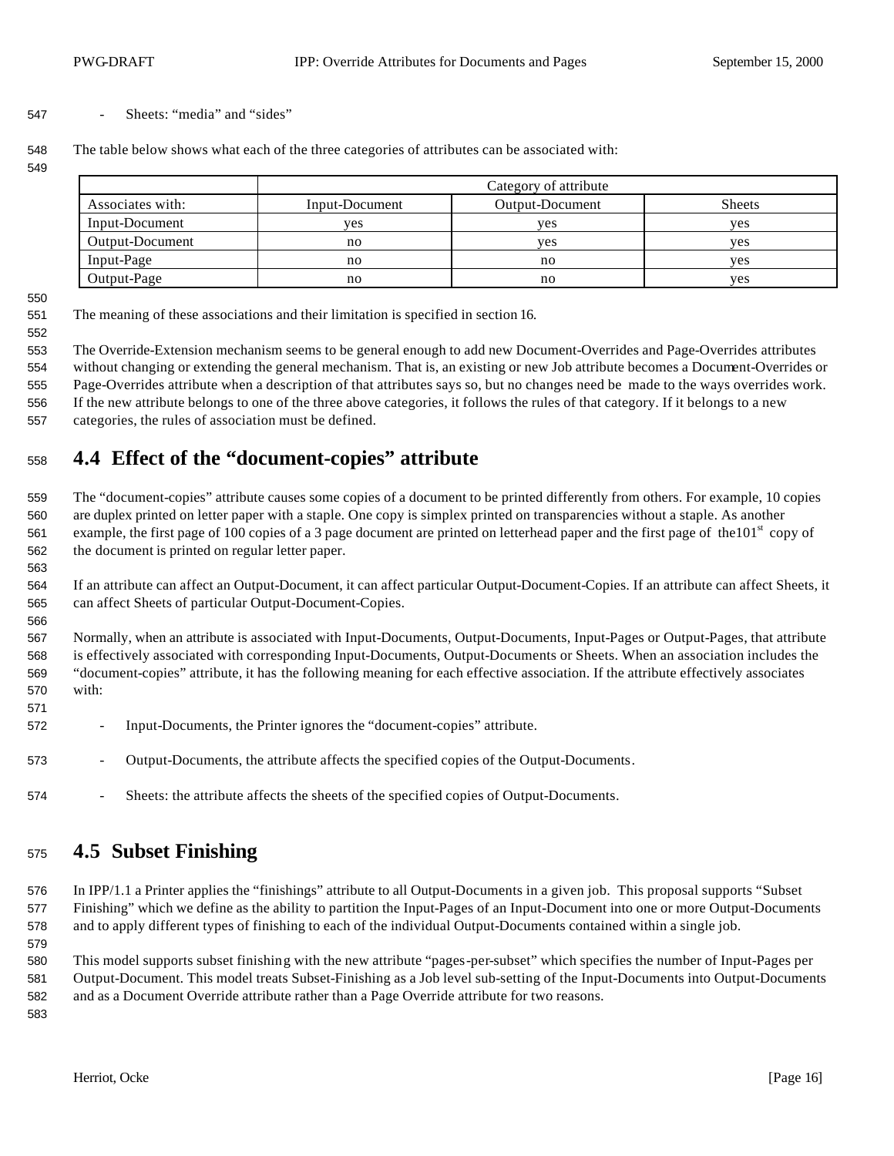#### - Sheets: "media" and "sides"

The table below shows what each of the three categories of attributes can be associated with:

|                  | Category of attribute |                 |               |  |
|------------------|-----------------------|-----------------|---------------|--|
| Associates with: | Input-Document        | Output-Document | <b>Sheets</b> |  |
| Input-Document   | <b>ves</b>            | ves             | ves           |  |
| Output-Document  | no                    | ves             | ves           |  |
| Input-Page       | no                    | no              | ves           |  |
| Output-Page      | no                    | no              | yes           |  |

The meaning of these associations and their limitation is specified in section 16.

 The Override-Extension mechanism seems to be general enough to add new Document-Overrides and Page-Overrides attributes without changing or extending the general mechanism. That is, an existing or new Job attribute becomes a Document-Overrides or Page-Overrides attribute when a description of that attributes says so, but no changes need be made to the ways overrides work.

 If the new attribute belongs to one of the three above categories, it follows the rules of that category. If it belongs to a new categories, the rules of association must be defined.

# **4.4 Effect of the "document-copies" attribute**

 The "document-copies" attribute causes some copies of a document to be printed differently from others. For example, 10 copies are duplex printed on letter paper with a staple. One copy is simplex printed on transparencies without a staple. As another 561 example, the first page of 100 copies of a 3 page document are printed on letterhead paper and the first page of the 101<sup>st</sup> copy of the document is printed on regular letter paper.

 If an attribute can affect an Output-Document, it can affect particular Output-Document-Copies. If an attribute can affect Sheets, it can affect Sheets of particular Output-Document-Copies.

 Normally, when an attribute is associated with Input-Documents, Output-Documents, Input-Pages or Output-Pages, that attribute is effectively associated with corresponding Input-Documents, Output-Documents or Sheets. When an association includes the "document-copies" attribute, it has the following meaning for each effective association. If the attribute effectively associates with:

- Input-Documents, the Printer ignores the "document-copies" attribute.
- Output-Documents, the attribute affects the specified copies of the Output-Documents.
- 574 Sheets: the attribute affects the sheets of the specified copies of Output-Documents.

### **4.5 Subset Finishing**

 In IPP/1.1 a Printer applies the "finishings" attribute to all Output-Documents in a given job. This proposal supports "Subset Finishing" which we define as the ability to partition the Input-Pages of an Input-Document into one or more Output-Documents and to apply different types of finishing to each of the individual Output-Documents contained within a single job.

 This model supports subset finishing with the new attribute "pages-per-subset" which specifies the number of Input-Pages per Output-Document. This model treats Subset-Finishing as a Job level sub-setting of the Input-Documents into Output-Documents and as a Document Override attribute rather than a Page Override attribute for two reasons. 

Herriot, Ocke [Page 16]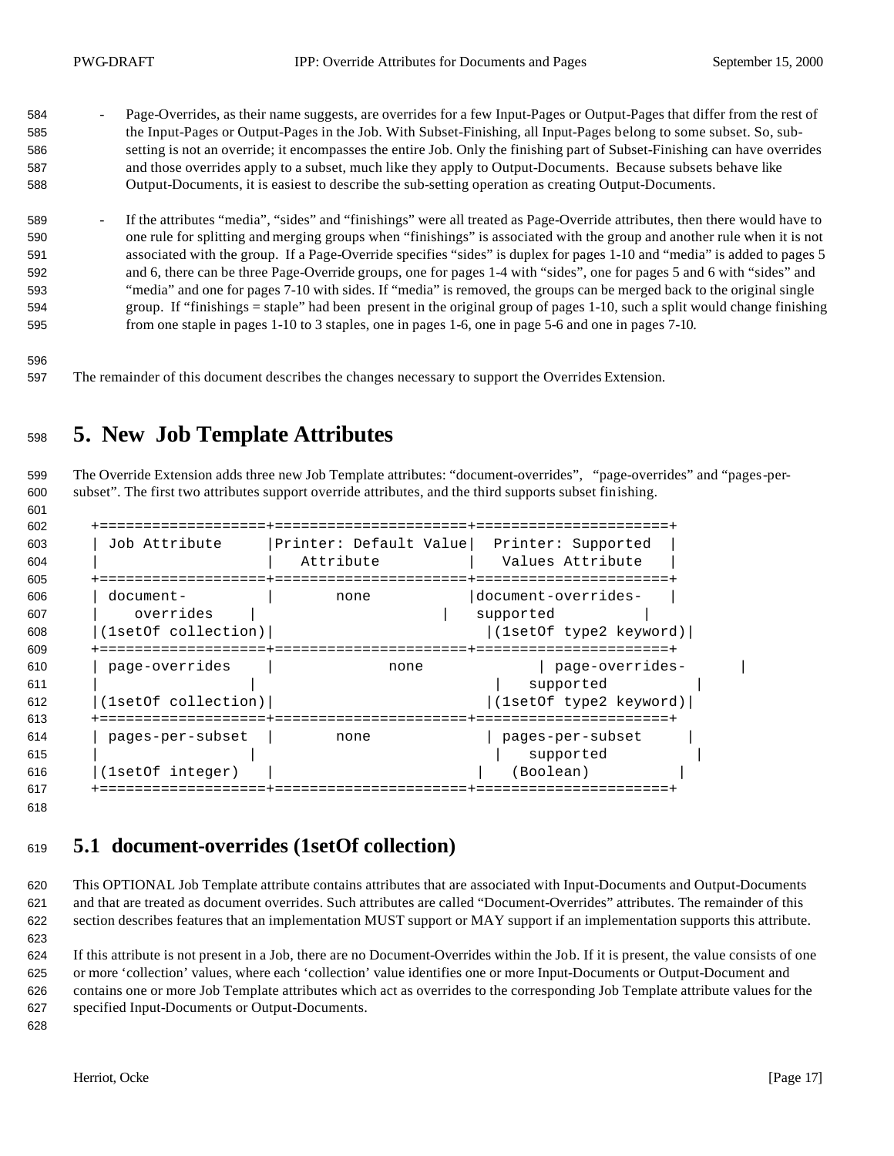- 584 Page-Overrides, as their name suggests, are overrides for a few Input-Pages or Output-Pages that differ from the rest of the Input-Pages or Output-Pages in the Job. With Subset-Finishing, all Input-Pages belong to some subset. So, sub- setting is not an override; it encompasses the entire Job. Only the finishing part of Subset-Finishing can have overrides and those overrides apply to a subset, much like they apply to Output-Documents. Because subsets behave like Output-Documents, it is easiest to describe the sub-setting operation as creating Output-Documents.
- 589 <sup>-</sup> If the attributes "media", "sides" and "finishings" were all treated as Page-Override attributes, then there would have to one rule for splitting and merging groups when "finishings" is associated with the group and another rule when it is not associated with the group. If a Page-Override specifies "sides" is duplex for pages 1-10 and "media" is added to pages 5 and 6, there can be three Page-Override groups, one for pages 1-4 with "sides", one for pages 5 and 6 with "sides" and "media" and one for pages 7-10 with sides. If "media" is removed, the groups can be merged back to the original single group. If "finishings = staple" had been present in the original group of pages 1-10, such a split would change finishing from one staple in pages 1-10 to 3 staples, one in pages 1-6, one in page 5-6 and one in pages 7-10.
- 

The remainder of this document describes the changes necessary to support the Overrides Extension.

# **5. New Job Template Attributes**

 The Override Extension adds three new Job Template attributes: "document-overrides", "page-overrides" and "pages-per-subset". The first two attributes support override attributes, and the third supports subset finishing.

| 602 |                     |                        |                        |  |
|-----|---------------------|------------------------|------------------------|--|
| 603 | Job Attribute       | Printer: Default Value | Printer: Supported     |  |
| 604 |                     | Attribute              | Values Attribute       |  |
| 605 | ===========         |                        | =================      |  |
| 606 | document-           | none                   | document-overrides-    |  |
| 607 | overrides           |                        | supported              |  |
| 608 | (1setOf collection) |                        | (1setOf type2 keyword) |  |
| 609 |                     |                        |                        |  |
| 610 | page-overrides      | none                   | page-overrides-        |  |
| 611 |                     |                        | supported              |  |
| 612 | (1setOf collection) |                        | (1setOf type2 keyword) |  |
| 613 | ========            |                        | ==================     |  |
| 614 | pages-per-subset    | none                   | pages-per-subset       |  |
| 615 |                     |                        | supported              |  |
| 616 | (1setOf integer)    |                        | (Boolean)              |  |
| 617 |                     |                        |                        |  |
|     |                     |                        |                        |  |

# **5.1 document-overrides (1setOf collection)**

 This OPTIONAL Job Template attribute contains attributes that are associated with Input-Documents and Output-Documents and that are treated as document overrides. Such attributes are called "Document-Overrides" attributes. The remainder of this section describes features that an implementation MUST support or MAY support if an implementation supports this attribute. 

 If this attribute is not present in a Job, there are no Document-Overrides within the Job. If it is present, the value consists of one or more 'collection' values, where each 'collection' value identifies one or more Input-Documents or Output-Document and contains one or more Job Template attributes which act as overrides to the corresponding Job Template attribute values for the specified Input-Documents or Output-Documents.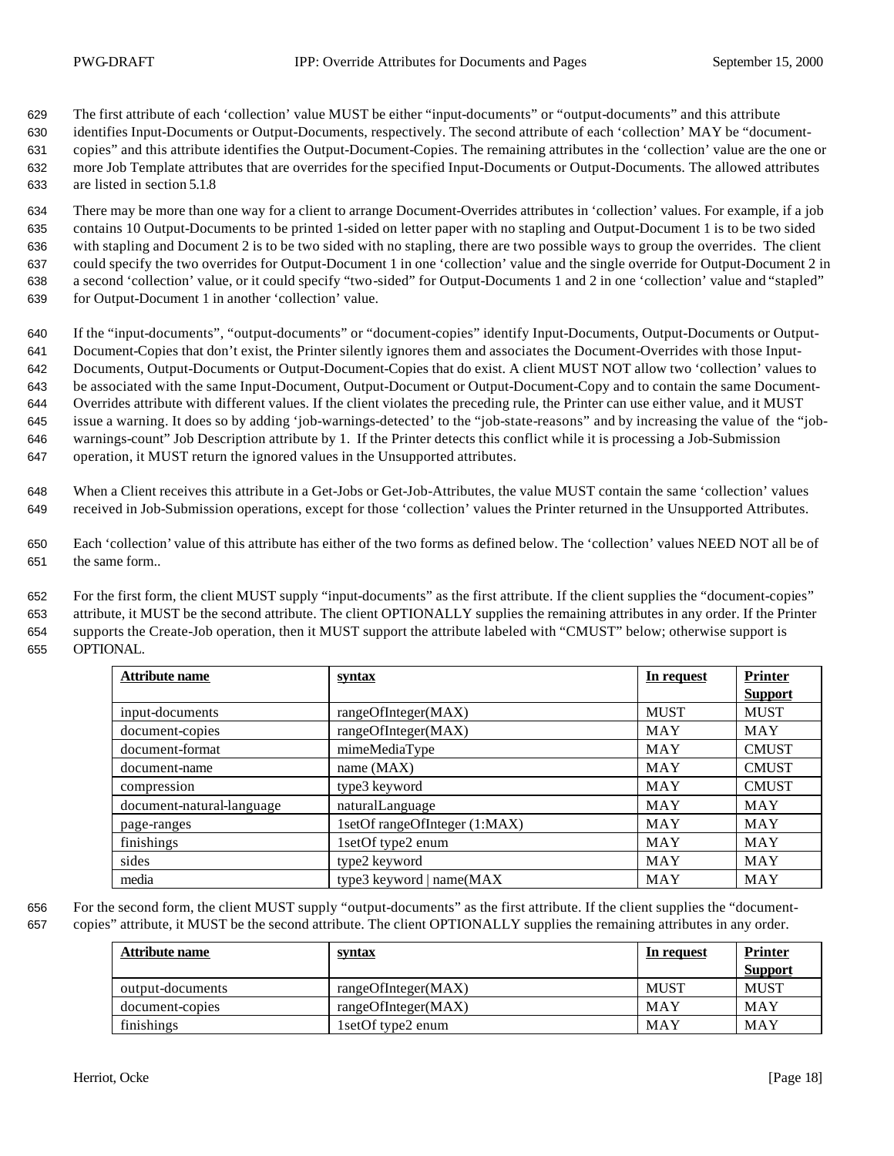The first attribute of each 'collection' value MUST be either "input-documents" or "output-documents" and this attribute identifies Input-Documents or Output-Documents, respectively. The second attribute of each 'collection' MAY be "document- copies" and this attribute identifies the Output-Document-Copies. The remaining attributes in the 'collection' value are the one or more Job Template attributes that are overrides for the specified Input-Documents or Output-Documents. The allowed attributes are listed in section 5.1.8

 There may be more than one way for a client to arrange Document-Overrides attributes in 'collection' values. For example, if a job contains 10 Output-Documents to be printed 1-sided on letter paper with no stapling and Output-Document 1 is to be two sided with stapling and Document 2 is to be two sided with no stapling, there are two possible ways to group the overrides. The client could specify the two overrides for Output-Document 1 in one 'collection' value and the single override for Output-Document 2 in a second 'collection' value, or it could specify "two-sided" for Output-Documents 1 and 2 in one 'collection' value and "stapled" for Output-Document 1 in another 'collection' value.

 If the "input-documents", "output-documents" or "document-copies" identify Input-Documents, Output-Documents or Output- Document-Copies that don't exist, the Printer silently ignores them and associates the Document-Overrides with those Input- Documents, Output-Documents or Output-Document-Copies that do exist. A client MUST NOT allow two 'collection' values to be associated with the same Input-Document, Output-Document or Output-Document-Copy and to contain the same Document- Overrides attribute with different values. If the client violates the preceding rule, the Printer can use either value, and it MUST issue a warning. It does so by adding 'job-warnings-detected' to the "job-state-reasons" and by increasing the value of the "job- warnings-count" Job Description attribute by 1. If the Printer detects this conflict while it is processing a Job-Submission operation, it MUST return the ignored values in the Unsupported attributes.

 When a Client receives this attribute in a Get-Jobs or Get-Job-Attributes, the value MUST contain the same 'collection' values received in Job-Submission operations, except for those 'collection' values the Printer returned in the Unsupported Attributes.

 Each 'collection' value of this attribute has either of the two forms as defined below. The 'collection' values NEED NOT all be of the same form..

 For the first form, the client MUST supply "input-documents" as the first attribute. If the client supplies the "document-copies" attribute, it MUST be the second attribute. The client OPTIONALLY supplies the remaining attributes in any order. If the Printer supports the Create-Job operation, then it MUST support the attribute labeled with "CMUST" below; otherwise support is OPTIONAL.

| <b>Attribute name</b>     | <u>syntax</u>                 | In request  | <b>Printer</b> |
|---------------------------|-------------------------------|-------------|----------------|
|                           |                               |             | <b>Support</b> |
| input-documents           | rangeOfInteger(MAX)           | <b>MUST</b> | <b>MUST</b>    |
| document-copies           | rangeOfInteger(MAX)           | <b>MAY</b>  | <b>MAY</b>     |
| document-format           | mimeMediaType                 | <b>MAY</b>  | <b>CMUST</b>   |
| document-name             | name $(MAX)$                  | MAY         | <b>CMUST</b>   |
| compression               | type3 keyword                 | MAY         | <b>CMUST</b>   |
| document-natural-language | naturalLanguage               | <b>MAY</b>  | <b>MAY</b>     |
| page-ranges               | 1setOf rangeOfInteger (1:MAX) | MAY         | <b>MAY</b>     |
| finishings                | 1setOf type2 enum             | MAY         | MAY            |
| sides                     | type2 keyword                 | <b>MAY</b>  | <b>MAY</b>     |
| media                     | type3 keyword   name(MAX      | <b>MAY</b>  | MAY            |

 For the second form, the client MUST supply "output-documents" as the first attribute. If the client supplies the "document-copies" attribute, it MUST be the second attribute. The client OPTIONALLY supplies the remaining attributes in any order.

| Attribute name   | <u>syntax</u>       | In request  | <b>Printer</b><br><b>Support</b> |
|------------------|---------------------|-------------|----------------------------------|
| output-documents | rangeOfInteger(MAX) | <b>MUST</b> | <b>MUST</b>                      |
| document-copies  | rangeOfInteger(MAX) | MAY         | MAY                              |
| finishings       | 1setOf type2 enum   | MAY         | MAY                              |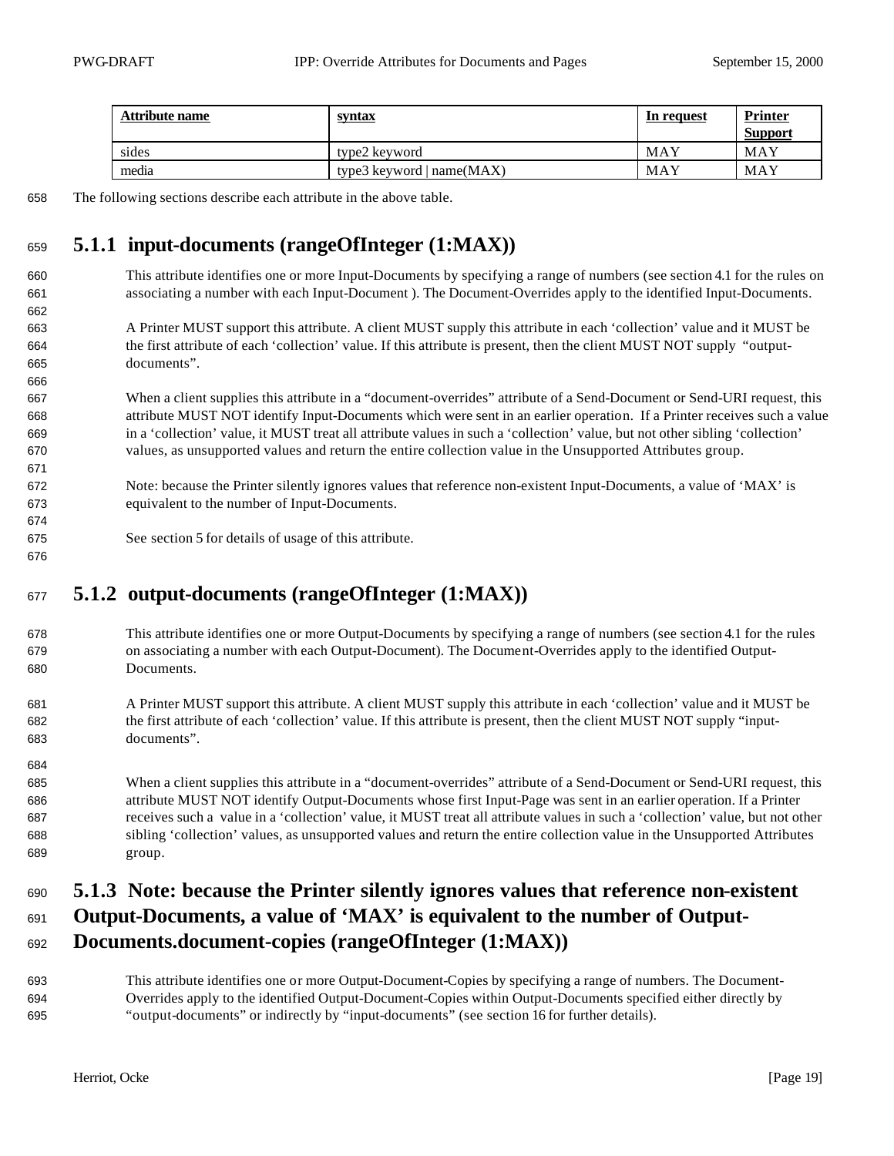| <b>Attribute name</b> | <u>syntax</u>               | In request | <b>Printer</b><br><b>Support</b> |
|-----------------------|-----------------------------|------------|----------------------------------|
| sides                 | type2 keyword               | MAY        | MAY                              |
| media                 | type3 keyword $ name(MAX) $ | MAY        | MAY                              |

The following sections describe each attribute in the above table.

# **5.1.1 input-documents (rangeOfInteger (1:MAX))**

- This attribute identifies one or more Input-Documents by specifying a range of numbers (see section 4.1 for the rules on associating a number with each Input-Document ). The Document-Overrides apply to the identified Input-Documents.
- A Printer MUST support this attribute. A client MUST supply this attribute in each 'collection' value and it MUST be the first attribute of each 'collection' value. If this attribute is present, then the client MUST NOT supply "output-documents".
- When a client supplies this attribute in a "document-overrides" attribute of a Send-Document or Send-URI request, this attribute MUST NOT identify Input-Documents which were sent in an earlier operation. If a Printer receives such a value in a 'collection' value, it MUST treat all attribute values in such a 'collection' value, but not other sibling 'collection' values, as unsupported values and return the entire collection value in the Unsupported Attributes group.
- Note: because the Printer silently ignores values that reference non-existent Input-Documents, a value of 'MAX' is equivalent to the number of Input-Documents.
- See section 5 for details of usage of this attribute.

# **5.1.2 output-documents (rangeOfInteger (1:MAX))**

- This attribute identifies one or more Output-Documents by specifying a range of numbers (see section 4.1 for the rules on associating a number with each Output-Document). The Document-Overrides apply to the identified Output-Documents.
- A Printer MUST support this attribute. A client MUST supply this attribute in each 'collection' value and it MUST be the first attribute of each 'collection' value. If this attribute is present, then the client MUST NOT supply "input-documents".
- When a client supplies this attribute in a "document-overrides" attribute of a Send-Document or Send-URI request, this attribute MUST NOT identify Output-Documents whose first Input-Page was sent in an earlier operation. If a Printer receives such a value in a 'collection' value, it MUST treat all attribute values in such a 'collection' value, but not other sibling 'collection' values, as unsupported values and return the entire collection value in the Unsupported Attributes group.

### **5.1.3 Note: because the Printer silently ignores values that reference non-existent**

# **Output-Documents, a value of 'MAX' is equivalent to the number of Output-**

#### **Documents.document-copies (rangeOfInteger (1:MAX))**

 This attribute identifies one or more Output-Document-Copies by specifying a range of numbers. The Document- Overrides apply to the identified Output-Document-Copies within Output-Documents specified either directly by "output-documents" or indirectly by "input-documents" (see section 16 for further details).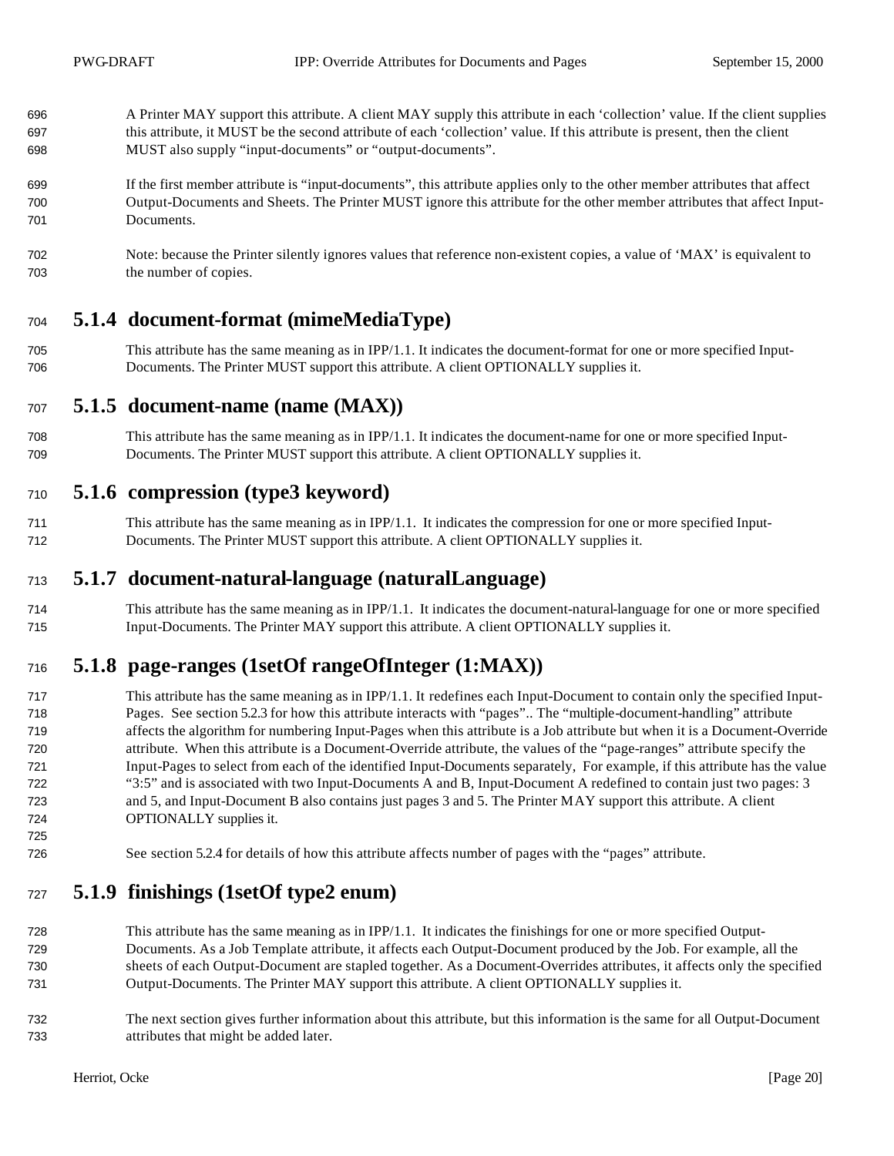- A Printer MAY support this attribute. A client MAY supply this attribute in each 'collection' value. If the client supplies this attribute, it MUST be the second attribute of each 'collection' value. If this attribute is present, then the client MUST also supply "input-documents" or "output-documents".
- If the first member attribute is "input-documents", this attribute applies only to the other member attributes that affect Output-Documents and Sheets. The Printer MUST ignore this attribute for the other member attributes that affect Input-Documents.
- Note: because the Printer silently ignores values that reference non-existent copies, a value of 'MAX' is equivalent to the number of copies.

## **5.1.4 document-format (mimeMediaType)**

 This attribute has the same meaning as in IPP/1.1. It indicates the document-format for one or more specified Input-Documents. The Printer MUST support this attribute. A client OPTIONALLY supplies it.

#### **5.1.5 document-name (name (MAX))**

 This attribute has the same meaning as in IPP/1.1. It indicates the document-name for one or more specified Input-Documents. The Printer MUST support this attribute. A client OPTIONALLY supplies it.

### **5.1.6 compression (type3 keyword)**

 This attribute has the same meaning as in IPP/1.1. It indicates the compression for one or more specified Input-Documents. The Printer MUST support this attribute. A client OPTIONALLY supplies it.

#### **5.1.7 document-natural-language (naturalLanguage)**

 This attribute has the same meaning as in IPP/1.1. It indicates the document-natural-language for one or more specified Input-Documents. The Printer MAY support this attribute. A client OPTIONALLY supplies it.

## **5.1.8 page-ranges (1setOf rangeOfInteger (1:MAX))**

- This attribute has the same meaning as in IPP/1.1. It redefines each Input-Document to contain only the specified Input- Pages. See section 5.2.3 for how this attribute interacts with "pages".. The "multiple-document-handling" attribute affects the algorithm for numbering Input-Pages when this attribute is a Job attribute but when it is a Document-Override attribute. When this attribute is a Document-Override attribute, the values of the "page-ranges" attribute specify the Input-Pages to select from each of the identified Input-Documents separately, For example, if this attribute has the value "3:5" and is associated with two Input-Documents A and B, Input-Document A redefined to contain just two pages: 3 and 5, and Input-Document B also contains just pages 3 and 5. The Printer MAY support this attribute. A client OPTIONALLY supplies it.
- See section 5.2.4 for details of how this attribute affects number of pages with the "pages" attribute.

### **5.1.9 finishings (1setOf type2 enum)**

- This attribute has the same meaning as in IPP/1.1. It indicates the finishings for one or more specified Output- Documents. As a Job Template attribute, it affects each Output-Document produced by the Job. For example, all the sheets of each Output-Document are stapled together. As a Document-Overrides attributes, it affects only the specified Output-Documents. The Printer MAY support this attribute. A client OPTIONALLY supplies it.
- The next section gives further information about this attribute, but this information is the same for all Output-Document attributes that might be added later.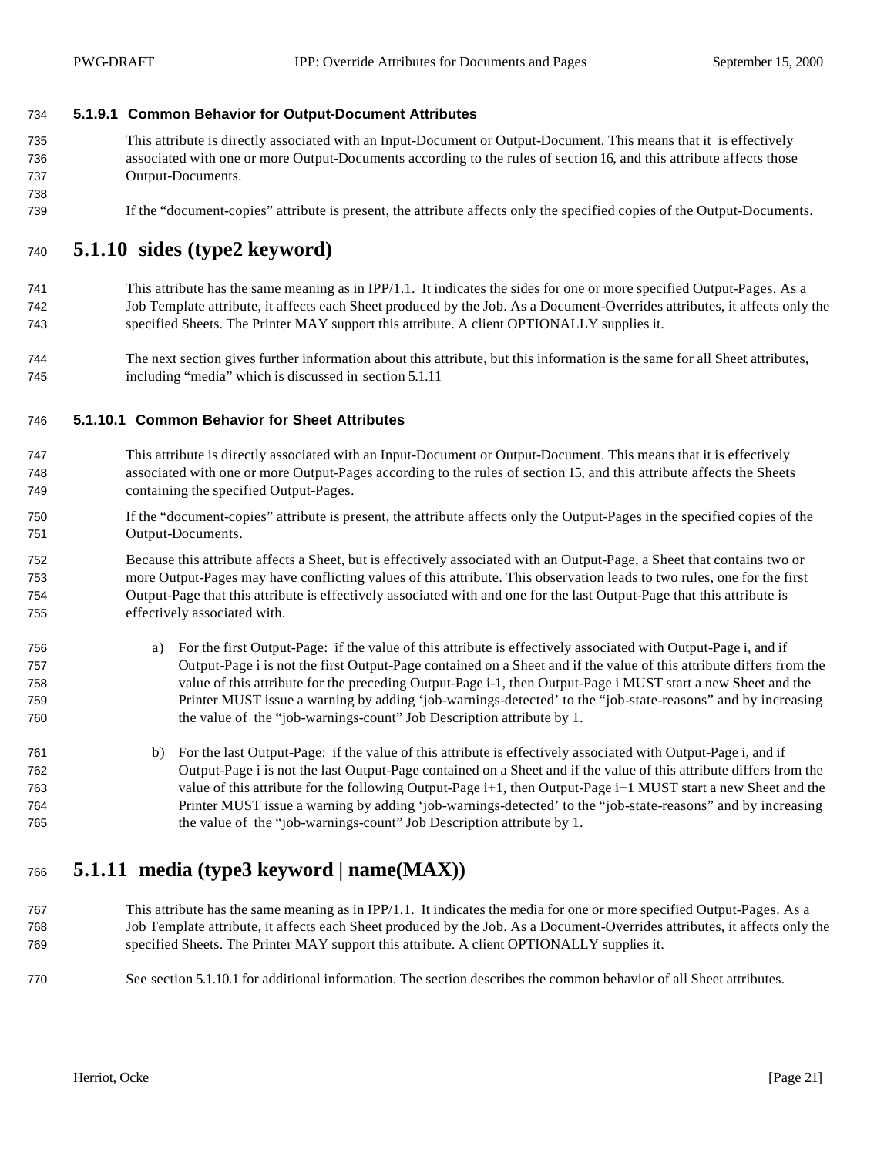#### **5.1.9.1 Common Behavior for Output-Document Attributes**

- This attribute is directly associated with an Input-Document or Output-Document. This means that it is effectively associated with one or more Output-Documents according to the rules of section 16, and this attribute affects those Output-Documents.
- If the "document-copies" attribute is present, the attribute affects only the specified copies of the Output-Documents.

#### **5.1.10 sides (type2 keyword)**

- This attribute has the same meaning as in IPP/1.1. It indicates the sides for one or more specified Output-Pages. As a Job Template attribute, it affects each Sheet produced by the Job. As a Document-Overrides attributes, it affects only the specified Sheets. The Printer MAY support this attribute. A client OPTIONALLY supplies it.
- The next section gives further information about this attribute, but this information is the same for all Sheet attributes, including "media" which is discussed in section 5.1.11

#### **5.1.10.1 Common Behavior for Sheet Attributes**

- This attribute is directly associated with an Input-Document or Output-Document. This means that it is effectively associated with one or more Output-Pages according to the rules of section 15, and this attribute affects the Sheets containing the specified Output-Pages.
- If the "document-copies" attribute is present, the attribute affects only the Output-Pages in the specified copies of the Output-Documents.
- Because this attribute affects a Sheet, but is effectively associated with an Output-Page, a Sheet that contains two or more Output-Pages may have conflicting values of this attribute. This observation leads to two rules, one for the first Output-Page that this attribute is effectively associated with and one for the last Output-Page that this attribute is effectively associated with.
- a) For the first Output-Page: if the value of this attribute is effectively associated with Output-Page i, and if Output-Page i is not the first Output-Page contained on a Sheet and if the value of this attribute differs from the value of this attribute for the preceding Output-Page i-1, then Output-Page i MUST start a new Sheet and the Printer MUST issue a warning by adding 'job-warnings-detected' to the "job-state-reasons" and by increasing the value of the "job-warnings-count" Job Description attribute by 1.
- b) For the last Output-Page: if the value of this attribute is effectively associated with Output-Page i, and if Output-Page i is not the last Output-Page contained on a Sheet and if the value of this attribute differs from the value of this attribute for the following Output-Page i+1, then Output-Page i+1 MUST start a new Sheet and the Printer MUST issue a warning by adding 'job-warnings-detected' to the "job-state-reasons" and by increasing the value of the "job-warnings-count" Job Description attribute by 1.

## **5.1.11 media (type3 keyword | name(MAX))**

- This attribute has the same meaning as in IPP/1.1. It indicates the media for one or more specified Output-Pages. As a Job Template attribute, it affects each Sheet produced by the Job. As a Document-Overrides attributes, it affects only the specified Sheets. The Printer MAY support this attribute. A client OPTIONALLY supplies it.
- See section 5.1.10.1 for additional information. The section describes the common behavior of all Sheet attributes.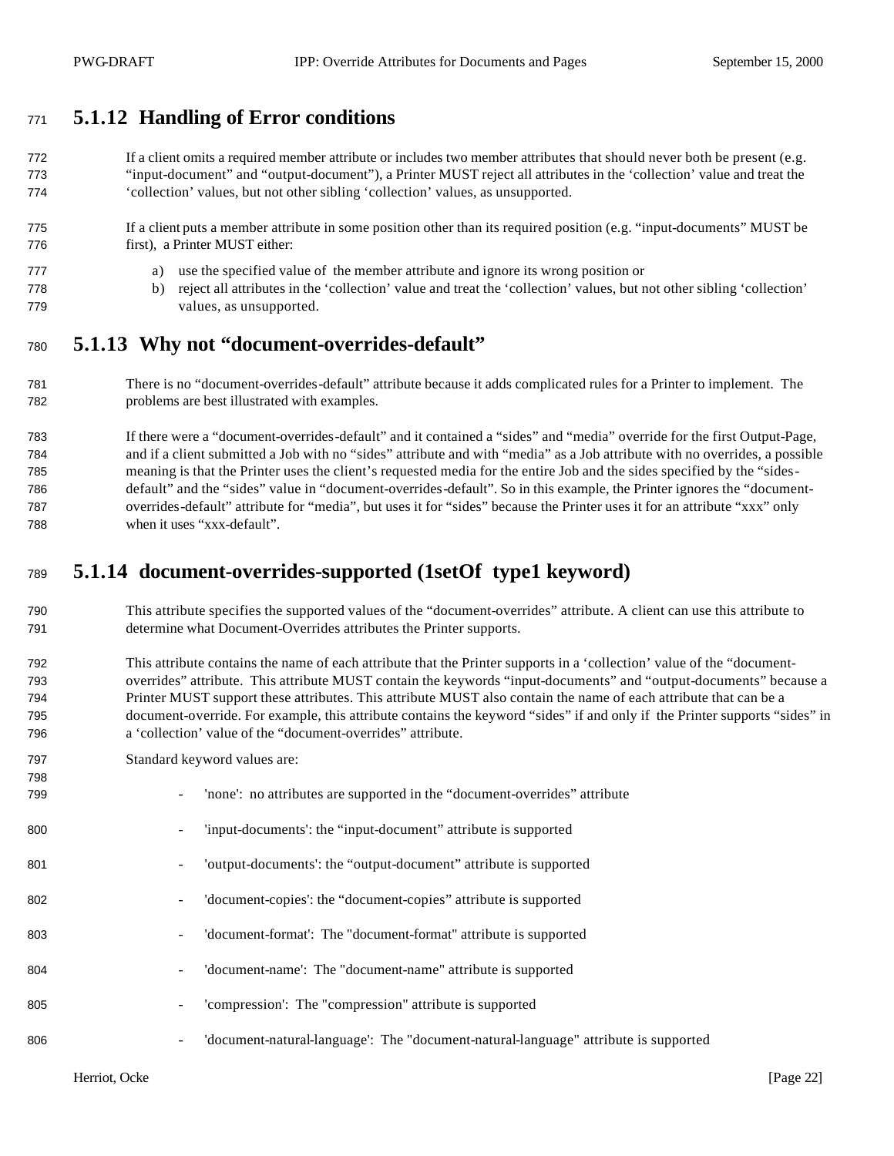# **5.1.12 Handling of Error conditions**

 If a client omits a required member attribute or includes two member attributes that should never both be present (e.g. "input-document" and "output-document"), a Printer MUST reject all attributes in the 'collection' value and treat the 'collection' values, but not other sibling 'collection' values, as unsupported.

#### If a client puts a member attribute in some position other than its required position (e.g. "input-documents" MUST be first), a Printer MUST either:

- a) use the specified value of the member attribute and ignore its wrong position or
- b) reject all attributes in the 'collection' value and treat the 'collection' values, but not other sibling 'collection' values, as unsupported.

## **5.1.13 Why not "document-overrides-default"**

 There is no "document-overrides-default" attribute because it adds complicated rules for a Printer to implement. The problems are best illustrated with examples.

 If there were a "document-overrides-default" and it contained a "sides" and "media" override for the first Output-Page, and if a client submitted a Job with no "sides" attribute and with "media" as a Job attribute with no overrides, a possible meaning is that the Printer uses the client's requested media for the entire Job and the sides specified by the "sides- default" and the "sides" value in "document-overrides-default". So in this example, the Printer ignores the "document- overrides-default" attribute for "media", but uses it for "sides" because the Printer uses it for an attribute "xxx" only when it uses "xxx-default".

# **5.1.14 document-overrides-supported (1setOf type1 keyword)**

- This attribute specifies the supported values of the "document-overrides" attribute. A client can use this attribute to determine what Document-Overrides attributes the Printer supports.
- This attribute contains the name of each attribute that the Printer supports in a 'collection' value of the "document- overrides" attribute. This attribute MUST contain the keywords "input-documents" and "output-documents" because a Printer MUST support these attributes. This attribute MUST also contain the name of each attribute that can be a document-override. For example, this attribute contains the keyword "sides" if and only if the Printer supports "sides" in a 'collection' value of the "document-overrides" attribute.
- Standard keyword values are:

| 798 |                                                                                          |
|-----|------------------------------------------------------------------------------------------|
| 799 | 'none': no attributes are supported in the "document-overrides" attribute                |
| 800 | 'input-documents': the "input-document" attribute is supported                           |
| 801 | 'output-documents': the "output-document" attribute is supported                         |
| 802 | 'document-copies': the "document-copies" attribute is supported<br>۰.                    |
| 803 | 'document-format': The "document-format" attribute is supported                          |
| 804 | 'document-name': The "document-name" attribute is supported                              |
| 805 | 'compression': The "compression" attribute is supported                                  |
| 806 | 'document-natural-language': The "document-natural-language" attribute is supported<br>- |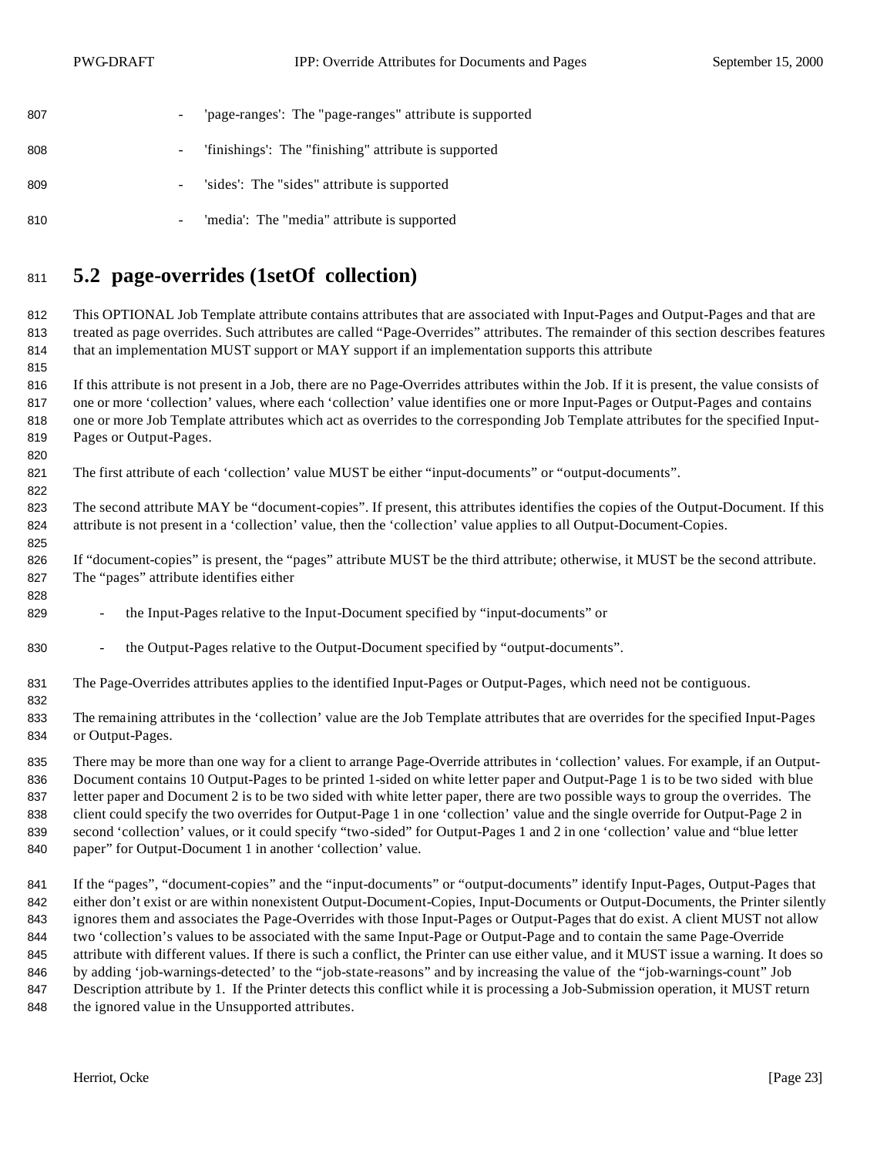| 807 |                          | 'page-ranges': The "page-ranges" attribute is supported |
|-----|--------------------------|---------------------------------------------------------|
| 808 |                          | - 'finishings': The "finishing" attribute is supported  |
| 809 |                          | - 'sides': The "sides" attribute is supported           |
| 810 | $\overline{\phantom{a}}$ | 'media': The "media" attribute is supported             |

# **5.2 page-overrides (1setOf collection)**

 This OPTIONAL Job Template attribute contains attributes that are associated with Input-Pages and Output-Pages and that are treated as page overrides. Such attributes are called "Page-Overrides" attributes. The remainder of this section describes features that an implementation MUST support or MAY support if an implementation supports this attribute

 If this attribute is not present in a Job, there are no Page-Overrides attributes within the Job. If it is present, the value consists of one or more 'collection' values, where each 'collection' value identifies one or more Input-Pages or Output-Pages and contains one or more Job Template attributes which act as overrides to the corresponding Job Template attributes for the specified Input-Pages or Output-Pages.

- 821 The first attribute of each 'collection' value MUST be either "input-documents" or "output-documents".
- The second attribute MAY be "document-copies". If present, this attributes identifies the copies of the Output-Document. If this attribute is not present in a 'collection' value, then the 'collection' value applies to all Output-Document-Copies.
- If "document-copies" is present, the "pages" attribute MUST be the third attribute; otherwise, it MUST be the second attribute. The "pages" attribute identifies either
- the Input-Pages relative to the Input-Document specified by "input-documents" or
- the Output-Pages relative to the Output-Document specified by "output-documents".
- The Page-Overrides attributes applies to the identified Input-Pages or Output-Pages, which need not be contiguous.
- 

 The remaining attributes in the 'collection' value are the Job Template attributes that are overrides for the specified Input-Pages or Output-Pages.

 There may be more than one way for a client to arrange Page-Override attributes in 'collection' values. For example, if an Output- Document contains 10 Output-Pages to be printed 1-sided on white letter paper and Output-Page 1 is to be two sided with blue letter paper and Document 2 is to be two sided with white letter paper, there are two possible ways to group the overrides. The client could specify the two overrides for Output-Page 1 in one 'collection' value and the single override for Output-Page 2 in second 'collection' values, or it could specify "two-sided" for Output-Pages 1 and 2 in one 'collection' value and "blue letter paper" for Output-Document 1 in another 'collection' value.

 If the "pages", "document-copies" and the "input-documents" or "output-documents" identify Input-Pages, Output-Pages that either don't exist or are within nonexistent Output-Document-Copies, Input-Documents or Output-Documents, the Printer silently ignores them and associates the Page-Overrides with those Input-Pages or Output-Pages that do exist. A client MUST not allow two 'collection's values to be associated with the same Input-Page or Output-Page and to contain the same Page-Override 845 attribute with different values. If there is such a conflict, the Printer can use either value, and it MUST issue a warning. It does so by adding 'job-warnings-detected' to the "job-state-reasons" and by increasing the value of the "job-warnings-count" Job Description attribute by 1. If the Printer detects this conflict while it is processing a Job-Submission operation, it MUST return 848 the ignored value in the Unsupported attributes.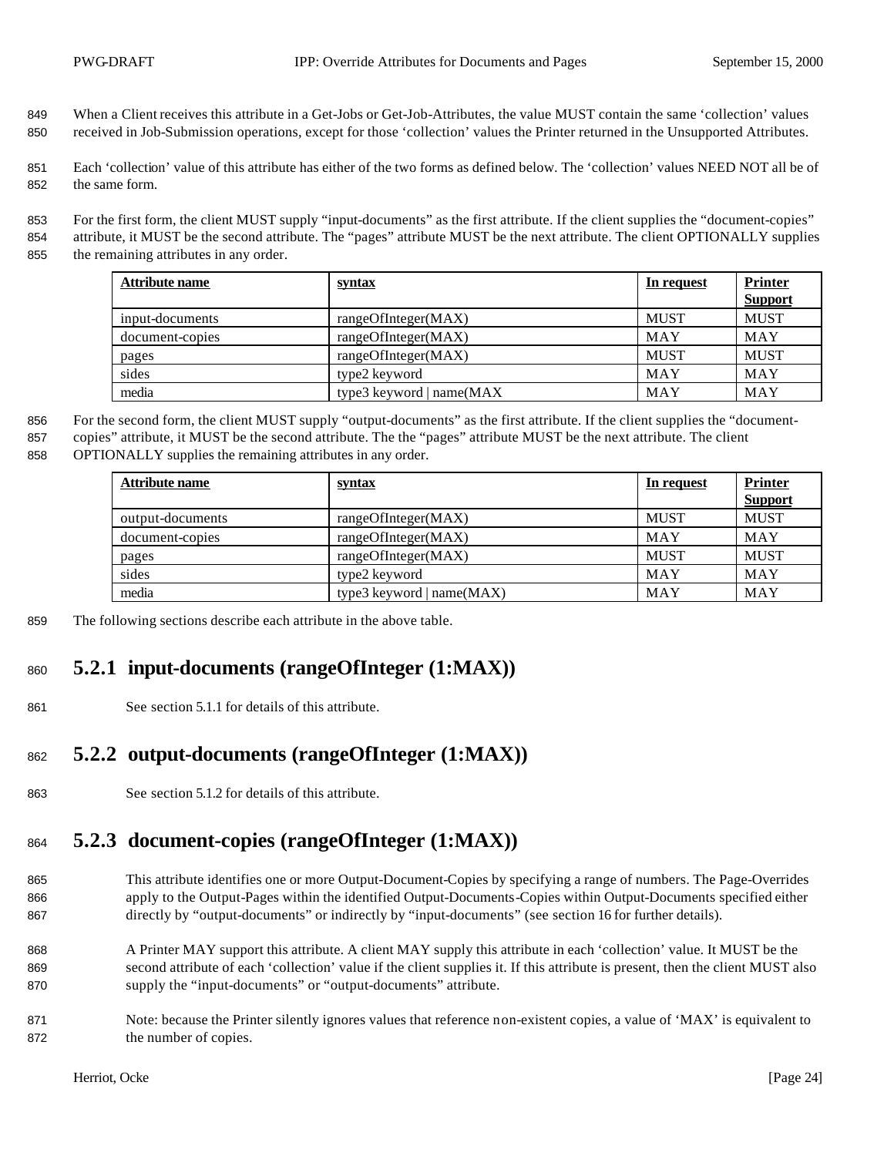- 849 When a Client receives this attribute in a Get-Jobs or Get-Job-Attributes, the value MUST contain the same 'collection' values 850 received in Job-Submission operations, except for those 'collection' values the Printer returned in the Unsupported Attributes.
- 851 Each 'collection' value of this attribute has either of the two forms as defined below. The 'collection' values NEED NOT all be of 852 the same form.
- 853 For the first form, the client MUST supply "input-documents" as the first attribute. If the client supplies the "document-copies" 854 attribute, it MUST be the second attribute. The "pages" attribute MUST be the next attribute. The client OPTIONALLY supplies 855 the remaining attributes in any order.

| Attribute name  | <u>syntax</u>                | In request  | <b>Printer</b> |
|-----------------|------------------------------|-------------|----------------|
|                 |                              |             | <b>Support</b> |
| input-documents | rangeOfInteger(MAX)          | <b>MUST</b> | <b>MUST</b>    |
| document-copies | rangeOfInteger(MAX)          | MAY         | MAY            |
| pages           | rangeOfInteger(MAX)          | <b>MUST</b> | <b>MUST</b>    |
| sides           | type2 keyword                | MAY         | MAY            |
| media           | type3 keyword   name $(MAX)$ | MAY         | MAY            |

856 For the second form, the client MUST supply "output-documents" as the first attribute. If the client supplies the "document-857 copies" attribute, it MUST be the second attribute. The the "pages" attribute MUST be the next attribute. The client 858 OPTIONALLY supplies the remaining attributes in any order.

| Attribute name   | <u>syntax</u>               | In request  | <b>Printer</b> |
|------------------|-----------------------------|-------------|----------------|
|                  |                             |             | <b>Support</b> |
| output-documents | rangeOfInteger(MAX)         | <b>MUST</b> | <b>MUST</b>    |
| document-copies  | rangeOfInteger(MAX)         | MAY         | MAY            |
| pages            | rangeOfInteger(MAX)         | <b>MUST</b> | <b>MUST</b>    |
| sides            | type2 keyword               | <b>MAY</b>  | <b>MAY</b>     |
| media            | type3 keyword $ name(MAX) $ | MAY         | MAY            |

859 The following sections describe each attribute in the above table.

## <sup>860</sup> **5.2.1 input-documents (rangeOfInteger (1:MAX))**

861 See section 5.1.1 for details of this attribute.

# <sup>862</sup> **5.2.2 output-documents (rangeOfInteger (1:MAX))**

863 See section 5.1.2 for details of this attribute.

# <sup>864</sup> **5.2.3 document-copies (rangeOfInteger (1:MAX))**

- 865 This attribute identifies one or more Output-Document-Copies by specifying a range of numbers. The Page-Overrides 866 apply to the Output-Pages within the identified Output-Documents-Copies within Output-Documents specified either 867 directly by "output-documents" or indirectly by "input-documents" (see section 16 for further details).
- 868 A Printer MAY support this attribute. A client MAY supply this attribute in each 'collection' value. It MUST be the 869 second attribute of each 'collection' value if the client supplies it. If this attribute is present, then the client MUST also 870 supply the "input-documents" or "output-documents" attribute.
- 871 Note: because the Printer silently ignores values that reference non-existent copies, a value of 'MAX' is equivalent to 872 the number of copies.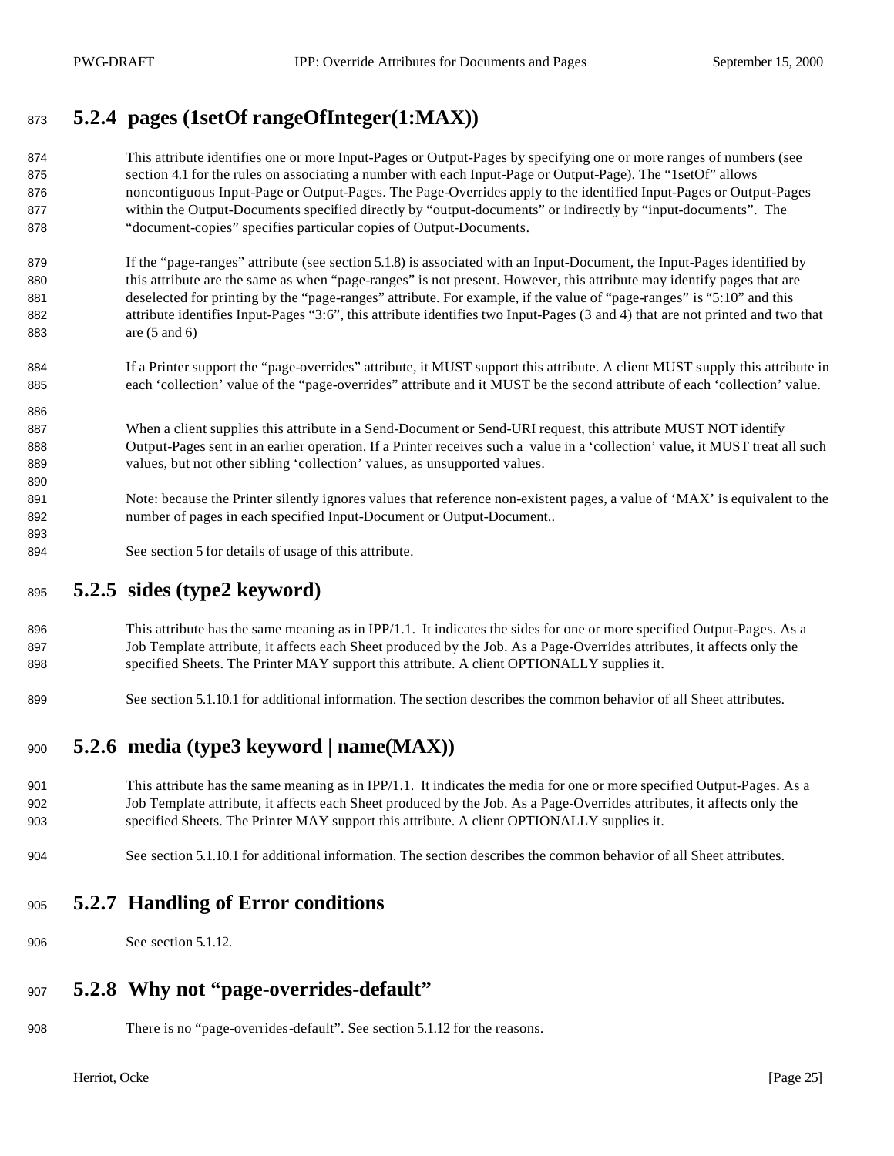# **5.2.4 pages (1setOf rangeOfInteger(1:MAX))**

- This attribute identifies one or more Input-Pages or Output-Pages by specifying one or more ranges of numbers (see section 4.1 for the rules on associating a number with each Input-Page or Output-Page). The "1setOf" allows noncontiguous Input-Page or Output-Pages. The Page-Overrides apply to the identified Input-Pages or Output-Pages within the Output-Documents specified directly by "output-documents" or indirectly by "input-documents". The "document-copies" specifies particular copies of Output-Documents.
- 879 If the "page-ranges" attribute (see section 5.1.8) is associated with an Input-Document, the Input-Pages identified by 880 this attribute are the same as when "page-ranges" is not present. However, this attribute may identify pages that are deselected for printing by the "page-ranges" attribute. For example, if the value of "page-ranges" is "5:10" and this attribute identifies Input-Pages "3:6", this attribute identifies two Input-Pages (3 and 4) that are not printed and two that are (5 and 6)
- If a Printer support the "page-overrides" attribute, it MUST support this attribute. A client MUST supply this attribute in each 'collection' value of the "page-overrides" attribute and it MUST be the second attribute of each 'collection' value.
- 887 When a client supplies this attribute in a Send-Document or Send-URI request, this attribute MUST NOT identify Output-Pages sent in an earlier operation. If a Printer receives such a value in a 'collection' value, it MUST treat all such values, but not other sibling 'collection' values, as unsupported values.
- Note: because the Printer silently ignores values that reference non-existent pages, a value of 'MAX' is equivalent to the number of pages in each specified Input-Document or Output-Document..
- See section 5 for details of usage of this attribute.

### **5.2.5 sides (type2 keyword)**

- 896 This attribute has the same meaning as in IPP/1.1. It indicates the sides for one or more specified Output-Pages. As a Job Template attribute, it affects each Sheet produced by the Job. As a Page-Overrides attributes, it affects only the 898 specified Sheets. The Printer MAY support this attribute. A client OPTIONALLY supplies it.
- See section 5.1.10.1 for additional information. The section describes the common behavior of all Sheet attributes.

# **5.2.6 media (type3 keyword | name(MAX))**

- 901 This attribute has the same meaning as in IPP/1.1. It indicates the media for one or more specified Output-Pages. As a Job Template attribute, it affects each Sheet produced by the Job. As a Page-Overrides attributes, it affects only the specified Sheets. The Printer MAY support this attribute. A client OPTIONALLY supplies it.
- See section 5.1.10.1 for additional information. The section describes the common behavior of all Sheet attributes.

### **5.2.7 Handling of Error conditions**

See section 5.1.12.

## **5.2.8 Why not "page-overrides-default"**

There is no "page-overrides-default". See section 5.1.12 for the reasons.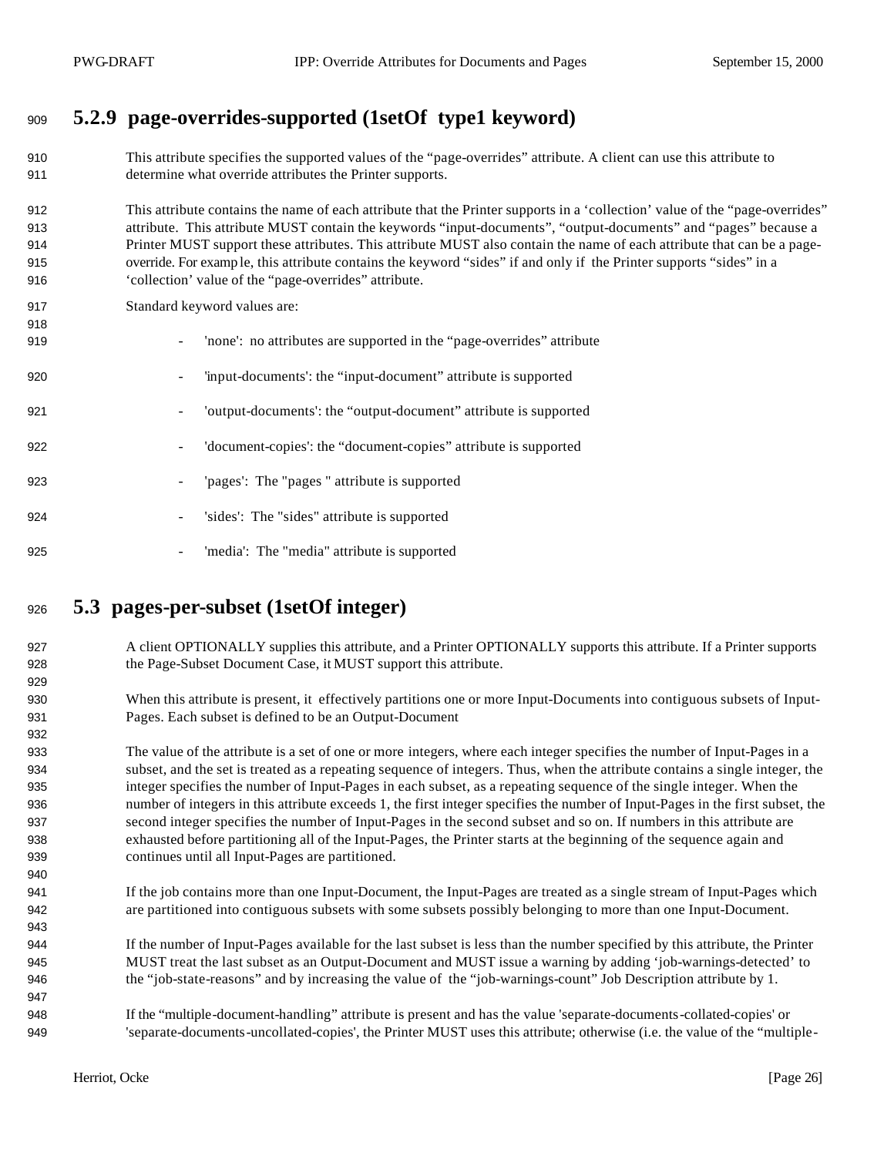# **5.2.9 page-overrides-supported (1setOf type1 keyword)**

- This attribute specifies the supported values of the "page-overrides" attribute. A client can use this attribute to determine what override attributes the Printer supports.
- This attribute contains the name of each attribute that the Printer supports in a 'collection' value of the "page-overrides" attribute. This attribute MUST contain the keywords "input-documents", "output-documents" and "pages" because a Printer MUST support these attributes. This attribute MUST also contain the name of each attribute that can be a page- override. For examp le, this attribute contains the keyword "sides" if and only if the Printer supports "sides" in a 'collection' value of the "page-overrides" attribute.
- Standard keyword values are:
- 919 'none': no attributes are supported in the "page-overrides" attribute - 'input-documents': the "input-document" attribute is supported - 'output-documents': the "output-document" attribute is supported - 'document-copies': the "document-copies" attribute is supported - 'pages': The "pages " attribute is supported - 'sides': The "sides" attribute is supported 925 - 'media': The "media" attribute is supported

## **5.3 pages-per-subset (1setOf integer)**

- 927 A client OPTIONALLY supplies this attribute, and a Printer OPTIONALLY supports this attribute. If a Printer supports the Page-Subset Document Case, it MUST support this attribute.
- When this attribute is present, it effectively partitions one or more Input-Documents into contiguous subsets of Input-Pages. Each subset is defined to be an Output-Document
- The value of the attribute is a set of one or more integers, where each integer specifies the number of Input-Pages in a subset, and the set is treated as a repeating sequence of integers. Thus, when the attribute contains a single integer, the integer specifies the number of Input-Pages in each subset, as a repeating sequence of the single integer. When the number of integers in this attribute exceeds 1, the first integer specifies the number of Input-Pages in the first subset, the second integer specifies the number of Input-Pages in the second subset and so on. If numbers in this attribute are exhausted before partitioning all of the Input-Pages, the Printer starts at the beginning of the sequence again and continues until all Input-Pages are partitioned.
- If the job contains more than one Input-Document, the Input-Pages are treated as a single stream of Input-Pages which are partitioned into contiguous subsets with some subsets possibly belonging to more than one Input-Document.
- If the number of Input-Pages available for the last subset is less than the number specified by this attribute, the Printer MUST treat the last subset as an Output-Document and MUST issue a warning by adding 'job-warnings-detected' to the "job-state-reasons" and by increasing the value of the "job-warnings-count" Job Description attribute by 1.
- If the "multiple-document-handling" attribute is present and has the value 'separate-documents-collated-copies' or 'separate-documents-uncollated-copies', the Printer MUST uses this attribute; otherwise (i.e. the value of the "multiple-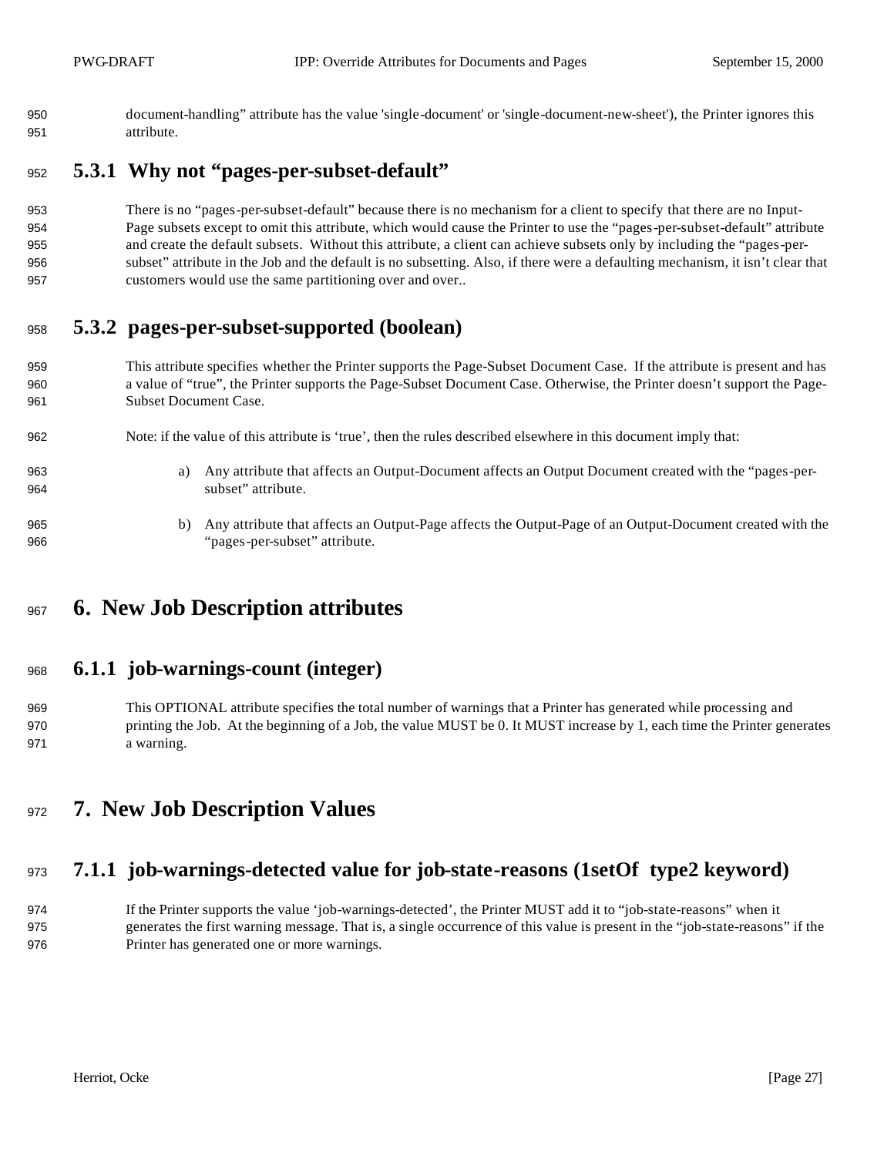document-handling" attribute has the value 'single-document' or 'single-document-new-sheet'), the Printer ignores this attribute.

### **5.3.1 Why not "pages-per-subset-default"**

 There is no "pages-per-subset-default" because there is no mechanism for a client to specify that there are no Input- Page subsets except to omit this attribute, which would cause the Printer to use the "pages-per-subset-default" attribute and create the default subsets. Without this attribute, a client can achieve subsets only by including the "pages-per- subset" attribute in the Job and the default is no subsetting. Also, if there were a defaulting mechanism, it isn't clear that customers would use the same partitioning over and over..

### **5.3.2 pages-per-subset-supported (boolean)**

- This attribute specifies whether the Printer supports the Page-Subset Document Case. If the attribute is present and has a value of "true", the Printer supports the Page-Subset Document Case. Otherwise, the Printer doesn't support the Page-Subset Document Case.
- Note: if the value of this attribute is 'true', then the rules described elsewhere in this document imply that:
- a) Any attribute that affects an Output-Document affects an Output Document created with the "pages-per-subset" attribute.
- b) Any attribute that affects an Output-Page affects the Output-Page of an Output-Document created with the "pages-per-subset" attribute.

# **6. New Job Description attributes**

#### **6.1.1 job-warnings-count (integer)**

- This OPTIONAL attribute specifies the total number of warnings that a Printer has generated while processing and printing the Job. At the beginning of a Job, the value MUST be 0. It MUST increase by 1, each time the Printer generates a warning.
- **7. New Job Description Values**

## **7.1.1 job-warnings-detected value for job-state-reasons (1setOf type2 keyword)**

 If the Printer supports the value 'job-warnings-detected', the Printer MUST add it to "job-state-reasons" when it generates the first warning message. That is, a single occurrence of this value is present in the "job-state-reasons" if the Printer has generated one or more warnings.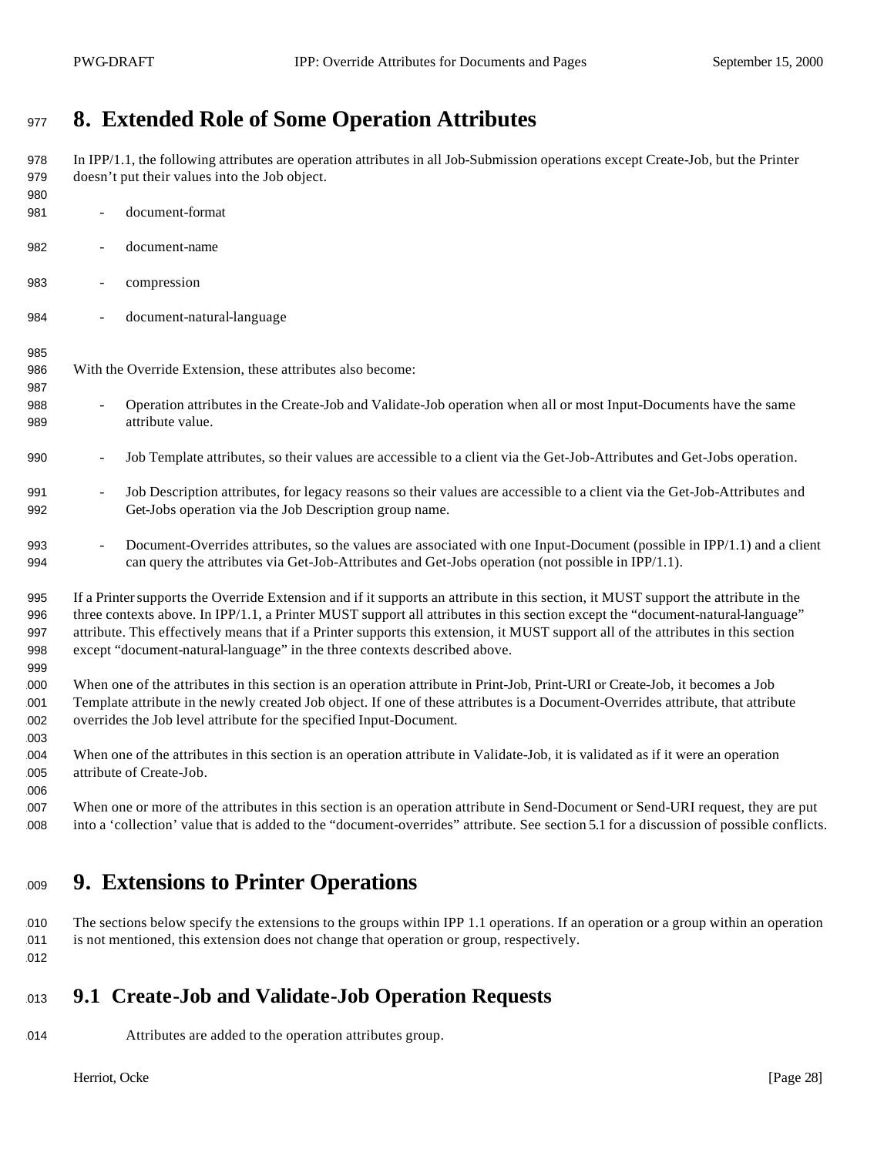# **8. Extended Role of Some Operation Attributes**

 In IPP/1.1, the following attributes are operation attributes in all Job-Submission operations except Create-Job, but the Printer doesn't put their values into the Job object. - document-format - document-name - compression - document-natural-language With the Override Extension, these attributes also become: - Operation attributes in the Create-Job and Validate-Job operation when all or most Input-Documents have the same attribute value. - Job Template attributes, so their values are accessible to a client via the Get-Job-Attributes and Get-Jobs operation.

- 991 Job Description attributes, for legacy reasons so their values are accessible to a client via the Get-Job-Attributes and Get-Jobs operation via the Job Description group name.
- 993 Document-Overrides attributes, so the values are associated with one Input-Document (possible in IPP/1.1) and a client can query the attributes via Get-Job-Attributes and Get-Jobs operation (not possible in IPP/1.1).
- If a Printer supports the Override Extension and if it supports an attribute in this section, it MUST support the attribute in the three contexts above. In IPP/1.1, a Printer MUST support all attributes in this section except the "document-natural-language" attribute. This effectively means that if a Printer supports this extension, it MUST support all of the attributes in this section except "document-natural-language" in the three contexts described above.
- When one of the attributes in this section is an operation attribute in Print-Job, Print-URI or Create-Job, it becomes a Job Template attribute in the newly created Job object. If one of these attributes is a Document-Overrides attribute, that attribute overrides the Job level attribute for the specified Input-Document.
- When one of the attributes in this section is an operation attribute in Validate-Job, it is validated as if it were an operation 005 attribute of Create-Job.
- When one or more of the attributes in this section is an operation attribute in Send-Document or Send-URI request, they are put into a 'collection' value that is added to the "document-overrides" attribute. See section 5.1 for a discussion of possible conflicts.

# **9. Extensions to Printer Operations**

 The sections below specify the extensions to the groups within IPP 1.1 operations. If an operation or a group within an operation is not mentioned, this extension does not change that operation or group, respectively. 

# **9.1 Create-Job and Validate-Job Operation Requests**

Attributes are added to the operation attributes group.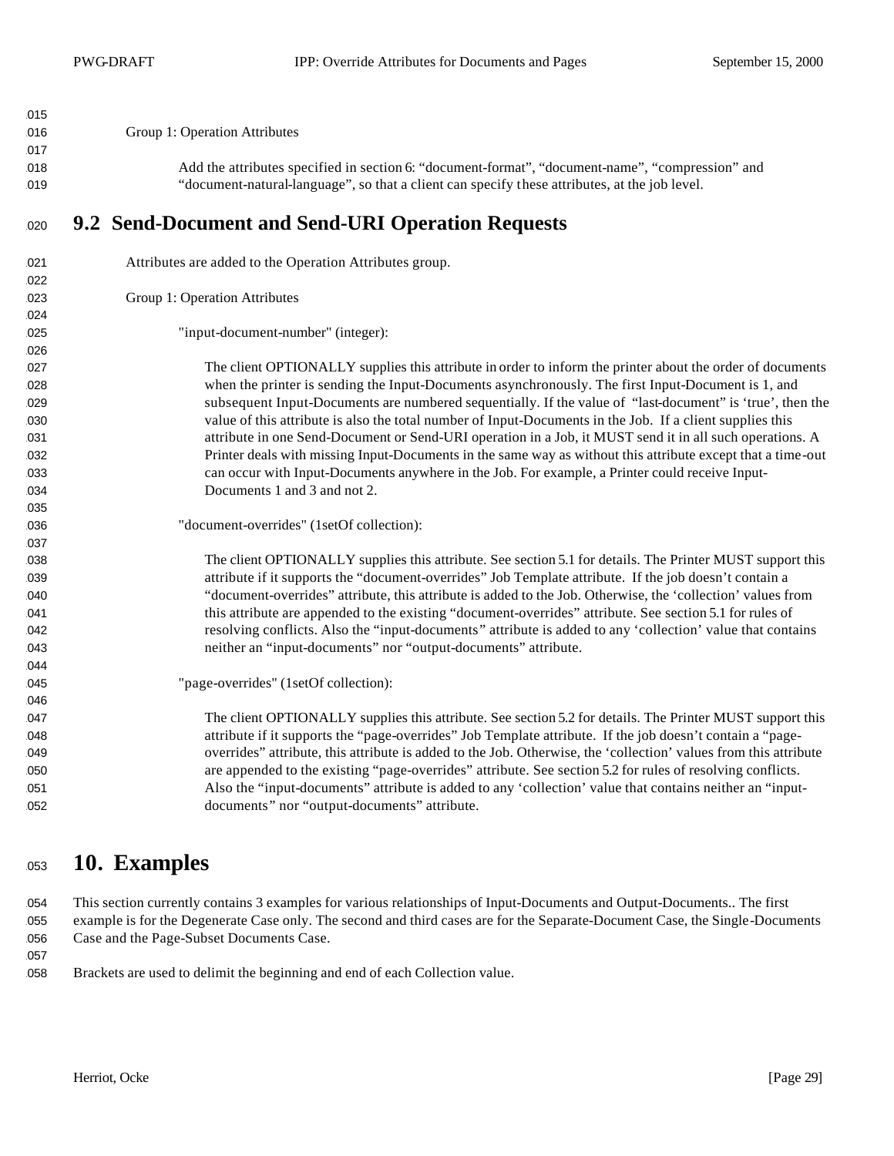| 015        |                                                                                                                                                                                                                 |
|------------|-----------------------------------------------------------------------------------------------------------------------------------------------------------------------------------------------------------------|
| 016        | Group 1: Operation Attributes                                                                                                                                                                                   |
| 017        |                                                                                                                                                                                                                 |
| 018        | Add the attributes specified in section 6: "document-format", "document-name", "compression" and                                                                                                                |
| 019        | "document-natural-language", so that a client can specify these attributes, at the job level.                                                                                                                   |
| 020        | 9.2 Send-Document and Send-URI Operation Requests                                                                                                                                                               |
| 021        | Attributes are added to the Operation Attributes group.                                                                                                                                                         |
| 022        |                                                                                                                                                                                                                 |
| 023        | Group 1: Operation Attributes                                                                                                                                                                                   |
| 024        |                                                                                                                                                                                                                 |
| 025        | "input-document-number" (integer):                                                                                                                                                                              |
| 026        |                                                                                                                                                                                                                 |
| 027        | The client OPTIONALLY supplies this attribute in order to inform the printer about the order of documents                                                                                                       |
| 028        | when the printer is sending the Input-Documents asynchronously. The first Input-Document is 1, and<br>subsequent Input-Documents are numbered sequentially. If the value of "last-document" is 'true', then the |
| 029        | value of this attribute is also the total number of Input-Documents in the Job. If a client supplies this                                                                                                       |
| 030<br>031 | attribute in one Send-Document or Send-URI operation in a Job, it MUST send it in all such operations. A                                                                                                        |
| 032        | Printer deals with missing Input-Documents in the same way as without this attribute except that a time-out                                                                                                     |
| 033        | can occur with Input-Documents anywhere in the Job. For example, a Printer could receive Input-                                                                                                                 |
| 034        | Documents 1 and 3 and not 2.                                                                                                                                                                                    |
| 035        |                                                                                                                                                                                                                 |
| 036        | "document-overrides" (1setOf collection):                                                                                                                                                                       |
| 037        |                                                                                                                                                                                                                 |
| 038        | The client OPTIONALLY supplies this attribute. See section 5.1 for details. The Printer MUST support this                                                                                                       |
| 039        | attribute if it supports the "document-overrides" Job Template attribute. If the job doesn't contain a                                                                                                          |
| 040        | "document-overrides" attribute, this attribute is added to the Job. Otherwise, the 'collection' values from                                                                                                     |
| 041        | this attribute are appended to the existing "document-overrides" attribute. See section 5.1 for rules of                                                                                                        |
| 042        | resolving conflicts. Also the "input-documents" attribute is added to any 'collection' value that contains                                                                                                      |
| 043        | neither an "input-documents" nor "output-documents" attribute.                                                                                                                                                  |
| 044        |                                                                                                                                                                                                                 |
| 045        | "page-overrides" (1setOf collection):                                                                                                                                                                           |
| 046        |                                                                                                                                                                                                                 |
| 047        | The client OPTIONALLY supplies this attribute. See section 5.2 for details. The Printer MUST support this                                                                                                       |
| 048        | attribute if it supports the "page-overrides" Job Template attribute. If the job doesn't contain a "page-                                                                                                       |
| 049        | overrides" attribute, this attribute is added to the Job. Otherwise, the 'collection' values from this attribute                                                                                                |
| 050        | are appended to the existing "page-overrides" attribute. See section 5.2 for rules of resolving conflicts.                                                                                                      |
| 051        | Also the "input-documents" attribute is added to any 'collection' value that contains neither an "input-                                                                                                        |
| 052        | documents" nor "output-documents" attribute.                                                                                                                                                                    |

# **10. Examples**

 This section currently contains 3 examples for various relationships of Input-Documents and Output-Documents.. The first example is for the Degenerate Case only. The second and third cases are for the Separate-Document Case, the Single-Documents 056 Case and the Page-Subset Documents Case.

Brackets are used to delimit the beginning and end of each Collection value.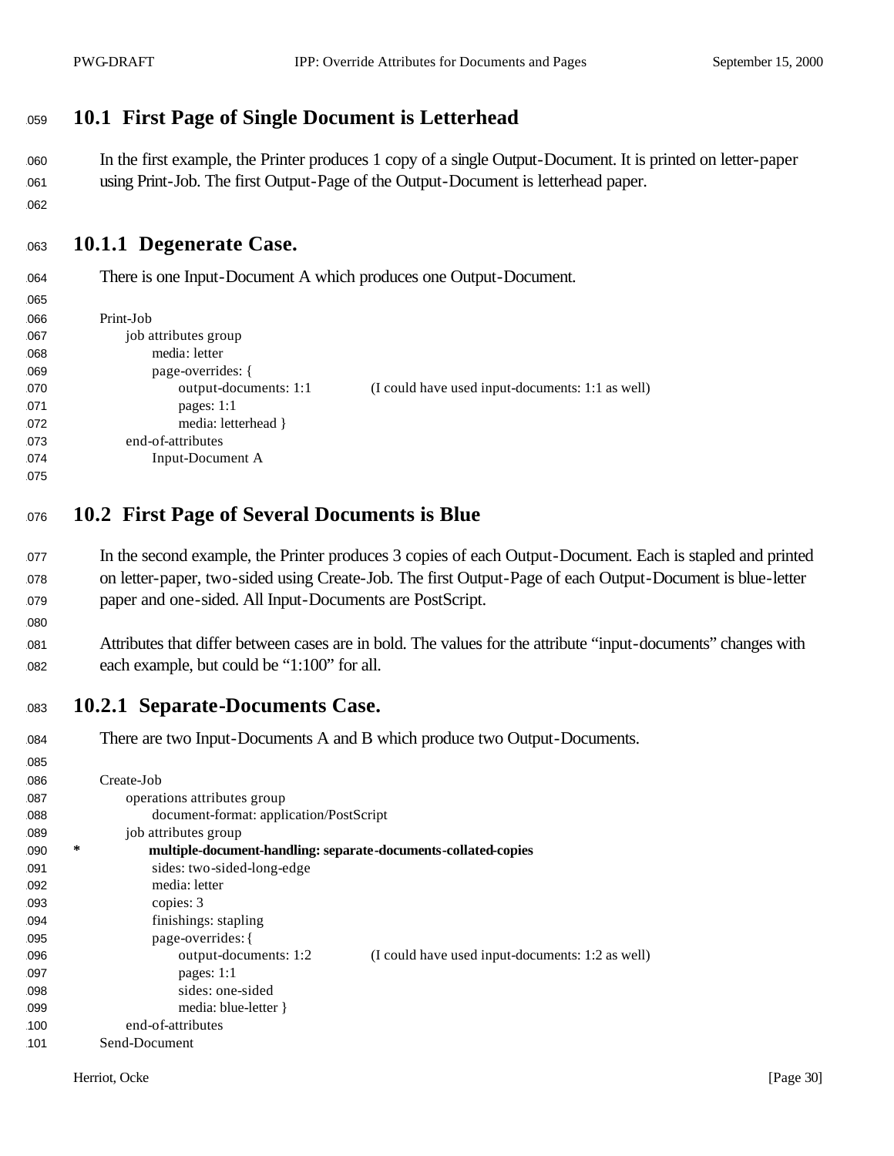## <sup>1059</sup> **10.1 First Page of Single Document is Letterhead**

<sup>1060</sup> In the first example, the Printer produces 1 copy of a single Output-Document. It is printed on letter-paper <sup>1061</sup> using Print-Job. The first Output-Page of the Output-Document is letterhead paper.

062

1065

1080

## <sup>1063</sup> **10.1.1 Degenerate Case.**

<sup>1064</sup> There is one Input-Document A which produces one Output-Document.

| vvv |                       |                                                  |
|-----|-----------------------|--------------------------------------------------|
| 066 | Print-Job             |                                                  |
| 067 | job attributes group  |                                                  |
| 068 | media: letter         |                                                  |
| 069 | page-overrides: {     |                                                  |
| 070 | output-documents: 1:1 | (I could have used input-documents: 1:1 as well) |
| 071 | pages: $1:1$          |                                                  |
| 072 | media: letterhead }   |                                                  |
| 073 | end-of-attributes     |                                                  |
| 074 | Input-Document A      |                                                  |
| 075 |                       |                                                  |

- <sup>1076</sup> **10.2 First Page of Several Documents is Blue**
- <sup>1077</sup> In the second example, the Printer produces 3 copies of each Output-Document. Each is stapled and printed <sup>1078</sup> on letter-paper, two-sided using Create-Job. The first Output-Page of each Output-Document is blue-letter <sup>1079</sup> paper and one-sided. All Input-Documents are PostScript.
- <sup>1081</sup> Attributes that differ between cases are in bold. The values for the attribute "input-documents" changes with 082 each example, but could be "1:100" for all.
- <sup>1083</sup> **10.2.1 Separate-Documents Case.**

| 084 |   | There are two Input-Documents A and B which produce two Output-Documents. |
|-----|---|---------------------------------------------------------------------------|
| 085 |   |                                                                           |
| 086 |   | Create-Job                                                                |
| 087 |   | operations attributes group                                               |
| 088 |   | document-format: application/PostScript                                   |
| 089 |   | job attributes group                                                      |
| 090 | ∗ | multiple-document-handling: separate-documents-collated-copies            |
| 091 |   | sides: two-sided-long-edge                                                |
| 092 |   | media: letter                                                             |
| 093 |   | copies: 3                                                                 |
| 094 |   | finishings: stapling                                                      |
| 095 |   | page-overrides: {                                                         |
| 096 |   | output-documents: 1:2<br>(I could have used input-documents: 1:2 as well) |
| 097 |   | pages: $1:1$                                                              |
| 098 |   | sides: one-sided                                                          |
| 099 |   | media: blue-letter }                                                      |
| 100 |   | end-of-attributes                                                         |
| 101 |   | Send-Document                                                             |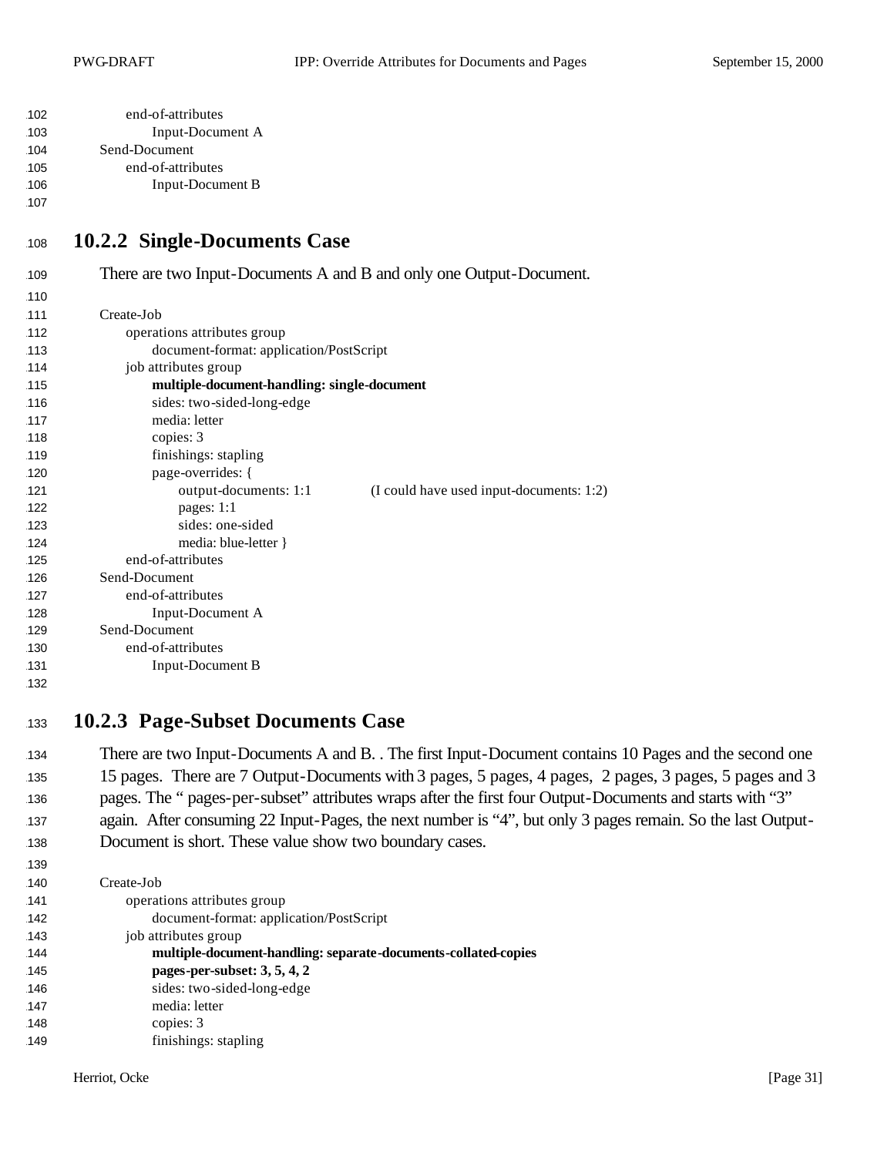| 102 | end-of-attributes |
|-----|-------------------|
| 103 | Input-Document A  |
| 104 | Send-Document     |
| 105 | end-of-attributes |
| 106 | Input-Document B  |

#### <sup>1108</sup> **10.2.2 Single-Documents Case**

| 109 | There are two Input-Documents A and B and only one Output-Document. |
|-----|---------------------------------------------------------------------|
| 110 |                                                                     |
| 111 | Create-Job                                                          |
| 112 | operations attributes group                                         |
| 113 | document-format: application/PostScript                             |
| 114 | job attributes group                                                |
| 115 | multiple-document-handling: single-document                         |
| 116 | sides: two-sided-long-edge                                          |
| 117 | media: letter                                                       |
| 118 | copies: 3                                                           |
| 119 | finishings: stapling                                                |
| 120 | page-overrides: {                                                   |
| 121 | output-documents: 1:1<br>(I could have used input-documents: 1:2)   |
| 122 | pages: 1:1                                                          |
| 123 | sides: one-sided                                                    |
| 124 | media: blue-letter }                                                |
| 125 | end-of-attributes                                                   |
| 126 | Send-Document                                                       |
| 127 | end-of-attributes                                                   |
| 128 | Input-Document A                                                    |
| 129 | Send-Document                                                       |
| 130 | end-of-attributes                                                   |
| 131 | <b>Input-Document B</b>                                             |
| 132 |                                                                     |

#### <sup>1133</sup> **10.2.3 Page-Subset Documents Case**

134 There are two Input-Documents A and B. . The first Input-Document contains 10 Pages and the second one <sup>1135</sup> 15 pages. There are 7 Output-Documents with 3 pages, 5 pages, 4 pages, 2 pages, 3 pages, 5 pages and 3 <sup>1136</sup> pages. The " pages-per-subset" attributes wraps after the first four Output-Documents and starts with "3" 137 again. After consuming 22 Input-Pages, the next number is "4", but only 3 pages remain. So the last Output-138 Document is short. These value show two boundary cases.

1140 Create-Job 141 operations attributes group 1142 document-format: application/PostScript 143 job attributes group 1144 **multiple-document-handling: separate-documents-collated-copies** 1145 **pages-per-subset: 3, 5, 4, 2** 146 sides: two-sided-long-edge 147 media: letter 148 copies: 3 149 **finishings:** stapling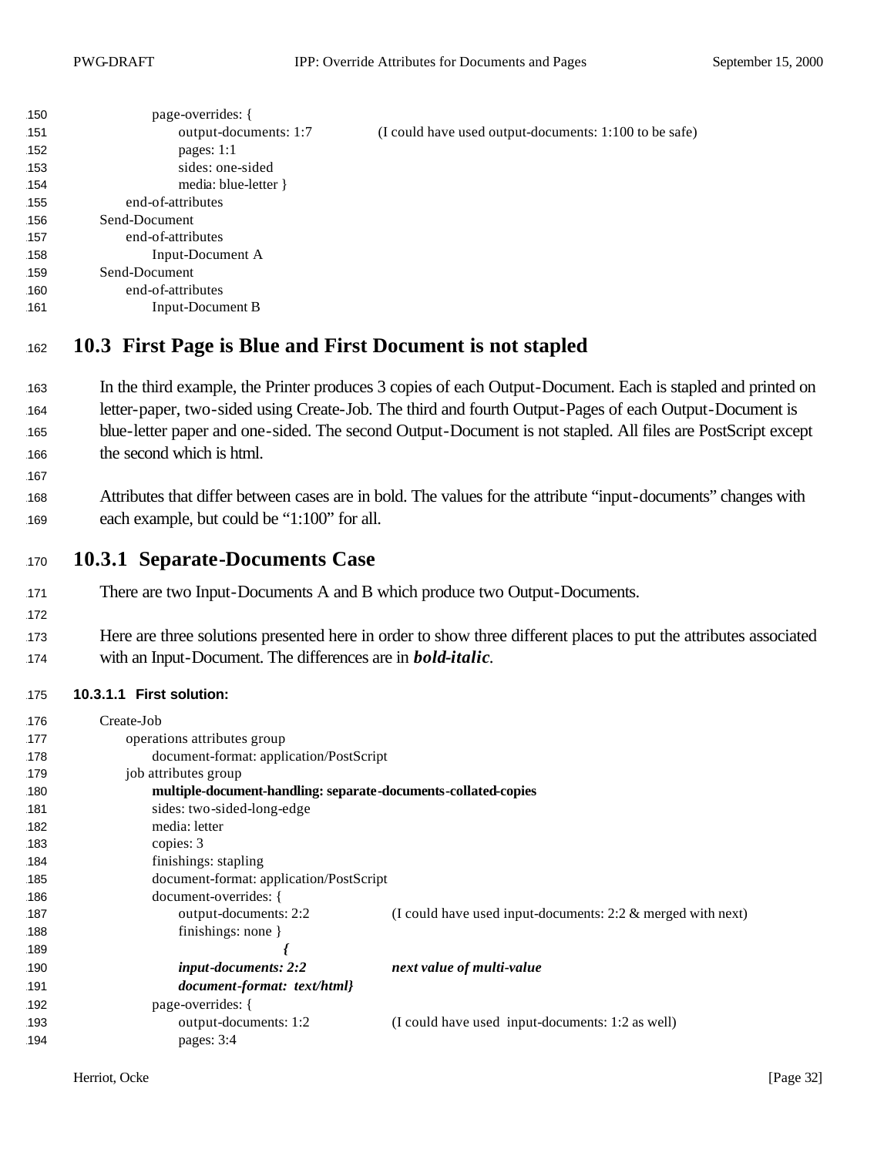| 150 | page-overrides: {     |                                                        |
|-----|-----------------------|--------------------------------------------------------|
| 151 | output-documents: 1:7 | (I could have used output-documents: 1:100 to be safe) |
| 152 | pages: $1:1$          |                                                        |
| 153 | sides: one-sided      |                                                        |
| 154 | media: blue-letter }  |                                                        |
| 155 | end-of-attributes     |                                                        |
| 156 | Send-Document         |                                                        |
| 157 | end-of-attributes     |                                                        |
| 158 | Input-Document A      |                                                        |
| 159 | Send-Document         |                                                        |
| 160 | end-of-attributes     |                                                        |
| 161 | Input-Document B      |                                                        |
|     |                       |                                                        |

### <sup>1162</sup> **10.3 First Page is Blue and First Document is not stapled**

- 163 In the third example, the Printer produces 3 copies of each Output-Document. Each is stapled and printed on 164 letter-paper, two-sided using Create-Job. The third and fourth Output-Pages of each Output-Document is 165 blue-letter paper and one-sided. The second Output-Document is not stapled. All files are PostScript except 166 the second which is html.
- 168 Attributes that differ between cases are in bold. The values for the attribute "input-documents" changes with 169 each example, but could be "1:100" for all.
- <sup>1170</sup> **10.3.1 Separate-Documents Case**
- 171 There are two Input-Documents A and B which produce two Output-Documents.
- 173 Here are three solutions presented here in order to show three different places to put the attributes associated <sup>1174</sup> with an Input-Document. The differences are in *bold-italic*.

#### 1175 **10.3.1.1 First solution:**

167

| 176 | Create-Job                                                     |                                                                |
|-----|----------------------------------------------------------------|----------------------------------------------------------------|
| 177 | operations attributes group                                    |                                                                |
| 178 | document-format: application/PostScript                        |                                                                |
| 179 | job attributes group                                           |                                                                |
| 180 | multiple-document-handling: separate-documents-collated-copies |                                                                |
| 181 | sides: two-sided-long-edge                                     |                                                                |
| 182 | media: letter                                                  |                                                                |
| 183 | copies: 3                                                      |                                                                |
| 184 | finishings: stapling                                           |                                                                |
| 185 | document-format: application/PostScript                        |                                                                |
| 186 | document-overrides: {                                          |                                                                |
| 187 | output-documents: 2:2                                          | (I could have used input-documents: $2:2 \&$ merged with next) |
| 188 | finishings: none $\}$                                          |                                                                |
| 189 |                                                                |                                                                |
| 190 | <i>input-documents: 2:2</i>                                    | next value of multi-value                                      |
| 191 | document-format: text/html}                                    |                                                                |
| 192 | page-overrides: {                                              |                                                                |
| 193 | output-documents: 1:2                                          | (I could have used input-documents: 1:2 as well)               |
| 194 | pages: 3:4                                                     |                                                                |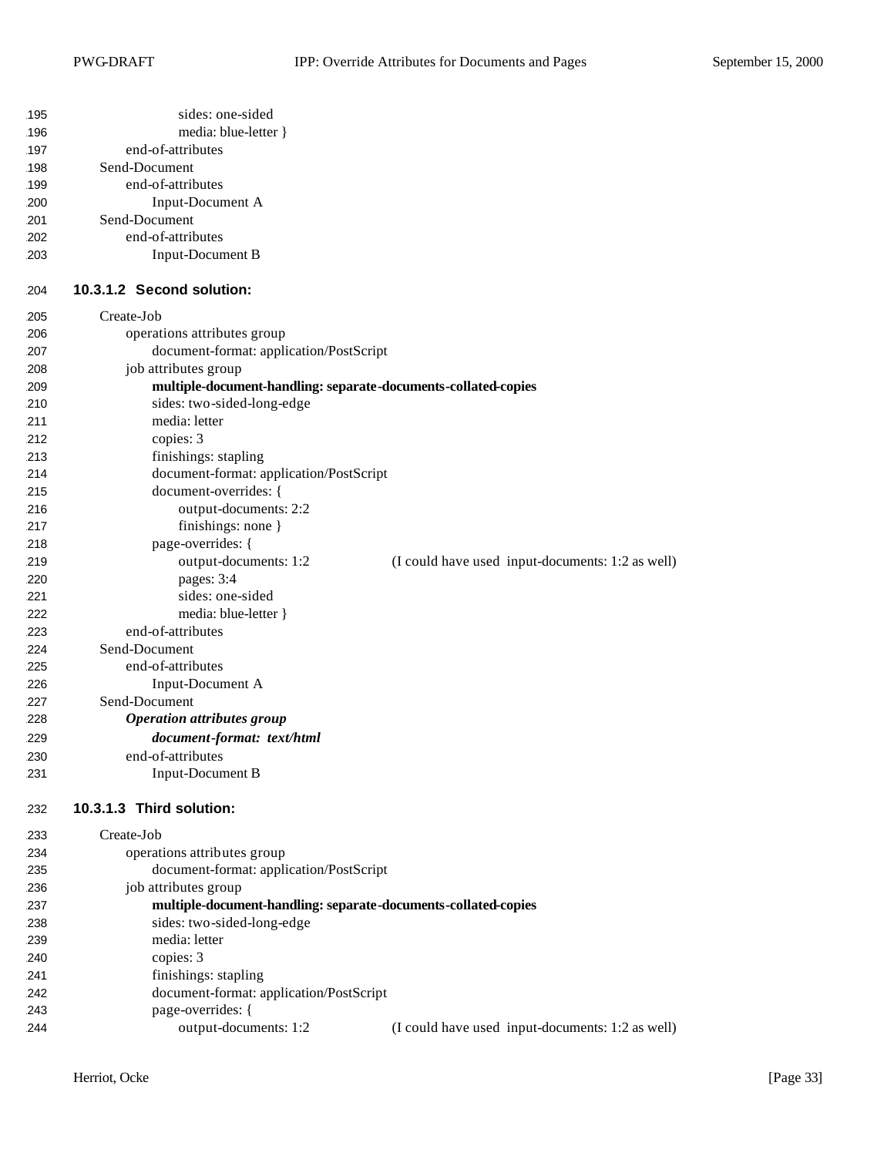| 195<br>196<br>197<br>198<br>199<br>200<br>201<br>202<br>203 | sides: one-sided<br>media: blue-letter }<br>end-of-attributes<br>Send-Document<br>end-of-attributes<br>Input-Document A<br>Send-Document<br>end-of-attributes<br><b>Input-Document B</b> |                                                  |
|-------------------------------------------------------------|------------------------------------------------------------------------------------------------------------------------------------------------------------------------------------------|--------------------------------------------------|
| 204                                                         | 10.3.1.2 Second solution:                                                                                                                                                                |                                                  |
| 205                                                         | Create-Job                                                                                                                                                                               |                                                  |
| 206                                                         | operations attributes group                                                                                                                                                              |                                                  |
| 207                                                         | document-format: application/PostScript                                                                                                                                                  |                                                  |
| 208                                                         | job attributes group                                                                                                                                                                     |                                                  |
| 209                                                         | multiple-document-handling: separate-documents-collated-copies                                                                                                                           |                                                  |
| 210                                                         | sides: two-sided-long-edge                                                                                                                                                               |                                                  |
| 211                                                         | media: letter                                                                                                                                                                            |                                                  |
| 212                                                         | copies: 3                                                                                                                                                                                |                                                  |
| 213                                                         | finishings: stapling                                                                                                                                                                     |                                                  |
| 214<br>215                                                  | document-format: application/PostScript<br>document-overrides: {                                                                                                                         |                                                  |
| 216                                                         | output-documents: 2:2                                                                                                                                                                    |                                                  |
| 217                                                         | finishings: none }                                                                                                                                                                       |                                                  |
| 218                                                         | page-overrides: {                                                                                                                                                                        |                                                  |
| 219                                                         | output-documents: 1:2                                                                                                                                                                    | (I could have used input-documents: 1:2 as well) |
| 220                                                         | pages: 3:4                                                                                                                                                                               |                                                  |
| 221                                                         | sides: one-sided                                                                                                                                                                         |                                                  |
| 222                                                         | media: blue-letter }                                                                                                                                                                     |                                                  |
| 223                                                         | end-of-attributes                                                                                                                                                                        |                                                  |
| 224                                                         | Send-Document                                                                                                                                                                            |                                                  |
| 225                                                         | end-of-attributes                                                                                                                                                                        |                                                  |
| 226                                                         | Input-Document A                                                                                                                                                                         |                                                  |
| 227                                                         | Send-Document                                                                                                                                                                            |                                                  |
| 228                                                         | <b>Operation attributes group</b>                                                                                                                                                        |                                                  |
| 229                                                         | document-format: text/html                                                                                                                                                               |                                                  |
| 230                                                         | end-of-attributes                                                                                                                                                                        |                                                  |
| 231                                                         | <b>Input-Document B</b>                                                                                                                                                                  |                                                  |
| 232                                                         | 10.3.1.3 Third solution:                                                                                                                                                                 |                                                  |
| 233                                                         | Create-Job                                                                                                                                                                               |                                                  |
| 234                                                         | operations attributes group                                                                                                                                                              |                                                  |
| 235                                                         | document-format: application/PostScript                                                                                                                                                  |                                                  |
| 236                                                         | job attributes group                                                                                                                                                                     |                                                  |
| 237                                                         | multiple-document-handling: separate-documents-collated-copies                                                                                                                           |                                                  |
| 238                                                         | sides: two-sided-long-edge                                                                                                                                                               |                                                  |
| 239                                                         | media: letter                                                                                                                                                                            |                                                  |
| 240                                                         | copies: 3                                                                                                                                                                                |                                                  |
| 241                                                         | finishings: stapling                                                                                                                                                                     |                                                  |
| 242                                                         | document-format: application/PostScript                                                                                                                                                  |                                                  |
| 243                                                         | page-overrides: {                                                                                                                                                                        |                                                  |
| 244                                                         | output-documents: 1:2                                                                                                                                                                    | (I could have used input-documents: 1:2 as well) |
|                                                             |                                                                                                                                                                                          |                                                  |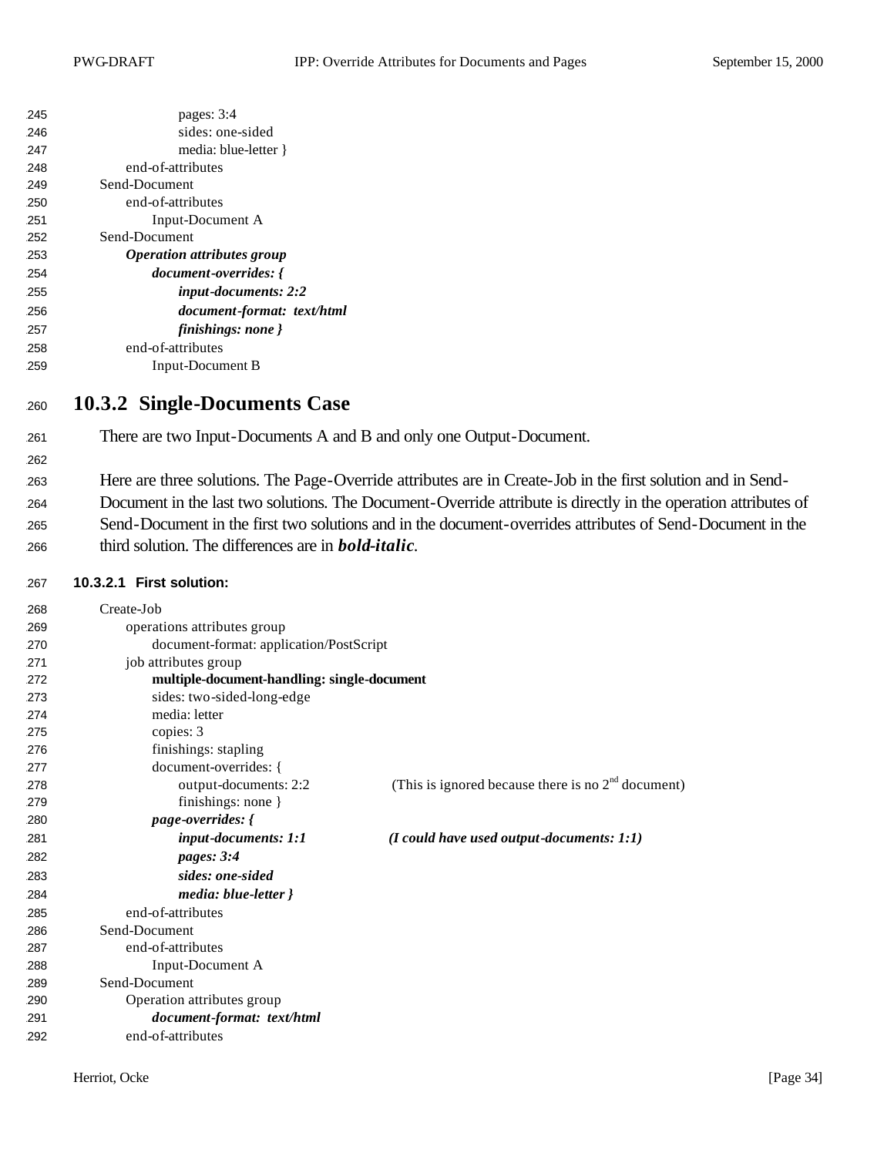| 245 | pages: $3:4$                             |  |
|-----|------------------------------------------|--|
| 246 | sides: one-sided                         |  |
| 247 | media: blue-letter }                     |  |
| 248 | end-of-attributes                        |  |
| 249 | Send-Document                            |  |
| 250 | end-of-attributes                        |  |
| 251 | Input-Document A                         |  |
| 252 | Send-Document                            |  |
| 253 | <i><b>Operation attributes group</b></i> |  |
| 254 | document-overrides: {                    |  |
| 255 | input-documents: 2:2                     |  |
| 256 | document-format: text/html               |  |
| 257 | finishings: none }                       |  |
| 258 | end-of-attributes                        |  |
| 259 | Input-Document B                         |  |

# **10.3.2 Single-Documents Case**

There are two Input-Documents A and B and only one Output-Document.

- Here are three solutions. The Page-Override attributes are in Create-Job in the first solution and in Send-
- Document in the last two solutions. The Document-Override attribute is directly in the operation attributes of
- Send-Document in the first two solutions and in the document-overrides attributes of Send-Document in the third solution. The differences are in *bold-italic*.

#### **10.3.2.1 First solution:**

| 268 | Create-Job                                  |                                                      |
|-----|---------------------------------------------|------------------------------------------------------|
| 269 | operations attributes group                 |                                                      |
| 270 | document-format: application/PostScript     |                                                      |
| 271 | job attributes group                        |                                                      |
| 272 | multiple-document-handling: single-document |                                                      |
| 273 | sides: two-sided-long-edge                  |                                                      |
| 274 | media: letter                               |                                                      |
| 275 | copies: 3                                   |                                                      |
| 276 | finishings: stapling                        |                                                      |
| 277 | document-overrides: {                       |                                                      |
| 278 | output-documents: 2:2                       | (This is ignored because there is no $2nd$ document) |
| 279 | finishings: none }                          |                                                      |
| 280 | page-overrides: {                           |                                                      |
| 281 | <i>input-documents: 1:1</i>                 | $(I \text{ could have used output-documents: } 1:1)$ |
| 282 | pages: 3:4                                  |                                                      |
| 283 | sides: one-sided                            |                                                      |
| 284 | media: blue-letter }                        |                                                      |
| 285 | end-of-attributes                           |                                                      |
| 286 | Send-Document                               |                                                      |
| 287 | end-of-attributes                           |                                                      |
| 288 | Input-Document A                            |                                                      |
| 289 | Send-Document                               |                                                      |
| 290 | Operation attributes group                  |                                                      |
| 291 | document-format: text/html                  |                                                      |
| 292 | end-of-attributes                           |                                                      |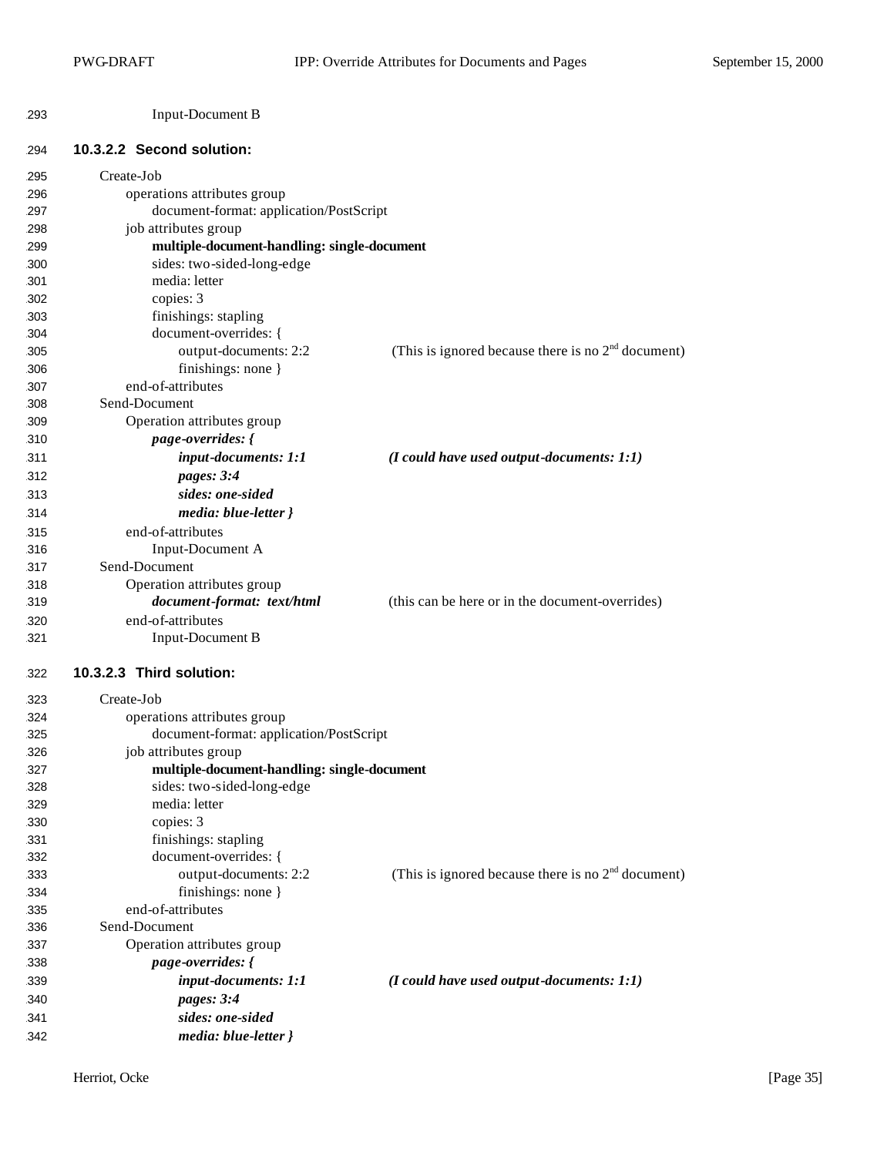| 293 | Input-Document B |
|-----|------------------|
|-----|------------------|

#### **10.3.2.2 Second solution:**

| 295 | Create-Job                                  |                                                      |
|-----|---------------------------------------------|------------------------------------------------------|
| 296 | operations attributes group                 |                                                      |
| 297 | document-format: application/PostScript     |                                                      |
| 298 | job attributes group                        |                                                      |
| 299 | multiple-document-handling: single-document |                                                      |
| 300 | sides: two-sided-long-edge                  |                                                      |
| 301 | media: letter                               |                                                      |
| 302 | copies: 3                                   |                                                      |
| 303 | finishings: stapling                        |                                                      |
| 304 | document-overrides: {                       |                                                      |
| 305 | output-documents: 2:2                       | (This is ignored because there is no $2nd$ document) |
| 306 | finishings: none }                          |                                                      |
| 307 | end-of-attributes                           |                                                      |
| 308 | Send-Document                               |                                                      |
| 309 | Operation attributes group                  |                                                      |
| 310 | <i>page-overrides:</i> {                    |                                                      |
| 311 | input-documents: 1:1                        | $(I \text{ could have used output-documents: } 1:1)$ |
| 312 | pages: 3:4                                  |                                                      |
| 313 | sides: one-sided                            |                                                      |
| 314 | media: blue-letter }                        |                                                      |
| 315 | end-of-attributes                           |                                                      |
| 316 | Input-Document A                            |                                                      |
| 317 | Send-Document                               |                                                      |
| 318 | Operation attributes group                  |                                                      |
| 319 | document-format: text/html                  | (this can be here or in the document-overrides)      |
| 320 | end-of-attributes                           |                                                      |
| 321 | <b>Input-Document B</b>                     |                                                      |
| 322 | 10.3.2.3 Third solution:                    |                                                      |
| 323 | Create-Job                                  |                                                      |
| 324 | operations attributes group                 |                                                      |
| 325 | document-format: application/PostScript     |                                                      |
| 326 | job attributes group                        |                                                      |
| 327 | multiple-document-handling: single-document |                                                      |
| 328 | sides: two-sided-long-edge                  |                                                      |
| 329 | media: letter                               |                                                      |
| 330 | copies: 3                                   |                                                      |
| 331 | finishings: stapling                        |                                                      |
| 332 | document-overrides: {                       |                                                      |
| 333 | output-documents: 2:2                       | (This is ignored because there is no $2nd$ document) |
| 334 | finishings: none }                          |                                                      |
| 335 | end-of-attributes                           |                                                      |
| 336 | Send-Document                               |                                                      |
| 337 | Operation attributes group                  |                                                      |
| 338 | <i>page-overrides:</i> {                    |                                                      |
| 339 | input-documents: 1:1                        | $(I \text{ could have used output-documents: } 1:1)$ |
| 340 | pages: 3:4                                  |                                                      |
| 341 | sides: one-sided                            |                                                      |
| 342 | media: blue-letter }                        |                                                      |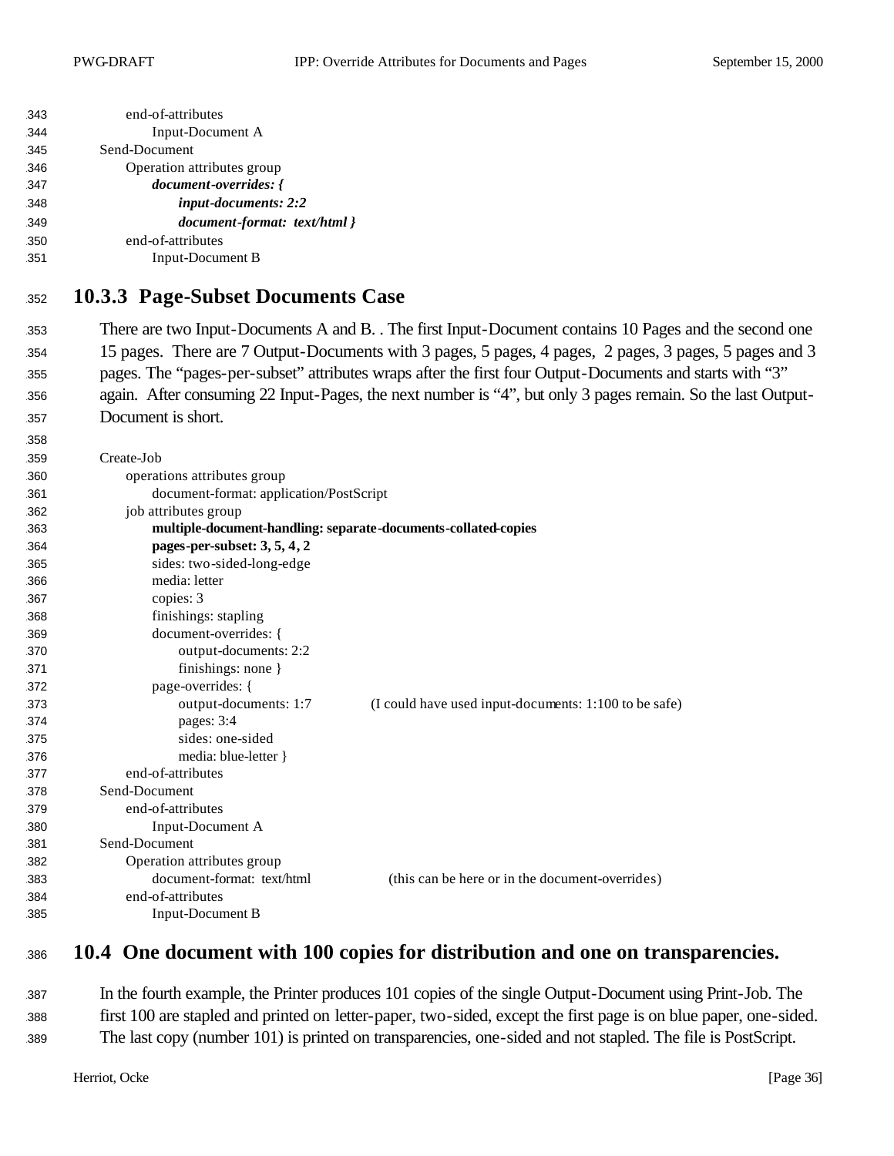| Input-Document A<br>344<br>Send-Document<br>345<br>Operation attributes group<br>346<br>document-overrides: {<br>347<br>input-documents: 2:2<br>348<br>document-format: text/html }<br>349<br>end-of-attributes<br>350<br><b>Input-Document B</b><br>351<br><b>10.3.3 Page-Subset Documents Case</b><br>352<br>There are two Input-Documents A and B. . The first Input-Document contains 10 Pages and the second one<br>353<br>15 pages. There are 7 Output-Documents with 3 pages, 5 pages, 4 pages, 2 pages, 3 pages, 5 pages and 3<br>354<br>pages. The "pages-per-subset" attributes wraps after the first four Output-Documents and starts with "3"<br>355<br>again. After consuming 22 Input-Pages, the next number is "4", but only 3 pages remain. So the last Output-<br>356<br>Document is short.<br>357<br>358<br>Create-Job<br>359<br>operations attributes group<br>360<br>document-format: application/PostScript<br>361<br>job attributes group<br>362<br>multiple-document-handling: separate-documents-collated-copies<br>363<br>pages-per-subset: 3, 5, 4, 2<br>364<br>sides: two-sided-long-edge<br>365<br>media: letter<br>366<br>copies: 3<br>367<br>finishings: stapling<br>368<br>document-overrides: {<br>369<br>output-documents: 2:2<br>370<br>finishings: none }<br>371<br>page-overrides: {<br>372<br>output-documents: 1:7<br>(I could have used input-documents: 1:100 to be safe)<br>373<br>pages: 3:4<br>374<br>sides: one-sided<br>375<br>376<br>media: blue-letter $\}$<br>end-of-attributes<br>377<br>Send-Document<br>378<br>end-of-attributes<br>379<br>Input-Document A<br>380 | 343 | end-of-attributes |  |  |
|-----------------------------------------------------------------------------------------------------------------------------------------------------------------------------------------------------------------------------------------------------------------------------------------------------------------------------------------------------------------------------------------------------------------------------------------------------------------------------------------------------------------------------------------------------------------------------------------------------------------------------------------------------------------------------------------------------------------------------------------------------------------------------------------------------------------------------------------------------------------------------------------------------------------------------------------------------------------------------------------------------------------------------------------------------------------------------------------------------------------------------------------------------------------------------------------------------------------------------------------------------------------------------------------------------------------------------------------------------------------------------------------------------------------------------------------------------------------------------------------------------------------------------------------------------------------------------------------------------------------------|-----|-------------------|--|--|
|                                                                                                                                                                                                                                                                                                                                                                                                                                                                                                                                                                                                                                                                                                                                                                                                                                                                                                                                                                                                                                                                                                                                                                                                                                                                                                                                                                                                                                                                                                                                                                                                                       |     |                   |  |  |
|                                                                                                                                                                                                                                                                                                                                                                                                                                                                                                                                                                                                                                                                                                                                                                                                                                                                                                                                                                                                                                                                                                                                                                                                                                                                                                                                                                                                                                                                                                                                                                                                                       |     |                   |  |  |
|                                                                                                                                                                                                                                                                                                                                                                                                                                                                                                                                                                                                                                                                                                                                                                                                                                                                                                                                                                                                                                                                                                                                                                                                                                                                                                                                                                                                                                                                                                                                                                                                                       |     |                   |  |  |
|                                                                                                                                                                                                                                                                                                                                                                                                                                                                                                                                                                                                                                                                                                                                                                                                                                                                                                                                                                                                                                                                                                                                                                                                                                                                                                                                                                                                                                                                                                                                                                                                                       |     |                   |  |  |
|                                                                                                                                                                                                                                                                                                                                                                                                                                                                                                                                                                                                                                                                                                                                                                                                                                                                                                                                                                                                                                                                                                                                                                                                                                                                                                                                                                                                                                                                                                                                                                                                                       |     |                   |  |  |
|                                                                                                                                                                                                                                                                                                                                                                                                                                                                                                                                                                                                                                                                                                                                                                                                                                                                                                                                                                                                                                                                                                                                                                                                                                                                                                                                                                                                                                                                                                                                                                                                                       |     |                   |  |  |
|                                                                                                                                                                                                                                                                                                                                                                                                                                                                                                                                                                                                                                                                                                                                                                                                                                                                                                                                                                                                                                                                                                                                                                                                                                                                                                                                                                                                                                                                                                                                                                                                                       |     |                   |  |  |
|                                                                                                                                                                                                                                                                                                                                                                                                                                                                                                                                                                                                                                                                                                                                                                                                                                                                                                                                                                                                                                                                                                                                                                                                                                                                                                                                                                                                                                                                                                                                                                                                                       |     |                   |  |  |
|                                                                                                                                                                                                                                                                                                                                                                                                                                                                                                                                                                                                                                                                                                                                                                                                                                                                                                                                                                                                                                                                                                                                                                                                                                                                                                                                                                                                                                                                                                                                                                                                                       |     |                   |  |  |
|                                                                                                                                                                                                                                                                                                                                                                                                                                                                                                                                                                                                                                                                                                                                                                                                                                                                                                                                                                                                                                                                                                                                                                                                                                                                                                                                                                                                                                                                                                                                                                                                                       |     |                   |  |  |
|                                                                                                                                                                                                                                                                                                                                                                                                                                                                                                                                                                                                                                                                                                                                                                                                                                                                                                                                                                                                                                                                                                                                                                                                                                                                                                                                                                                                                                                                                                                                                                                                                       |     |                   |  |  |
|                                                                                                                                                                                                                                                                                                                                                                                                                                                                                                                                                                                                                                                                                                                                                                                                                                                                                                                                                                                                                                                                                                                                                                                                                                                                                                                                                                                                                                                                                                                                                                                                                       |     |                   |  |  |
|                                                                                                                                                                                                                                                                                                                                                                                                                                                                                                                                                                                                                                                                                                                                                                                                                                                                                                                                                                                                                                                                                                                                                                                                                                                                                                                                                                                                                                                                                                                                                                                                                       |     |                   |  |  |
|                                                                                                                                                                                                                                                                                                                                                                                                                                                                                                                                                                                                                                                                                                                                                                                                                                                                                                                                                                                                                                                                                                                                                                                                                                                                                                                                                                                                                                                                                                                                                                                                                       |     |                   |  |  |
|                                                                                                                                                                                                                                                                                                                                                                                                                                                                                                                                                                                                                                                                                                                                                                                                                                                                                                                                                                                                                                                                                                                                                                                                                                                                                                                                                                                                                                                                                                                                                                                                                       |     |                   |  |  |
|                                                                                                                                                                                                                                                                                                                                                                                                                                                                                                                                                                                                                                                                                                                                                                                                                                                                                                                                                                                                                                                                                                                                                                                                                                                                                                                                                                                                                                                                                                                                                                                                                       |     |                   |  |  |
|                                                                                                                                                                                                                                                                                                                                                                                                                                                                                                                                                                                                                                                                                                                                                                                                                                                                                                                                                                                                                                                                                                                                                                                                                                                                                                                                                                                                                                                                                                                                                                                                                       |     |                   |  |  |
|                                                                                                                                                                                                                                                                                                                                                                                                                                                                                                                                                                                                                                                                                                                                                                                                                                                                                                                                                                                                                                                                                                                                                                                                                                                                                                                                                                                                                                                                                                                                                                                                                       |     |                   |  |  |
|                                                                                                                                                                                                                                                                                                                                                                                                                                                                                                                                                                                                                                                                                                                                                                                                                                                                                                                                                                                                                                                                                                                                                                                                                                                                                                                                                                                                                                                                                                                                                                                                                       |     |                   |  |  |
|                                                                                                                                                                                                                                                                                                                                                                                                                                                                                                                                                                                                                                                                                                                                                                                                                                                                                                                                                                                                                                                                                                                                                                                                                                                                                                                                                                                                                                                                                                                                                                                                                       |     |                   |  |  |
|                                                                                                                                                                                                                                                                                                                                                                                                                                                                                                                                                                                                                                                                                                                                                                                                                                                                                                                                                                                                                                                                                                                                                                                                                                                                                                                                                                                                                                                                                                                                                                                                                       |     |                   |  |  |
|                                                                                                                                                                                                                                                                                                                                                                                                                                                                                                                                                                                                                                                                                                                                                                                                                                                                                                                                                                                                                                                                                                                                                                                                                                                                                                                                                                                                                                                                                                                                                                                                                       |     |                   |  |  |
|                                                                                                                                                                                                                                                                                                                                                                                                                                                                                                                                                                                                                                                                                                                                                                                                                                                                                                                                                                                                                                                                                                                                                                                                                                                                                                                                                                                                                                                                                                                                                                                                                       |     |                   |  |  |
|                                                                                                                                                                                                                                                                                                                                                                                                                                                                                                                                                                                                                                                                                                                                                                                                                                                                                                                                                                                                                                                                                                                                                                                                                                                                                                                                                                                                                                                                                                                                                                                                                       |     |                   |  |  |
|                                                                                                                                                                                                                                                                                                                                                                                                                                                                                                                                                                                                                                                                                                                                                                                                                                                                                                                                                                                                                                                                                                                                                                                                                                                                                                                                                                                                                                                                                                                                                                                                                       |     |                   |  |  |
|                                                                                                                                                                                                                                                                                                                                                                                                                                                                                                                                                                                                                                                                                                                                                                                                                                                                                                                                                                                                                                                                                                                                                                                                                                                                                                                                                                                                                                                                                                                                                                                                                       |     |                   |  |  |
|                                                                                                                                                                                                                                                                                                                                                                                                                                                                                                                                                                                                                                                                                                                                                                                                                                                                                                                                                                                                                                                                                                                                                                                                                                                                                                                                                                                                                                                                                                                                                                                                                       |     |                   |  |  |
|                                                                                                                                                                                                                                                                                                                                                                                                                                                                                                                                                                                                                                                                                                                                                                                                                                                                                                                                                                                                                                                                                                                                                                                                                                                                                                                                                                                                                                                                                                                                                                                                                       |     |                   |  |  |
|                                                                                                                                                                                                                                                                                                                                                                                                                                                                                                                                                                                                                                                                                                                                                                                                                                                                                                                                                                                                                                                                                                                                                                                                                                                                                                                                                                                                                                                                                                                                                                                                                       |     |                   |  |  |
|                                                                                                                                                                                                                                                                                                                                                                                                                                                                                                                                                                                                                                                                                                                                                                                                                                                                                                                                                                                                                                                                                                                                                                                                                                                                                                                                                                                                                                                                                                                                                                                                                       |     |                   |  |  |
|                                                                                                                                                                                                                                                                                                                                                                                                                                                                                                                                                                                                                                                                                                                                                                                                                                                                                                                                                                                                                                                                                                                                                                                                                                                                                                                                                                                                                                                                                                                                                                                                                       |     |                   |  |  |
|                                                                                                                                                                                                                                                                                                                                                                                                                                                                                                                                                                                                                                                                                                                                                                                                                                                                                                                                                                                                                                                                                                                                                                                                                                                                                                                                                                                                                                                                                                                                                                                                                       |     |                   |  |  |
|                                                                                                                                                                                                                                                                                                                                                                                                                                                                                                                                                                                                                                                                                                                                                                                                                                                                                                                                                                                                                                                                                                                                                                                                                                                                                                                                                                                                                                                                                                                                                                                                                       |     |                   |  |  |
|                                                                                                                                                                                                                                                                                                                                                                                                                                                                                                                                                                                                                                                                                                                                                                                                                                                                                                                                                                                                                                                                                                                                                                                                                                                                                                                                                                                                                                                                                                                                                                                                                       |     |                   |  |  |
|                                                                                                                                                                                                                                                                                                                                                                                                                                                                                                                                                                                                                                                                                                                                                                                                                                                                                                                                                                                                                                                                                                                                                                                                                                                                                                                                                                                                                                                                                                                                                                                                                       |     |                   |  |  |
|                                                                                                                                                                                                                                                                                                                                                                                                                                                                                                                                                                                                                                                                                                                                                                                                                                                                                                                                                                                                                                                                                                                                                                                                                                                                                                                                                                                                                                                                                                                                                                                                                       |     |                   |  |  |
|                                                                                                                                                                                                                                                                                                                                                                                                                                                                                                                                                                                                                                                                                                                                                                                                                                                                                                                                                                                                                                                                                                                                                                                                                                                                                                                                                                                                                                                                                                                                                                                                                       | 381 | Send-Document     |  |  |
| Operation attributes group<br>382                                                                                                                                                                                                                                                                                                                                                                                                                                                                                                                                                                                                                                                                                                                                                                                                                                                                                                                                                                                                                                                                                                                                                                                                                                                                                                                                                                                                                                                                                                                                                                                     |     |                   |  |  |
| document-format: text/html<br>(this can be here or in the document-overrides)<br>383                                                                                                                                                                                                                                                                                                                                                                                                                                                                                                                                                                                                                                                                                                                                                                                                                                                                                                                                                                                                                                                                                                                                                                                                                                                                                                                                                                                                                                                                                                                                  |     |                   |  |  |
| end-of-attributes<br>384                                                                                                                                                                                                                                                                                                                                                                                                                                                                                                                                                                                                                                                                                                                                                                                                                                                                                                                                                                                                                                                                                                                                                                                                                                                                                                                                                                                                                                                                                                                                                                                              |     |                   |  |  |
| <b>Input-Document B</b><br>385                                                                                                                                                                                                                                                                                                                                                                                                                                                                                                                                                                                                                                                                                                                                                                                                                                                                                                                                                                                                                                                                                                                                                                                                                                                                                                                                                                                                                                                                                                                                                                                        |     |                   |  |  |

# **10.4 One document with 100 copies for distribution and one on transparencies.**

 In the fourth example, the Printer produces 101 copies of the single Output-Document using Print-Job. The first 100 are stapled and printed on letter-paper, two-sided, except the first page is on blue paper, one-sided. The last copy (number 101) is printed on transparencies, one-sided and not stapled. The file is PostScript.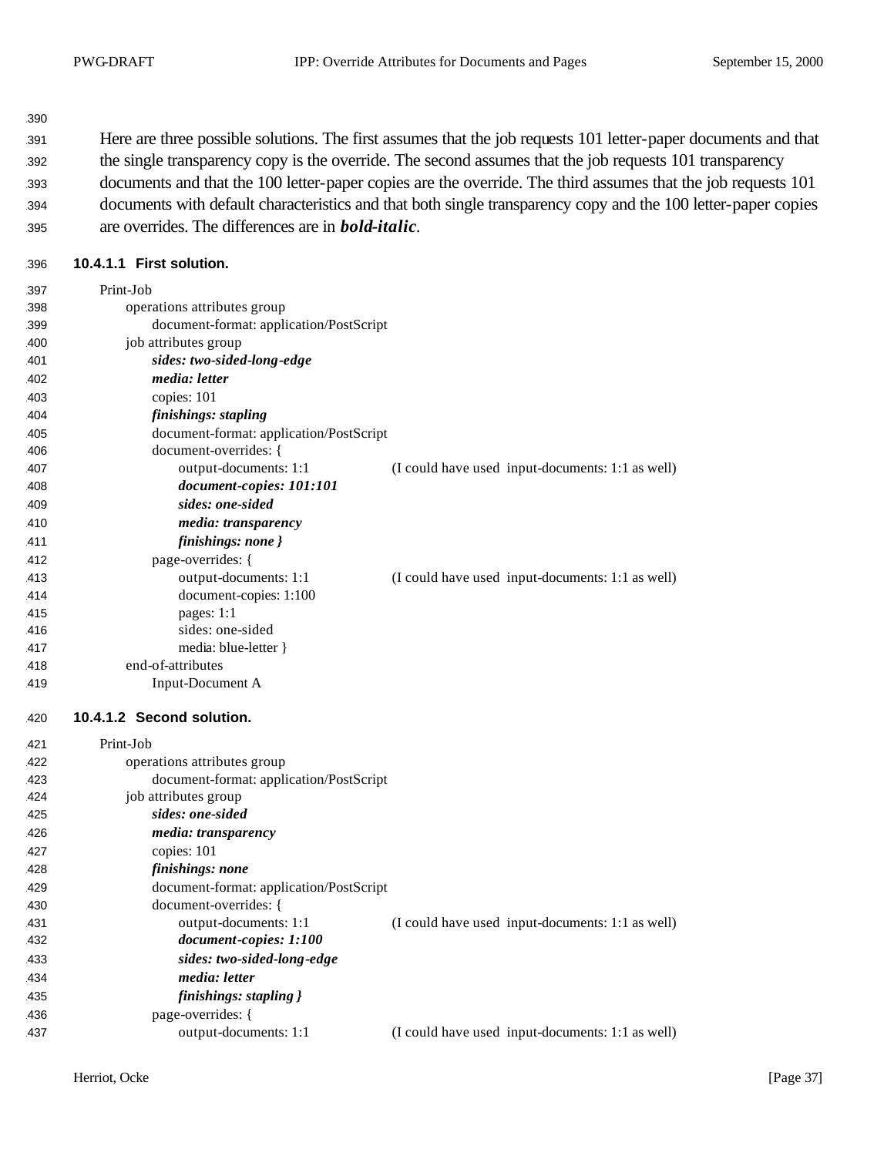| 390 |                                                                                                                |
|-----|----------------------------------------------------------------------------------------------------------------|
| 391 | Here are three possible solutions. The first assumes that the job requests 101 letter-paper documents and that |
| 392 | the single transparency copy is the override. The second assumes that the job requests 101 transparency        |
| 393 | documents and that the 100 letter-paper copies are the override. The third assumes that the job requests 101   |
| 394 | documents with default characteristics and that both single transparency copy and the 100 letter-paper copies  |
| 395 | are overrides. The differences are in <b>bold-italic</b> .                                                     |

## **10.4.1.1 First solution.**

| 397 | Print-Job                               |                                                  |
|-----|-----------------------------------------|--------------------------------------------------|
| 398 | operations attributes group             |                                                  |
| 399 | document-format: application/PostScript |                                                  |
| 400 | job attributes group                    |                                                  |
| 401 | sides: two-sided-long-edge              |                                                  |
| 402 | <i>media: letter</i>                    |                                                  |
| 403 | copies: 101                             |                                                  |
| 404 | finishings: stapling                    |                                                  |
| 405 | document-format: application/PostScript |                                                  |
| 406 | document-overrides: {                   |                                                  |
| 407 | output-documents: 1:1                   | (I could have used input-documents: 1:1 as well) |
| 408 | document-copies: 101:101                |                                                  |
| 409 | sides: one-sided                        |                                                  |
| 410 | media: transparency                     |                                                  |
| 411 | finishings: none }                      |                                                  |
| 412 | page-overrides: {                       |                                                  |
| 413 | output-documents: 1:1                   | (I could have used input-documents: 1:1 as well) |
| 414 | document-copies: 1:100                  |                                                  |
| 415 | pages: 1:1                              |                                                  |
| 416 | sides: one-sided                        |                                                  |
| 417 | media: blue-letter }                    |                                                  |
| 418 | end-of-attributes                       |                                                  |
| 419 | Input-Document A                        |                                                  |
| 420 | 10.4.1.2 Second solution.               |                                                  |
| 421 | Print-Job                               |                                                  |
| 422 | operations attributes group             |                                                  |
| 423 | document-format: application/PostScript |                                                  |
| 424 |                                         |                                                  |
| 425 | job attributes group                    |                                                  |
|     | sides: one-sided                        |                                                  |
| 426 | media: transparency                     |                                                  |
| 427 | copies: 101                             |                                                  |
| 428 | finishings: none                        |                                                  |
| 429 | document-format: application/PostScript |                                                  |
| 430 | document-overrides: {                   |                                                  |
| 431 | output-documents: 1:1                   | (I could have used input-documents: 1:1 as well) |
| 432 | document-copies: 1:100                  |                                                  |
| 433 | sides: two-sided-long-edge              |                                                  |
| 434 | media: letter                           |                                                  |
| 435 | finishings: stapling }                  |                                                  |
| 436 | page-overrides: {                       |                                                  |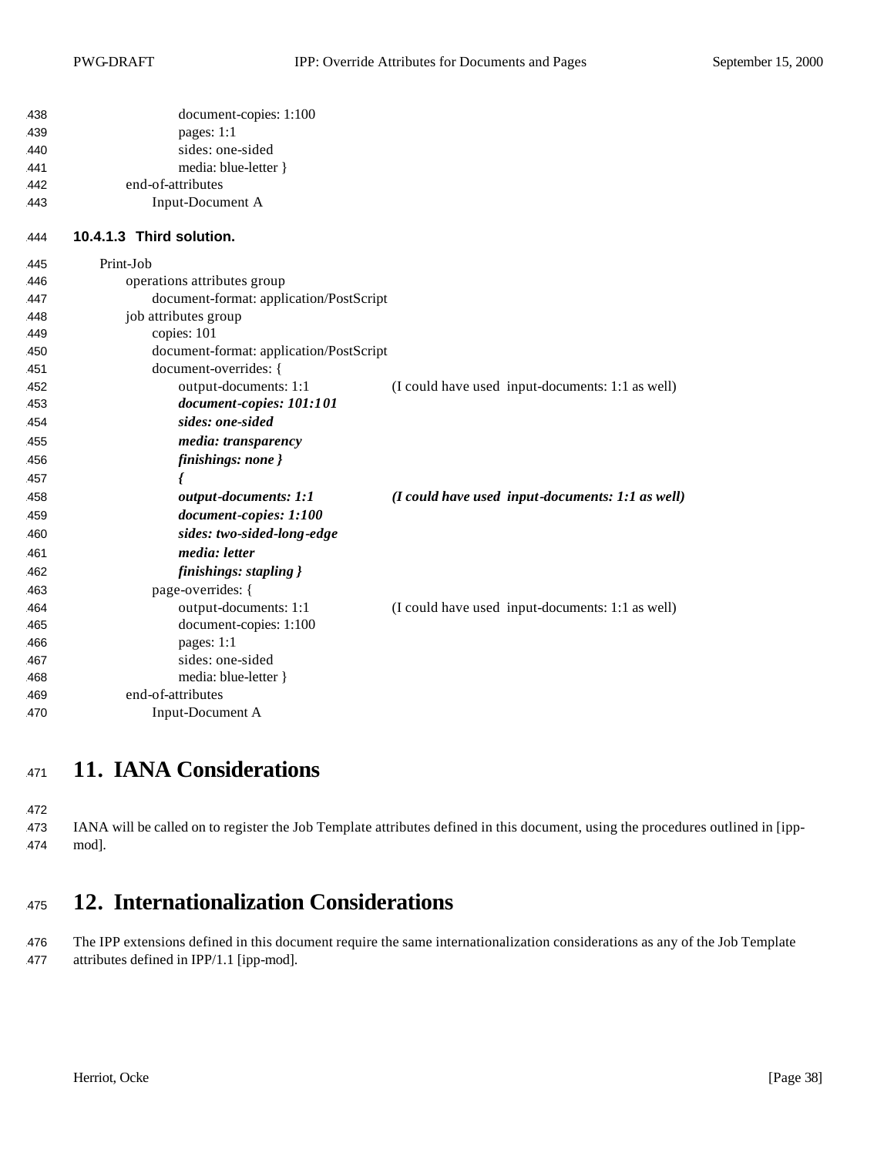| 438 | document-copies: 1:100                  |                                                  |
|-----|-----------------------------------------|--------------------------------------------------|
| 439 | pages: 1:1                              |                                                  |
| 440 | sides: one-sided                        |                                                  |
| 441 | media: blue-letter }                    |                                                  |
| 442 | end-of-attributes                       |                                                  |
| 443 | Input-Document A                        |                                                  |
| 444 | 10.4.1.3 Third solution.                |                                                  |
| 445 | Print-Job                               |                                                  |
| 446 | operations attributes group             |                                                  |
| 447 | document-format: application/PostScript |                                                  |
| 448 | job attributes group                    |                                                  |
| 449 | copies: 101                             |                                                  |
| 450 | document-format: application/PostScript |                                                  |
| 451 | document-overrides: {                   |                                                  |
| 452 | output-documents: 1:1                   | (I could have used input-documents: 1:1 as well) |
| 453 | document-copies: 101:101                |                                                  |
| 454 | sides: one-sided                        |                                                  |
| 455 | media: transparency                     |                                                  |
| 456 | finishings: none }                      |                                                  |
| 457 |                                         |                                                  |
| 458 | output-documents: 1:1                   | (I could have used input-documents: 1:1 as well) |
| 459 | document-copies: 1:100                  |                                                  |
| 460 | sides: two-sided-long-edge              |                                                  |
| 461 | media: letter                           |                                                  |
| 462 | finishings: stapling }                  |                                                  |
| 463 | page-overrides: {                       |                                                  |
| 464 | output-documents: 1:1                   | (I could have used input-documents: 1:1 as well) |
| 465 | document-copies: 1:100                  |                                                  |
| 466 | pages: 1:1                              |                                                  |
| 467 | sides: one-sided                        |                                                  |
| 468 | media: blue-letter }                    |                                                  |
| 469 | end-of-attributes                       |                                                  |
| 470 | Input-Document A                        |                                                  |

# **11. IANA Considerations**

 IANA will be called on to register the Job Template attributes defined in this document, using the procedures outlined in [ipp-mod].

# **12. Internationalization Considerations**

 The IPP extensions defined in this document require the same internationalization considerations as any of the Job Template attributes defined in IPP/1.1 [ipp-mod].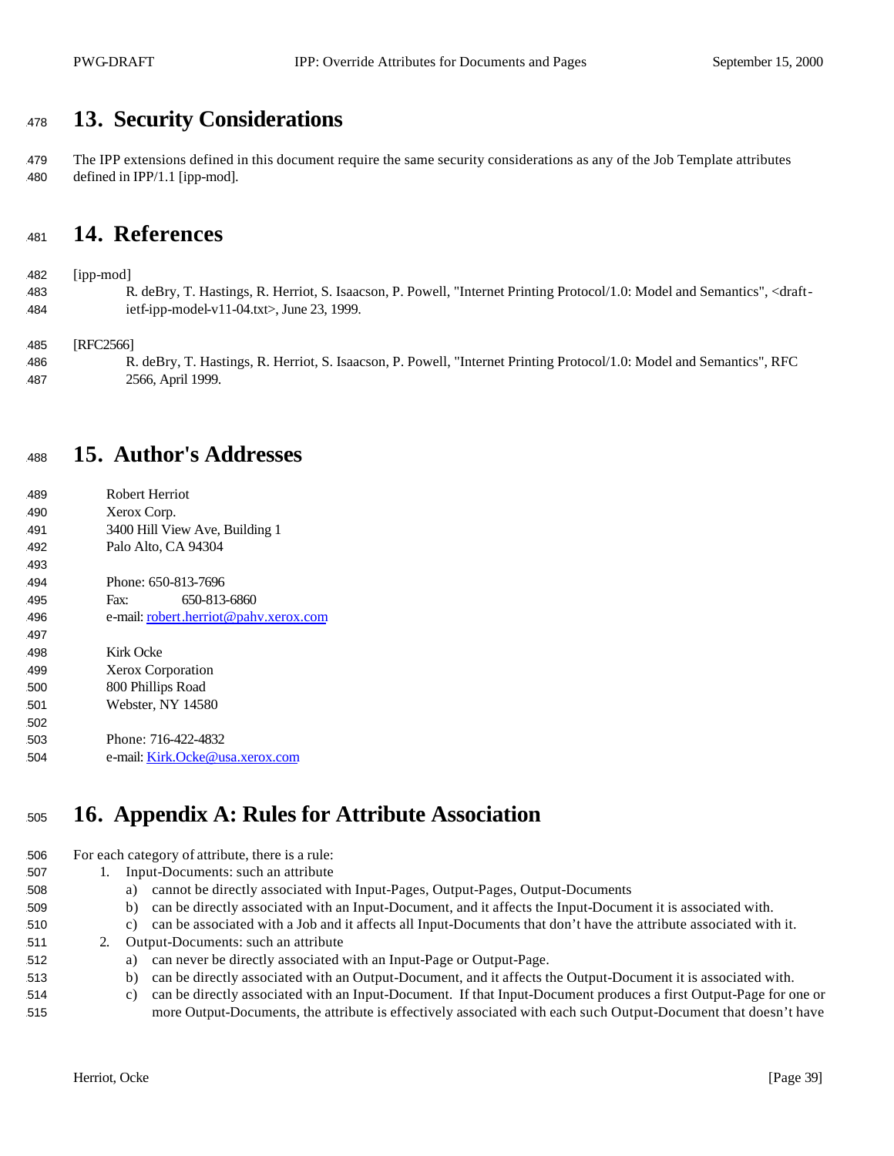# **13. Security Considerations**

 The IPP extensions defined in this document require the same security considerations as any of the Job Template attributes defined in IPP/1.1 [ipp-mod].

# **14. References**

[ipp-mod]

 R. deBry, T. Hastings, R. Herriot, S. Isaacson, P. Powell, "Internet Printing Protocol/1.0: Model and Semantics", <draft-ietf-ipp-model-v11-04.txt>, June 23, 1999.

[RFC2566]

 R. deBry, T. Hastings, R. Herriot, S. Isaacson, P. Powell, "Internet Printing Protocol/1.0: Model and Semantics", RFC 2566, April 1999.

# **15. Author's Addresses**

 Robert Herriot Xerox Corp. 3400 Hill View Ave, Building 1 Palo Alto, CA 94304 Phone: 650-813-7696 Fax: 650-813-6860 e-mail: robert.herriot@pahv.xerox.com Kirk Ocke Xerox Corporation 800 Phillips Road Webster, NY 14580 Phone: 716-422-4832 e-mail: Kirk.Ocke@usa.xerox.com

# **16. Appendix A: Rules for Attribute Association**

For each category of attribute, there is a rule:

- 1. Input-Documents: such an attribute
- a) cannot be directly associated with Input-Pages, Output-Pages, Output-Documents
- b) can be directly associated with an Input-Document, and it affects the Input-Document it is associated with.
- c) can be associated with a Job and it affects all Input-Documents that don't have the attribute associated with it.
- 2. Output-Documents: such an attribute
- a) can never be directly associated with an Input-Page or Output-Page.
- b) can be directly associated with an Output-Document, and it affects the Output-Document it is associated with.
- c) can be directly associated with an Input-Document. If that Input-Document produces a first Output-Page for one or more Output-Documents, the attribute is effectively associated with each such Output-Document that doesn't have
	- Herriot, Ocke [Page 39]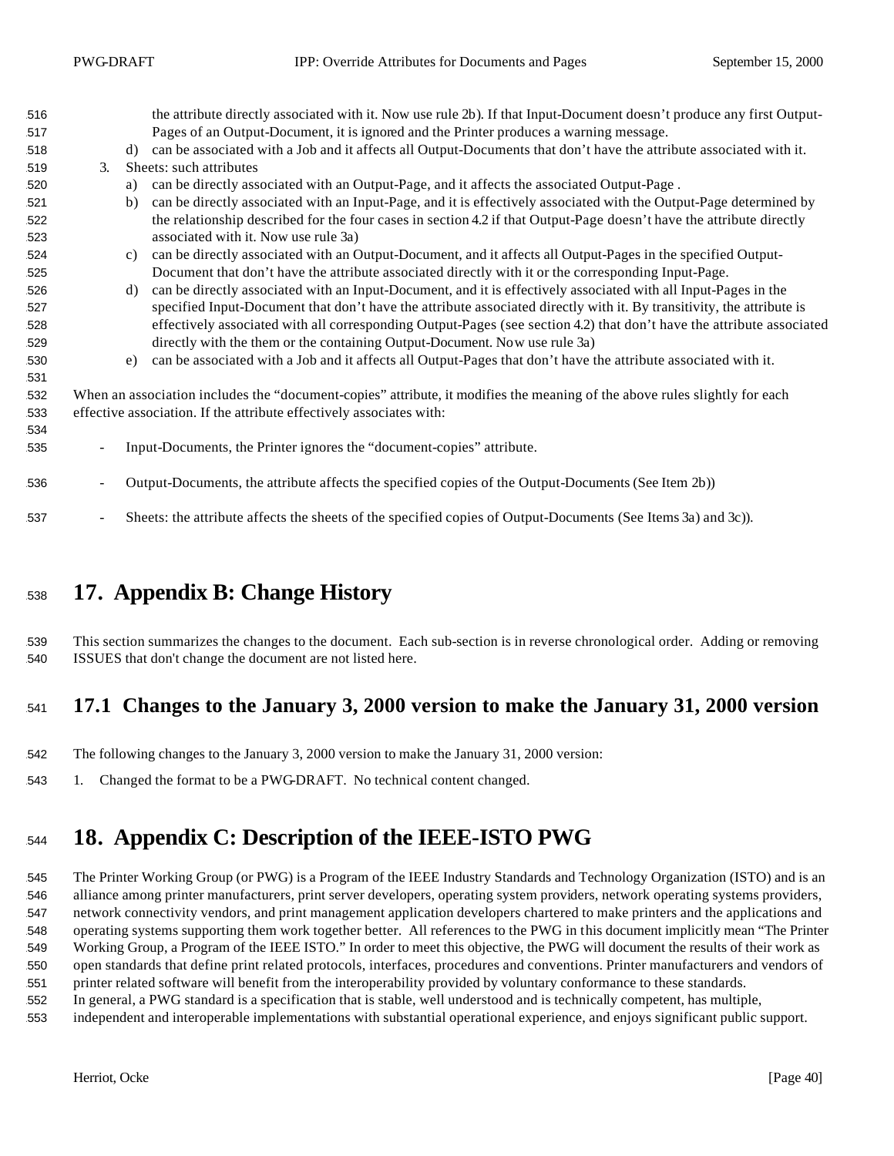| 516 |                                                                                                                            | the attribute directly associated with it. Now use rule 2b). If that Input-Document doesn't produce any first Output- |
|-----|----------------------------------------------------------------------------------------------------------------------------|-----------------------------------------------------------------------------------------------------------------------|
| 517 |                                                                                                                            | Pages of an Output-Document, it is ignored and the Printer produces a warning message.                                |
| 518 | d)                                                                                                                         | can be associated with a Job and it affects all Output-Documents that don't have the attribute associated with it.    |
| 519 | $\mathfrak{Z}$ .                                                                                                           | Sheets: such attributes                                                                                               |
| 520 | a)                                                                                                                         | can be directly associated with an Output-Page, and it affects the associated Output-Page.                            |
| 521 | b)                                                                                                                         | can be directly associated with an Input-Page, and it is effectively associated with the Output-Page determined by    |
| 522 |                                                                                                                            | the relationship described for the four cases in section 4.2 if that Output-Page doesn't have the attribute directly  |
| 523 |                                                                                                                            | associated with it. Now use rule 3a)                                                                                  |
| 524 | c)                                                                                                                         | can be directly associated with an Output-Document, and it affects all Output-Pages in the specified Output-          |
| 525 |                                                                                                                            | Document that don't have the attribute associated directly with it or the corresponding Input-Page.                   |
| 526 | d)                                                                                                                         | can be directly associated with an Input-Document, and it is effectively associated with all Input-Pages in the       |
| 527 |                                                                                                                            | specified Input-Document that don't have the attribute associated directly with it. By transitivity, the attribute is |
| 528 |                                                                                                                            | effectively associated with all corresponding Output-Pages (see section 4.2) that don't have the attribute associated |
| 529 |                                                                                                                            | directly with the them or the containing Output-Document. Now use rule 3a)                                            |
| 530 | e)                                                                                                                         | can be associated with a Job and it affects all Output-Pages that don't have the attribute associated with it.        |
| 531 |                                                                                                                            |                                                                                                                       |
| 532 | When an association includes the "document-copies" attribute, it modifies the meaning of the above rules slightly for each |                                                                                                                       |
| 533 | effective association. If the attribute effectively associates with:                                                       |                                                                                                                       |
| 534 |                                                                                                                            |                                                                                                                       |
| 535 |                                                                                                                            | Input-Documents, the Printer ignores the "document-copies" attribute.                                                 |
|     |                                                                                                                            |                                                                                                                       |
| 536 | $\overline{\phantom{a}}$                                                                                                   | Output-Documents, the attribute affects the specified copies of the Output-Documents (See Item 2b))                   |
| 537 | $\overline{\phantom{a}}$                                                                                                   | Sheets: the attribute affects the sheets of the specified copies of Output-Documents (See Items 3a) and 3c)).         |

# **17. Appendix B: Change History**

 This section summarizes the changes to the document. Each sub-section is in reverse chronological order. Adding or removing ISSUES that don't change the document are not listed here.

## **17.1 Changes to the January 3, 2000 version to make the January 31, 2000 version**

- The following changes to the January 3, 2000 version to make the January 31, 2000 version:
- 1. Changed the format to be a PWG-DRAFT. No technical content changed.

# **18. Appendix C: Description of the IEEE-ISTO PWG**

 The Printer Working Group (or PWG) is a Program of the IEEE Industry Standards and Technology Organization (ISTO) and is an alliance among printer manufacturers, print server developers, operating system providers, network operating systems providers, network connectivity vendors, and print management application developers chartered to make printers and the applications and operating systems supporting them work together better. All references to the PWG in this document implicitly mean "The Printer Working Group, a Program of the IEEE ISTO." In order to meet this objective, the PWG will document the results of their work as open standards that define print related protocols, interfaces, procedures and conventions. Printer manufacturers and vendors of printer related software will benefit from the interoperability provided by voluntary conformance to these standards.

- In general, a PWG standard is a specification that is stable, well understood and is technically competent, has multiple,
- independent and interoperable implementations with substantial operational experience, and enjoys significant public support.